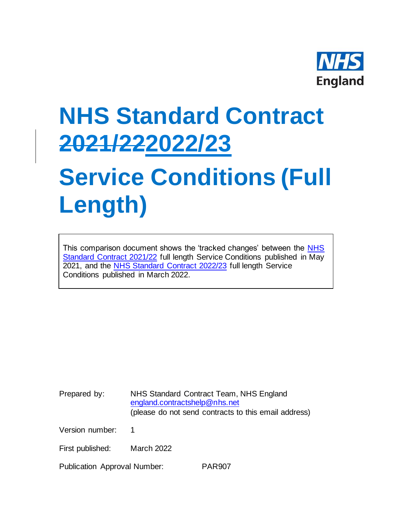

## **NHS Standard Contract 2021/222022/23**

## **Service Conditions (Full Length)**

This comparison document shows the 'tracked changes' between the [NHS](https://www.england.nhs.uk/nhs-standard-contract/21-22/full-length-nhs-standard-contract-2021-22-particulars-service-conditions-general-conditions/)  [Standard Contract 2021/22](https://www.england.nhs.uk/nhs-standard-contract/21-22/full-length-nhs-standard-contract-2021-22-particulars-service-conditions-general-conditions/) full length Service Conditions published in May 2021, and the [NHS Standard Contract 2022/23](https://www.england.nhs.uk/nhs-standard-contract/) full length Service Conditions published in March 2022.

Prepared by: NHS Standard Contract Team, NHS England [england.contractshelp@nhs.net](mailto:england.contractshelp@nhs.net) (please do not send contracts to this email address)

Version number: 1

First published: March 2022

Publication Approval Number: PAR907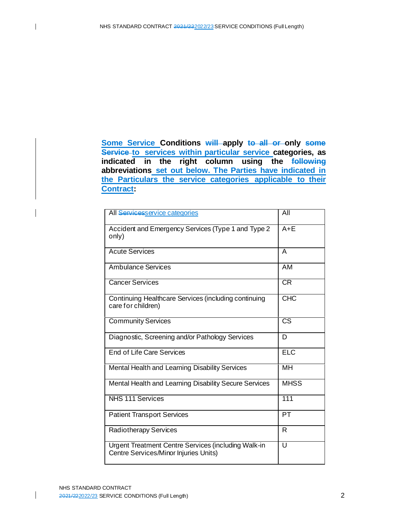**Some Service Conditions will apply to all or only some Service to services within particular service categories, as indicated in the right column using the following abbreviations set out below. The Parties have indicated in the Particulars the service categories applicable to their Contract:**

| All Servicesservice categories                                                               | All                    |
|----------------------------------------------------------------------------------------------|------------------------|
| Accident and Emergency Services (Type 1 and Type 2<br>only)                                  | $A + E$                |
| <b>Acute Services</b>                                                                        | A                      |
| <b>Ambulance Services</b>                                                                    | AM                     |
| <b>Cancer Services</b>                                                                       | CR                     |
| Continuing Healthcare Services (including continuing<br>care for children)                   | <b>CHC</b>             |
| <b>Community Services</b>                                                                    | $\overline{\text{CS}}$ |
| Diagnostic, Screening and/or Pathology Services                                              | D                      |
| End of Life Care Services                                                                    | <b>ELC</b>             |
| Mental Health and Learning Disability Services                                               | <b>MH</b>              |
| Mental Health and Learning Disability Secure Services                                        | <b>MHSS</b>            |
| <b>NHS 111 Services</b>                                                                      | 111                    |
| <b>Patient Transport Services</b>                                                            | PT                     |
| <b>Radiotherapy Services</b>                                                                 | R                      |
| Urgent Treatment Centre Services (including Walk-in<br>Centre Services/Minor Injuries Units) | U                      |

 $\mathsf{l}$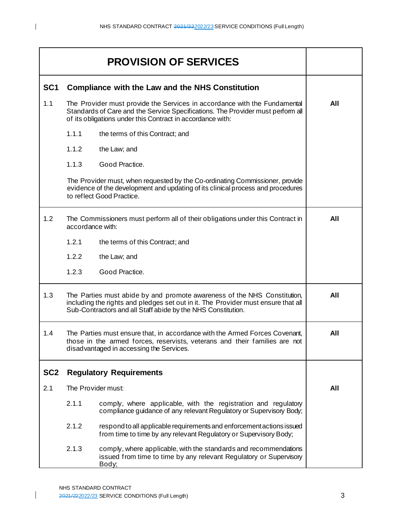| <b>PROVISION OF SERVICES</b> |                                                                                                                                                                                                                               |                                                                                                                                                                                                                            |     |
|------------------------------|-------------------------------------------------------------------------------------------------------------------------------------------------------------------------------------------------------------------------------|----------------------------------------------------------------------------------------------------------------------------------------------------------------------------------------------------------------------------|-----|
| SC <sub>1</sub>              | <b>Compliance with the Law and the NHS Constitution</b>                                                                                                                                                                       |                                                                                                                                                                                                                            |     |
| 1.1                          |                                                                                                                                                                                                                               | The Provider must provide the Services in accordance with the Fundamental<br>Standards of Care and the Service Specifications. The Provider must perform all<br>of its obligations under this Contract in accordance with: | All |
|                              | 1.1.1                                                                                                                                                                                                                         | the terms of this Contract; and                                                                                                                                                                                            |     |
|                              | 1.1.2                                                                                                                                                                                                                         | the Law; and                                                                                                                                                                                                               |     |
|                              | 1.1.3                                                                                                                                                                                                                         | Good Practice.                                                                                                                                                                                                             |     |
|                              |                                                                                                                                                                                                                               | The Provider must, when requested by the Co-ordinating Commissioner, provide<br>evidence of the development and updating of its clinical process and procedures<br>to reflect Good Practice.                               |     |
| 1.2                          |                                                                                                                                                                                                                               | The Commissioners must perform all of their obligations under this Contract in<br>accordance with:                                                                                                                         |     |
|                              | 1.2.1                                                                                                                                                                                                                         | the terms of this Contract; and                                                                                                                                                                                            |     |
|                              | 1.2.2                                                                                                                                                                                                                         | the Law; and                                                                                                                                                                                                               |     |
|                              | 1.2.3                                                                                                                                                                                                                         | Good Practice.                                                                                                                                                                                                             |     |
| 1.3                          | The Parties must abide by and promote awareness of the NHS Constitution,<br>including the rights and pledges set out in it. The Provider must ensure that all<br>Sub-Contractors and all Staff abide by the NHS Constitution. |                                                                                                                                                                                                                            | All |
| 1.4                          |                                                                                                                                                                                                                               | The Parties must ensure that, in accordance with the Armed Forces Covenant,<br>those in the armed forces, reservists, veterans and their families are not<br>disadvantaged in accessing the Services.                      | All |
| SC <sub>2</sub>              |                                                                                                                                                                                                                               | <b>Regulatory Requirements</b>                                                                                                                                                                                             |     |
| 2.1                          |                                                                                                                                                                                                                               | The Provider must:                                                                                                                                                                                                         | All |
|                              | 2.1.1                                                                                                                                                                                                                         | comply, where applicable, with the registration and regulatory<br>compliance guidance of any relevant Regulatory or Supervisory Body;                                                                                      |     |
|                              | 2.1.2                                                                                                                                                                                                                         | respond to all applicable requirements and enforcement actions issued<br>from time to time by any relevant Regulatory or Supervisory Body;                                                                                 |     |
|                              | 2.1.3                                                                                                                                                                                                                         | comply, where applicable, with the standards and recommendations<br>issued from time to time by any relevant Regulatory or Supervisory<br>Body;                                                                            |     |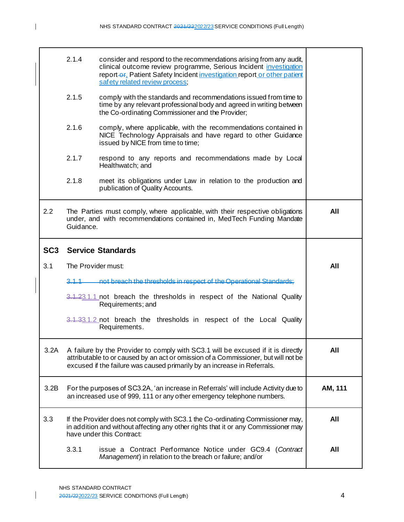┯

┑

 $\mathbf{I}$ 

 $\Gamma$ 

|                 | 2.1.4              | consider and respond to the recommendations arising from any audit,<br>clinical outcome review programme, Serious Incident investigation<br>report-or. Patient Safety Incident investigation report or other patient<br>safety related review process; |         |
|-----------------|--------------------|--------------------------------------------------------------------------------------------------------------------------------------------------------------------------------------------------------------------------------------------------------|---------|
|                 | 2.1.5              | comply with the standards and recommendations issued from time to<br>time by any relevant professional body and agreed in writing between<br>the Co-ordinating Commissioner and the Provider;                                                          |         |
|                 | 2.1.6              | comply, where applicable, with the recommendations contained in<br>NICE Technology Appraisals and have regard to other Guidance<br>issued by NICE from time to time;                                                                                   |         |
|                 | 2.1.7              | respond to any reports and recommendations made by Local<br>Healthwatch; and                                                                                                                                                                           |         |
|                 | 2.1.8              | meet its obligations under Law in relation to the production and<br>publication of Quality Accounts.                                                                                                                                                   |         |
| 2.2             | Guidance.          | The Parties must comply, where applicable, with their respective obligations<br>under, and with recommendations contained in, MedTech Funding Mandate                                                                                                  | All     |
| SC <sub>3</sub> |                    | <b>Service Standards</b>                                                                                                                                                                                                                               |         |
|                 |                    |                                                                                                                                                                                                                                                        |         |
| 3.1             | The Provider must: |                                                                                                                                                                                                                                                        | All     |
|                 | 3.1.1              | not breach the thresholds in respect of the Operational Standards:                                                                                                                                                                                     |         |
|                 |                    | 3.1.23.1.1 not breach the thresholds in respect of the National Quality<br>Requirements; and                                                                                                                                                           |         |
|                 |                    | 3.1.33.1.2 not breach the thresholds in respect of the Local Quality<br>Requirements.                                                                                                                                                                  |         |
| 3.2A            |                    | A failure by the Provider to comply with SC3.1 will be excused if it is directly<br>attributable to or caused by an act or omission of a Commissioner, but will not be<br>excused if the failure was caused primarily by an increase in Referrals.     | All     |
| 3.2B            |                    | For the purposes of SC3.2A, 'an increase in Referrals' will include Activity due to<br>an increased use of 999, 111 or any other emergency telephone numbers.                                                                                          | AM, 111 |
| 3.3             |                    | If the Provider does not comply with SC3.1 the Co-ordinating Commissioner may,<br>in addition and without affecting any other rights that it or any Commissioner may<br>have under this Contract:                                                      | All     |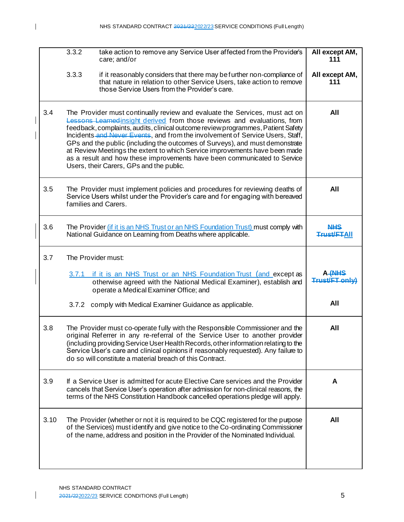|      | 3.3.2              | take action to remove any Service User affected from the Provider's<br>care; and/or                                                                                                                                                                                                                                                                                                                                                                                                                                                                                                                                | All except AM,<br>111            |
|------|--------------------|--------------------------------------------------------------------------------------------------------------------------------------------------------------------------------------------------------------------------------------------------------------------------------------------------------------------------------------------------------------------------------------------------------------------------------------------------------------------------------------------------------------------------------------------------------------------------------------------------------------------|----------------------------------|
|      | 3.3.3              | if it reasonably considers that there may be further non-compliance of<br>that nature in relation to other Service Users, take action to remove<br>those Service Users from the Provider's care.                                                                                                                                                                                                                                                                                                                                                                                                                   | All except AM,<br>111            |
| 3.4  |                    | The Provider must continually review and evaluate the Services, must act on<br>Lessons Learned insight derived from those reviews and evaluations, from<br>feedback, complaints, audits, clinical outcome review programmes, Patient Safety<br>Incidents and Never Events, and from the involvement of Service Users, Staff,<br>GPs and the public (including the outcomes of Surveys), and must demonstrate<br>at Review Meetings the extent to which Service improvements have been made<br>as a result and how these improvements have been communicated to Service<br>Users, their Carers, GPs and the public. | All                              |
| 3.5  |                    | The Provider must implement policies and procedures for reviewing deaths of<br>Service Users whilst under the Provider's care and for engaging with bereaved<br>families and Carers.                                                                                                                                                                                                                                                                                                                                                                                                                               | All                              |
| 3.6  |                    | The Provider <i>(if it is an NHS Trust or an NHS Foundation Trust)</i> must comply with<br>National Guidance on Learning from Deaths where applicable.                                                                                                                                                                                                                                                                                                                                                                                                                                                             | <b>NHS</b><br><b>Trust/ETAII</b> |
| 3.7  | The Provider must: |                                                                                                                                                                                                                                                                                                                                                                                                                                                                                                                                                                                                                    |                                  |
|      | 3.7.1              | if it is an NHS Trust or an NHS Foundation Trust (and except as<br>otherwise agreed with the National Medical Examiner), establish and<br>operate a Medical Examiner Office; and                                                                                                                                                                                                                                                                                                                                                                                                                                   | A (NHS<br>Trust/ET only)         |
|      |                    | 3.7.2 comply with Medical Examiner Guidance as applicable.                                                                                                                                                                                                                                                                                                                                                                                                                                                                                                                                                         | All                              |
| 3.8  |                    | The Provider must co-operate fully with the Responsible Commissioner and the<br>original Referrer in any re-referral of the Service User to another provider<br>(including providing Service User Health Records, other information relating to the<br>Service User's care and clinical opinions if reasonably requested). Any failure to<br>do so will constitute a material breach of this Contract.                                                                                                                                                                                                             | All                              |
| 3.9  |                    | If a Service User is admitted for acute Elective Care services and the Provider<br>cancels that Service User's operation after admission for non-clinical reasons, the<br>terms of the NHS Constitution Handbook cancelled operations pledge will apply.                                                                                                                                                                                                                                                                                                                                                           | A                                |
| 3.10 |                    | The Provider (whether or not it is required to be CQC registered for the purpose<br>of the Services) must identify and give notice to the Co-ordinating Commissioner<br>of the name, address and position in the Provider of the Nominated Individual.                                                                                                                                                                                                                                                                                                                                                             | All                              |
|      |                    |                                                                                                                                                                                                                                                                                                                                                                                                                                                                                                                                                                                                                    |                                  |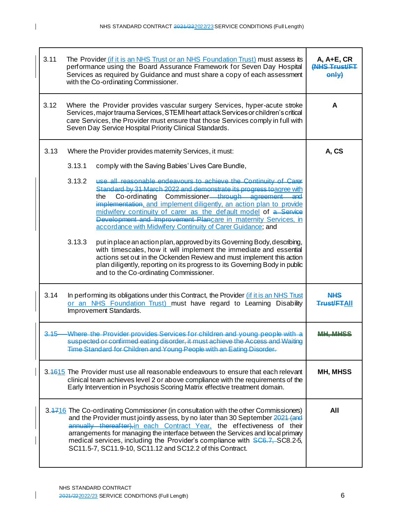| 3.11                                                                                                                                                                                                                                                                                                                                                                                                                                                                          | The Provider (if it is an NHS Trust or an NHS Foundation Trust) must assess its<br>performance using the Board Assurance Framework for Seven Day Hospital<br>Services as required by Guidance and must share a copy of each assessment<br>with the Co-ordinating Commissioner.                                                                                                                                                                                                                                                                                                                                                                                                                                                                                                                                                                                                                                                                                                                  |                                  |  |
|-------------------------------------------------------------------------------------------------------------------------------------------------------------------------------------------------------------------------------------------------------------------------------------------------------------------------------------------------------------------------------------------------------------------------------------------------------------------------------|-------------------------------------------------------------------------------------------------------------------------------------------------------------------------------------------------------------------------------------------------------------------------------------------------------------------------------------------------------------------------------------------------------------------------------------------------------------------------------------------------------------------------------------------------------------------------------------------------------------------------------------------------------------------------------------------------------------------------------------------------------------------------------------------------------------------------------------------------------------------------------------------------------------------------------------------------------------------------------------------------|----------------------------------|--|
| 3.12                                                                                                                                                                                                                                                                                                                                                                                                                                                                          | Where the Provider provides vascular surgery Services, hyper-acute stroke<br>Services, major trauma Services, STEMI heart attack Services or children's critical<br>care Services, the Provider must ensure that those Services comply in full with<br>Seven Day Service Hospital Priority Clinical Standards.                                                                                                                                                                                                                                                                                                                                                                                                                                                                                                                                                                                                                                                                                  | A                                |  |
| 3.13                                                                                                                                                                                                                                                                                                                                                                                                                                                                          | Where the Provider provides maternity Services, it must:<br>3.13.1<br>comply with the Saving Babies' Lives Care Bundle,<br>use all reasonable endeavours to achieve the Continuity of Carer<br>3.13.2<br>Standard by 31 March 2022 and demonstrate its progress to agree with<br>Co-ordinating Commissioner <del> through agreement</del><br>and<br>the<br>implementation, and implement diligently, an action plan to provide<br>midwifery continuity of carer as the default model of a Service<br>Development and Improvement Plancare in maternity Services, in<br>accordance with Midwifery Continuity of Carer Guidance; and<br>3.13.3<br>put in place an action plan, approved by its Governing Body, describing,<br>with timescales, how it will implement the immediate and essential<br>actions set out in the Ockenden Review and must implement this action<br>plan diligently, reporting on its progress to its Governing Body in public<br>and to the Co-ordinating Commissioner. | A, CS                            |  |
| 3.14                                                                                                                                                                                                                                                                                                                                                                                                                                                                          | In performing its obligations under this Contract, the Provider <i>(if it is an NHS Trust</i> )<br>or an NHS Foundation Trust) must have regard to Learning Disability<br>Improvement Standards.                                                                                                                                                                                                                                                                                                                                                                                                                                                                                                                                                                                                                                                                                                                                                                                                | <u>NHS</u><br><b>Trust/ETAII</b> |  |
| $3.15 -$                                                                                                                                                                                                                                                                                                                                                                                                                                                                      | Where the Provider provides Services for children and young people with<br>suspected or confirmed eating disorder, it must achieve the Access and Waiting<br>Time Standard for Children and Young People with an Eating Disorder.                                                                                                                                                                                                                                                                                                                                                                                                                                                                                                                                                                                                                                                                                                                                                               |                                  |  |
|                                                                                                                                                                                                                                                                                                                                                                                                                                                                               | 3.4615 The Provider must use all reasonable endeavours to ensure that each relevant<br>clinical team achieves level 2 or above compliance with the requirements of the<br>Early Intervention in Psychosis Scoring Matrix effective treatment domain.                                                                                                                                                                                                                                                                                                                                                                                                                                                                                                                                                                                                                                                                                                                                            | MH, MHSS                         |  |
| 3.4716 The Co-ordinating Commissioner (in consultation with the other Commissioners)<br>and the Provider must jointly assess, by no later than 30 September 2021 (and<br>annually thereafter), in each Contract Year, the effectiveness of their<br>arrangements for managing the interface between the Services and local primary<br>medical services, including the Provider's compliance with SC6.7, SC8.2-5,<br>SC11.5-7, SC11.9-10, SC11.12 and SC12.2 of this Contract. |                                                                                                                                                                                                                                                                                                                                                                                                                                                                                                                                                                                                                                                                                                                                                                                                                                                                                                                                                                                                 | All                              |  |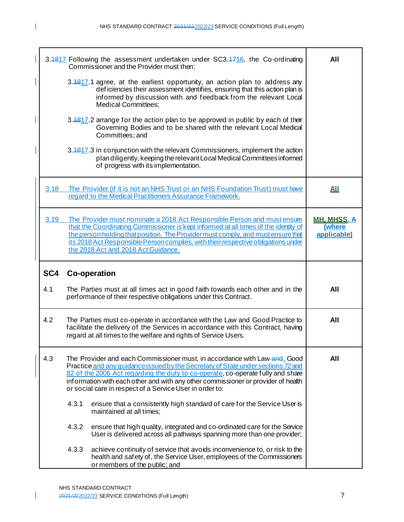|      | 3.4817 Following the assessment undertaken under SC3.4716, the Co-ordinating<br>Commissioner and the Provider must then:                                                                                                                                                                                                                                                                          | All                                         |
|------|---------------------------------------------------------------------------------------------------------------------------------------------------------------------------------------------------------------------------------------------------------------------------------------------------------------------------------------------------------------------------------------------------|---------------------------------------------|
|      | 3.4817.1 agree, at the earliest opportunity, an action plan to address any<br>deficiencies their assessment identifies, ensuring that this action plan is<br>informed by discussion with and feedback from the relevant Local<br><b>Medical Committees;</b>                                                                                                                                       |                                             |
|      | 3.4817.2 arrange for the action plan to be approved in public by each of their<br>Governing Bodies and to be shared with the relevant Local Medical<br>Committees; and                                                                                                                                                                                                                            |                                             |
|      | 3.4817.3 in conjunction with the relevant Commissioners, implement the action<br>plan diligently, keeping the relevant Local Medical Committees informed<br>of progress with its implementation.                                                                                                                                                                                                  |                                             |
| 3.18 | The Provider (if it is not an NHS Trust or an NHS Foundation Trust) must have<br>regard to the Medical Practitioners Assurance Framework.                                                                                                                                                                                                                                                         | <u>АЩ</u>                                   |
| 3.19 | The Provider must nominate a 2018 Act Responsible Person and must ensure<br>that the Coordinating Commissioner is kept informed at all times of the identity of<br>the person holding that position. The Provider must comply, and must ensure that<br>its 2018 Act Responsible Person complies, with their respective obligations under<br>the 2018 Act and 2018 Act Guidance.                   | <u>MH. MHSS, A</u><br>(where<br>applicable) |
| SC4  | <b>Co-operation</b>                                                                                                                                                                                                                                                                                                                                                                               |                                             |
| 4.1  | The Parties must at all times act in good faith towards each other and in the<br>performance of their respective obligations under this Contract.                                                                                                                                                                                                                                                 | All                                         |
| 4.2  | The Parties must co-operate in accordance with the Law and Good Practice to<br>facilitate the delivery of the Services in accordance with this Contract, having<br>regard at all times to the welfare and rights of Service Users.                                                                                                                                                                | All                                         |
| 4.3  | The Provider and each Commissioner must, in accordance with Law-and, Good<br>Practice and any quidance issued by the Secretary of State under sections 72 and<br>82 of the 2006 Act regarding the duty to co-operate, co-operate fully and share<br>information with each other and with any other commissioner or provider of health<br>or social care in respect of a Service User in order to: | All                                         |
|      | ensure that a consistently high standard of care for the Service User is<br>4.3.1<br>maintained at all times;                                                                                                                                                                                                                                                                                     |                                             |
|      | 4.3.2<br>ensure that high quality, integrated and co-ordinated care for the Service<br>User is delivered across all pathways spanning more than one provider;                                                                                                                                                                                                                                     |                                             |
|      | 4.3.3<br>achieve continuity of service that avoids inconvenience to, or risk to the<br>health and safety of, the Service User, employees of the Commissioners<br>or members of the public; and                                                                                                                                                                                                    |                                             |

I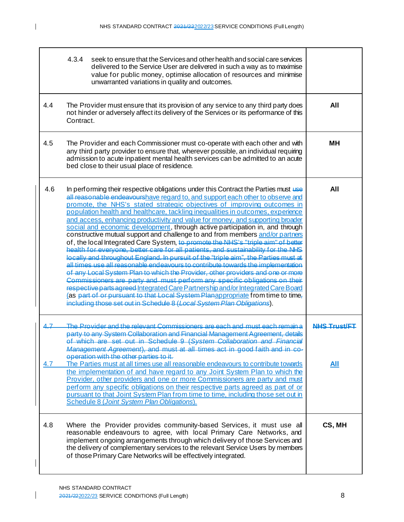$\overline{\phantom{a}}$ 

|            | 4.3.4<br>seek to ensure that the Services and other health and social care services<br>delivered to the Service User are delivered in such a way as to maximise<br>value for public money, optimise allocation of resources and minimise<br>unwarranted variations in quality and outcomes.                                                                                                                                                                                                                                                                                                                                                                                                                                                                                                                                                                                                                                                                                                                                                                                                                                                                                                                                                                                                                                                                    |                     |
|------------|----------------------------------------------------------------------------------------------------------------------------------------------------------------------------------------------------------------------------------------------------------------------------------------------------------------------------------------------------------------------------------------------------------------------------------------------------------------------------------------------------------------------------------------------------------------------------------------------------------------------------------------------------------------------------------------------------------------------------------------------------------------------------------------------------------------------------------------------------------------------------------------------------------------------------------------------------------------------------------------------------------------------------------------------------------------------------------------------------------------------------------------------------------------------------------------------------------------------------------------------------------------------------------------------------------------------------------------------------------------|---------------------|
| 4.4        | The Provider must ensure that its provision of any service to any third party does<br>not hinder or adversely affect its delivery of the Services or its performance of this<br>Contract.                                                                                                                                                                                                                                                                                                                                                                                                                                                                                                                                                                                                                                                                                                                                                                                                                                                                                                                                                                                                                                                                                                                                                                      | All                 |
| 4.5        | The Provider and each Commissioner must co-operate with each other and with<br>any third party provider to ensure that, wherever possible, an individual requiring<br>admission to acute inpatient mental health services can be admitted to an acute<br>bed close to their usual place of residence.                                                                                                                                                                                                                                                                                                                                                                                                                                                                                                                                                                                                                                                                                                                                                                                                                                                                                                                                                                                                                                                          | мн                  |
| 4.6        | In performing their respective obligations under this Contract the Parties must use<br>all reasonable endeavourshave regard to, and support each other to observe and<br>promote, the NHS's stated strategic objectives of improving outcomes in<br>population health and healthcare, tackling inequalities in outcomes, experience<br>and access, enhancing productivity and value for money, and supporting broader<br>social and economic development, through active participation in, and through<br>constructive mutual support and challenge to and from members and/or partners<br>of, the local Integrated Care System, to promote the NHS's "triple aim" of better<br>health for everyone, better care for all patients, and sustainability for the NHS<br>locally and throughout England. In pursuit of the "triple aim". the Parties must at<br>all times use all reasonable endeavours to contribute towards the implementation<br>of any Local System Plan to which the Provider, other providers and one or more<br>Commissioners are party and must perform any specific obligations on their<br>respective parts agreed Integrated Care Partnership and/or Integrated Care Board<br>(as part of or pursuant to that Local System Planappropriate from time to time,<br>including those set out in Schedule 8 (Local System Plan Obligations). | All                 |
| <u> 17</u> | <u>The Provider and the relevant Commissioners are each and must each remain a</u><br>party to any System Collaboration and Financial Management Agreement, details<br>of which are set out in Schedule 9 (System Collaboration and Financial<br>Management Agreement), and must at all times act in good faith and in co-<br>operation with the other parties to it.                                                                                                                                                                                                                                                                                                                                                                                                                                                                                                                                                                                                                                                                                                                                                                                                                                                                                                                                                                                          | <b>NHS Trust/FT</b> |
| 4.7        | The Parties must at all times use all reasonable endeavours to contribute towards<br>the implementation of and have regard to any Joint System Plan to which the<br>Provider, other providers and one or more Commissioners are party and must<br>perform any specific obligations on their respective parts agreed as part of or<br>pursuant to that Joint System Plan from time to time, including those set out in<br>Schedule 8 (Joint System Plan Obligations).                                                                                                                                                                                                                                                                                                                                                                                                                                                                                                                                                                                                                                                                                                                                                                                                                                                                                           | <u>All</u>          |
| 4.8        | Where the Provider provides community-based Services, it must use all<br>reasonable endeavours to agree, with local Primary Care Networks, and<br>implement ongoing arrangements through which delivery of those Services and<br>the delivery of complementary services to the relevant Service Users by members<br>of those Primary Care Networks will be effectively integrated.                                                                                                                                                                                                                                                                                                                                                                                                                                                                                                                                                                                                                                                                                                                                                                                                                                                                                                                                                                             | CS, MH              |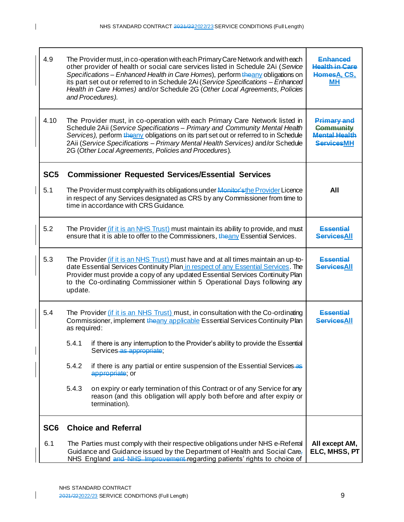| 4.9             | The Provider must, in co-operation with each Primary Care Network and with each<br>other provider of health or social care services listed in Schedule 2Ai (Service<br>Specifications - Enhanced Health in Care Homes), perform theany obligations on<br>its part set out or referred to in Schedule 2Ai (Service Specifications - Enhanced<br>Health in Care Homes) and/or Schedule 2G (Other Local Agreements, Policies<br>and Procedures). | Enhanced<br><b>Health in Care</b><br>HomesA, CS.<br><b>MH</b>                       |
|-----------------|-----------------------------------------------------------------------------------------------------------------------------------------------------------------------------------------------------------------------------------------------------------------------------------------------------------------------------------------------------------------------------------------------------------------------------------------------|-------------------------------------------------------------------------------------|
| 4.10            | The Provider must, in co-operation with each Primary Care Network listed in<br>Schedule 2Aii (Service Specifications - Primary and Community Mental Health<br>Services), perform theany obligations on its part set out or referred to in Schedule<br>2Aii (Service Specifications - Primary Mental Health Services) and/or Schedule<br>2G (Other Local Agreements, Policies and Procedures).                                                 | <b>Primary and</b><br><b>Community</b><br><b>Mental Health</b><br><b>ServicesMH</b> |
| SC <sub>5</sub> | <b>Commissioner Requested Services/Essential Services</b>                                                                                                                                                                                                                                                                                                                                                                                     |                                                                                     |
| 5.1             | The Provider must comply with its obligations under Monitor's the Provider Licence<br>in respect of any Services designated as CRS by any Commissioner from time to<br>time in accordance with CRS Guidance.                                                                                                                                                                                                                                  | All                                                                                 |
| 5.2             | The Provider (if it is an NHS Trust) must maintain its ability to provide, and must<br>ensure that it is able to offer to the Commissioners, the any Essential Services.                                                                                                                                                                                                                                                                      | <b>Essential</b><br><b>ServicesAll</b>                                              |
| 5.3             | The Provider (if it is an NHS Trust) must have and at all times maintain an up-to-<br>date Essential Services Continuity Plan in respect of any Essential Services. The<br>Provider must provide a copy of any updated Essential Services Continuity Plan<br>to the Co-ordinating Commissioner within 5 Operational Days following any<br>update.                                                                                             | <b>Essential</b><br><b>ServicesAll</b>                                              |
| 5.4             | The Provider (if it is an NHS Trust) must, in consultation with the Co-ordinating<br>Commissioner, implement the any applicable Essential Services Continuity Plan<br>as required:                                                                                                                                                                                                                                                            | Essantial<br><b>ServicesAll</b>                                                     |
|                 | 5.4.1 if there is any interruption to the Provider's ability to provide the Essential<br>Services as appropriate;                                                                                                                                                                                                                                                                                                                             |                                                                                     |
|                 | 5.4.2<br>if there is any partial or entire suspension of the Essential Services-as<br>appropriate; or                                                                                                                                                                                                                                                                                                                                         |                                                                                     |
|                 | 5.4.3<br>on expiry or early termination of this Contract or of any Service for any<br>reason (and this obligation will apply both before and after expiry or<br>termination).                                                                                                                                                                                                                                                                 |                                                                                     |
| SC <sub>6</sub> | <b>Choice and Referral</b>                                                                                                                                                                                                                                                                                                                                                                                                                    |                                                                                     |
| 6.1             | The Parties must comply with their respective obligations under NHS e-Referral<br>Guidance and Guidance issued by the Department of Health and Social Care,<br>NHS England and NHS Improvement regarding patients' rights to choice of                                                                                                                                                                                                        | All except AM,<br>ELC, MHSS, PT                                                     |

 $\overline{\phantom{a}}$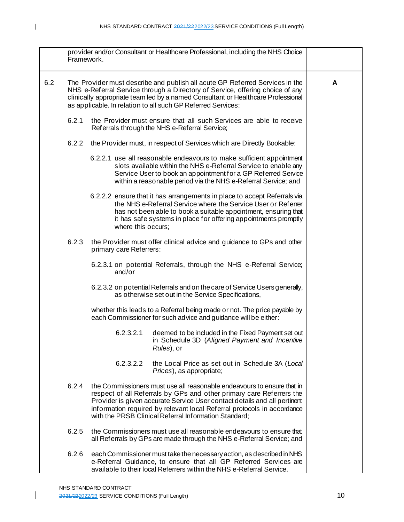|     | Framework. |                                                                                                                                                                                                                                                                                                                   | provider and/or Consultant or Healthcare Professional, including the NHS Choice                                                                                                                                                                                                                        |   |
|-----|------------|-------------------------------------------------------------------------------------------------------------------------------------------------------------------------------------------------------------------------------------------------------------------------------------------------------------------|--------------------------------------------------------------------------------------------------------------------------------------------------------------------------------------------------------------------------------------------------------------------------------------------------------|---|
| 6.2 |            | The Provider must describe and publish all acute GP Referred Services in the<br>NHS e-Referral Service through a Directory of Service, offering choice of any<br>clinically appropriate team led by a named Consultant or Healthcare Professional<br>as applicable. In relation to all such GP Referred Services: |                                                                                                                                                                                                                                                                                                        | A |
|     | 6.2.1      | Referrals through the NHS e-Referral Service;                                                                                                                                                                                                                                                                     | the Provider must ensure that all such Services are able to receive                                                                                                                                                                                                                                    |   |
|     | 6.2.2      |                                                                                                                                                                                                                                                                                                                   | the Provider must, in respect of Services which are Directly Bookable:                                                                                                                                                                                                                                 |   |
|     |            |                                                                                                                                                                                                                                                                                                                   | 6.2.2.1 use all reasonable endeavours to make sufficient appointment<br>slots available within the NHS e-Referral Service to enable any<br>Service User to book an appointment for a GP Referred Service<br>within a reasonable period via the NHS e-Referral Service; and                             |   |
|     |            | where this occurs:                                                                                                                                                                                                                                                                                                | 6.2.2.2 ensure that it has arrangements in place to accept Referrals via<br>the NHS e-Referral Service where the Service User or Referrer<br>has not been able to book a suitable appointment, ensuring that<br>it has safe systems in place for offering appointments promptly                        |   |
|     | 6.2.3      | primary care Referrers:                                                                                                                                                                                                                                                                                           | the Provider must offer clinical advice and guidance to GPs and other                                                                                                                                                                                                                                  |   |
|     |            | and/or                                                                                                                                                                                                                                                                                                            | 6.2.3.1 on potential Referrals, through the NHS e-Referral Service;                                                                                                                                                                                                                                    |   |
|     |            |                                                                                                                                                                                                                                                                                                                   | 6.2.3.2 on potential Referrals and on the care of Service Users generally,<br>as otherwise set out in the Service Specifications,                                                                                                                                                                      |   |
|     |            |                                                                                                                                                                                                                                                                                                                   | whether this leads to a Referral being made or not. The price payable by<br>each Commissioner for such advice and guidance will be either:                                                                                                                                                             |   |
|     |            | 6.2.3.2.1<br>Rules), or                                                                                                                                                                                                                                                                                           | deemed to be included in the Fixed Payment set out<br>in Schedule 3D (Aligned Payment and Incentive                                                                                                                                                                                                    |   |
|     |            | 6.2.3.2.2                                                                                                                                                                                                                                                                                                         | the Local Price as set out in Schedule 3A (Local<br>Prices), as appropriate;                                                                                                                                                                                                                           |   |
|     | 6.2.4      | with the PRSB Clinical Referral Information Standard;                                                                                                                                                                                                                                                             | the Commissioners must use all reasonable endeavours to ensure that in<br>respect of all Referrals by GPs and other primary care Referrers the<br>Provider is given accurate Service User contact details and all pertinent<br>information required by relevant local Referral protocols in accordance |   |
|     | 6.2.5      |                                                                                                                                                                                                                                                                                                                   | the Commissioners must use all reasonable endeavours to ensure that<br>all Referrals by GPs are made through the NHS e-Referral Service; and                                                                                                                                                           |   |
|     | 6.2.6      |                                                                                                                                                                                                                                                                                                                   | each Commissioner must take the necessary action, as described in NHS<br>e-Referral Guidance, to ensure that all GP Referred Services are<br>available to their local Referrers within the NHS e-Referral Service.                                                                                     |   |

 $\mathbf l$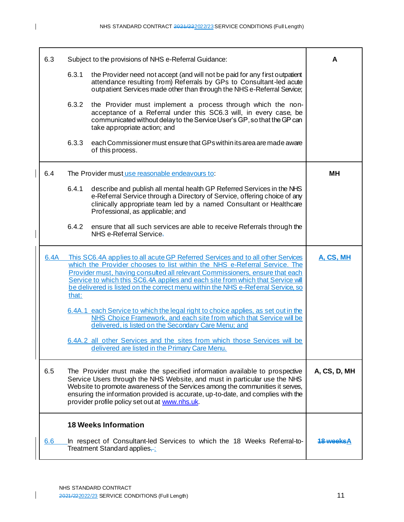| 6.3  |       | Subject to the provisions of NHS e-Referral Guidance:                                                                                                                                                                                                                                                                                                                                                               | A                |
|------|-------|---------------------------------------------------------------------------------------------------------------------------------------------------------------------------------------------------------------------------------------------------------------------------------------------------------------------------------------------------------------------------------------------------------------------|------------------|
|      | 6.3.1 | the Provider need not accept (and will not be paid for any first outpatient<br>attendance resulting from) Referrals by GPs to Consultant-led acute<br>outpatient Services made other than through the NHS e-Referral Service;                                                                                                                                                                                       |                  |
|      | 6.3.2 | the Provider must implement a process through which the non-<br>acceptance of a Referral under this SC6.3 will, in every case, be<br>communicated without delay to the Service User's GP, so that the GP can<br>take appropriate action; and                                                                                                                                                                        |                  |
|      | 6.3.3 | each Commissioner must ensure that GPs within its area are made aware<br>of this process.                                                                                                                                                                                                                                                                                                                           |                  |
| 6.4  |       | The Provider must use reasonable endeavours to:                                                                                                                                                                                                                                                                                                                                                                     | MН               |
|      | 6.4.1 | describe and publish all mental health GP Referred Services in the NHS<br>e-Referral Service through a Directory of Service, offering choice of any<br>clinically appropriate team led by a named Consultant or Healthcare<br>Professional, as applicable; and                                                                                                                                                      |                  |
|      | 6.4.2 | ensure that all such services are able to receive Referrals through the<br>NHS e-Referral Service-                                                                                                                                                                                                                                                                                                                  |                  |
| 6.4A | that: | This SC6.4A applies to all acute GP Referred Services and to all other Services<br>which the Provider chooses to list within the NHS e-Referral Service. The<br>Provider must, having consulted all relevant Commissioners, ensure that each<br>Service to which this SC6.4A applies and each site from which that Service will<br>be delivered is listed on the correct menu within the NHS e-Referral Service, so | A, CS, MH        |
|      |       | 6.4A.1 each Service to which the legal right to choice applies, as set out in the<br>NHS Choice Framework, and each site from which that Service will be<br>delivered, is listed on the Secondary Care Menu; and                                                                                                                                                                                                    |                  |
|      |       | 6.4A.2 all other Services and the sites from which those Services will be<br><u>delivered are listed in the Primary Care Menu.</u>                                                                                                                                                                                                                                                                                  |                  |
| 6.5  |       | The Provider must make the specified information available to prospective<br>Service Users through the NHS Website, and must in particular use the NHS<br>Website to promote awareness of the Services among the communities it serves,<br>ensuring the information provided is accurate, up-to-date, and complies with the<br>provider profile policy set out at www.nhs.uk.                                       | A, CS, D, MH     |
|      |       | <b>18 Weeks Information</b>                                                                                                                                                                                                                                                                                                                                                                                         |                  |
| 6.6  |       | In respect of Consultant-led Services to which the 18 Weeks Referral-to-<br>Treatment Standard applies-:                                                                                                                                                                                                                                                                                                            | <u> 18 weeks</u> |

 $\overline{1}$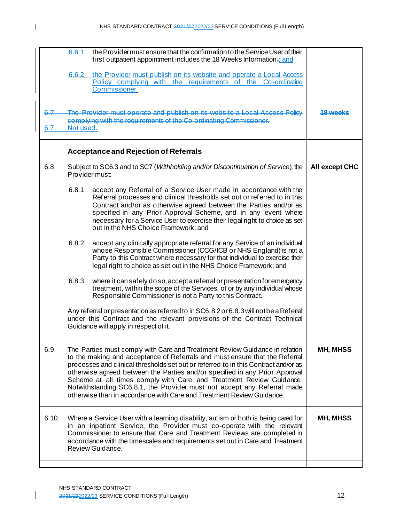|                | the Provider must ensure that the confirmation to the Service User of their<br>6.6.1<br>first outpatient appointment includes the 18 Weeks Information.; and                                                                                                                                                                                                                                                                                                                                                                                                |                  |
|----------------|-------------------------------------------------------------------------------------------------------------------------------------------------------------------------------------------------------------------------------------------------------------------------------------------------------------------------------------------------------------------------------------------------------------------------------------------------------------------------------------------------------------------------------------------------------------|------------------|
|                | the Provider must publish on its website and operate a Local Access<br>6.6.2<br>Policy complying with the requirements of the Co-ordinating<br>Commissioner.                                                                                                                                                                                                                                                                                                                                                                                                |                  |
| $6.7 -$<br>6.7 | The Provider must operate and publish on its website a Local Access Policy<br>complying with the requirements of the Co-ordinating Commissioner.<br>Not used.                                                                                                                                                                                                                                                                                                                                                                                               | <u> 18 waaks</u> |
|                | <b>Acceptance and Rejection of Referrals</b>                                                                                                                                                                                                                                                                                                                                                                                                                                                                                                                |                  |
| 6.8            | Subject to SC6.3 and to SC7 (Withholding and/or Discontinuation of Service), the<br>Provider must:                                                                                                                                                                                                                                                                                                                                                                                                                                                          | All except CHC   |
|                | 6.8.1<br>accept any Referral of a Service User made in accordance with the<br>Referral processes and clinical thresholds set out or referred to in this<br>Contract and/or as otherwise agreed between the Parties and/or as<br>specified in any Prior Approval Scheme, and in any event where<br>necessary for a Service User to exercise their legal right to choice as set<br>out in the NHS Choice Framework; and                                                                                                                                       |                  |
|                | 6.8.2<br>accept any clinically appropriate referral for any Service of an individual<br>whose Responsible Commissioner (CCG/ICB or NHS England) is not a<br>Party to this Contract where necessary for that individual to exercise their<br>legal right to choice as set out in the NHS Choice Framework; and                                                                                                                                                                                                                                               |                  |
|                | 6.8.3<br>where it can safely do so, accept a referral or presentation for emergency<br>treatment, within the scope of the Services, of or by any individual whose<br>Responsible Commissioner is not a Party to this Contract.                                                                                                                                                                                                                                                                                                                              |                  |
|                | Any referral or presentation as referred to in SC6.8.2 or 6.8.3 will not be a Referral<br>under this Contract and the relevant provisions of the Contract Technical<br>Guidance will apply in respect of it.                                                                                                                                                                                                                                                                                                                                                |                  |
| 6.9            | The Parties must comply with Care and Treatment Review Guidance in relation<br>to the making and acceptance of Referrals and must ensure that the Referral<br>processes and clinical thresholds set out or referred to in this Contract and/or as<br>otherwise agreed between the Parties and/or specified in any Prior Approval<br>Scheme at all times comply with Care and Treatment Review Guidance.<br>Notwithstanding SC6.8.1, the Provider must not accept any Referral made<br>otherwise than in accordance with Care and Treatment Review Guidance. | <b>MH, MHSS</b>  |
| 6.10           | Where a Service User with a learning disability, autism or both is being cared for<br>in an inpatient Service, the Provider must co-operate with the relevant<br>Commissioner to ensure that Care and Treatment Reviews are completed in<br>accordance with the timescales and requirements set out in Care and Treatment<br>Review Guidance.                                                                                                                                                                                                               | <b>MH, MHSS</b>  |
|                |                                                                                                                                                                                                                                                                                                                                                                                                                                                                                                                                                             |                  |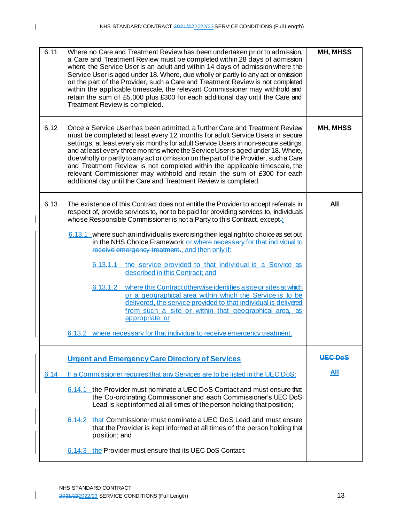| 6.11 | Where no Care and Treatment Review has been undertaken prior to admission,<br>a Care and Treatment Review must be completed within 28 days of admission<br>where the Service User is an adult and within 14 days of admission where the<br>Service User is aged under 18. Where, due wholly or partly to any act or omission<br>on the part of the Provider, such a Care and Treatment Review is not completed<br>within the applicable timescale, the relevant Commissioner may withhold and<br>retain the sum of £5,000 plus £300 for each additional day until the Care and<br>Treatment Review is completed.                                                                                                                                                                                                                                                                                                                                                 | MH, MHSS       |
|------|------------------------------------------------------------------------------------------------------------------------------------------------------------------------------------------------------------------------------------------------------------------------------------------------------------------------------------------------------------------------------------------------------------------------------------------------------------------------------------------------------------------------------------------------------------------------------------------------------------------------------------------------------------------------------------------------------------------------------------------------------------------------------------------------------------------------------------------------------------------------------------------------------------------------------------------------------------------|----------------|
| 6.12 | Once a Service User has been admitted, a further Care and Treatment Review<br>must be completed at least every 12 months for adult Service Users in secure<br>settings, at least every six months for adult Service Users in non-secure settings,<br>and at least every three months where the Service User is aged under 18. Where,<br>due wholly or partly to any act or omission on the part of the Provider, such a Care<br>and Treatment Review is not completed within the applicable timescale, the<br>relevant Commissioner may withhold and retain the sum of £300 for each<br>additional day until the Care and Treatment Review is completed.                                                                                                                                                                                                                                                                                                         | MH, MHSS       |
| 6.13 | The existence of this Contract does not entitle the Provider to accept referrals in<br>respect of, provide services to, nor to be paid for providing services to, individuals<br>whose Responsible Commissioner is not a Party to this Contract, except-<br>6.13.1 where such an individual is exercising their legal right to choice as set out<br>in the NHS Choice Framework-or where necessary for that individual to<br>receive emergency treatment., and then only if:<br>the service provided to that individual is a Service as<br>6.13.1.1<br>described in this Contract; and<br>where this Contract otherwise identifies a site or sites at which<br>6.13.1.2<br>or a geographical area within which the Service is to be<br>delivered, the service provided to that individual is delivered<br>from such a site or within that geographical area, as<br>appropriate; or<br>6.13.2 where necessary for that individual to receive emergency treatment. | All            |
|      | <b>Urgent and Emergency Care Directory of Services</b>                                                                                                                                                                                                                                                                                                                                                                                                                                                                                                                                                                                                                                                                                                                                                                                                                                                                                                           | <b>UEC DoS</b> |
| 6.14 | If a Commissioner requires that any Services are to be listed in the UEC DoS:                                                                                                                                                                                                                                                                                                                                                                                                                                                                                                                                                                                                                                                                                                                                                                                                                                                                                    | <b>All</b>     |
|      | 6.14.1 the Provider must nominate a UEC DoS Contact and must ensure that<br>the Co-ordinating Commissioner and each Commissioner's UEC DoS<br>Lead is kept informed at all times of the person holding that position;                                                                                                                                                                                                                                                                                                                                                                                                                                                                                                                                                                                                                                                                                                                                            |                |
|      | 6.14.2 that Commissioner must nominate a UEC DoS Lead and must ensure<br>that the Provider is kept informed at all times of the person holding that<br>position; and                                                                                                                                                                                                                                                                                                                                                                                                                                                                                                                                                                                                                                                                                                                                                                                             |                |
|      | 6.14.3 the Provider must ensure that its UEC DoS Contact:                                                                                                                                                                                                                                                                                                                                                                                                                                                                                                                                                                                                                                                                                                                                                                                                                                                                                                        |                |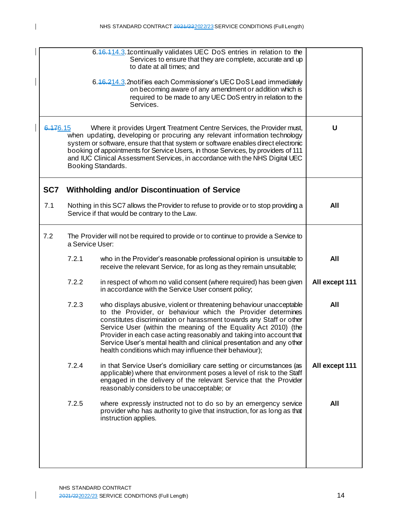|     |                                                                                                                                                                                                                                                                                                                                                                                                                                                  | 6.46.414.3.1 continually validates UEC DoS entries in relation to the<br>Services to ensure that they are complete, accurate and up<br>to date at all times; and                                                                                                                                                                                                                                                                                                                        |                |
|-----|--------------------------------------------------------------------------------------------------------------------------------------------------------------------------------------------------------------------------------------------------------------------------------------------------------------------------------------------------------------------------------------------------------------------------------------------------|-----------------------------------------------------------------------------------------------------------------------------------------------------------------------------------------------------------------------------------------------------------------------------------------------------------------------------------------------------------------------------------------------------------------------------------------------------------------------------------------|----------------|
|     | 6.46.214.3.2notifies each Commissioner's UEC DoS Lead immediately                                                                                                                                                                                                                                                                                                                                                                                |                                                                                                                                                                                                                                                                                                                                                                                                                                                                                         |                |
|     | 6.176.15<br>Where it provides Urgent Treatment Centre Services, the Provider must,<br>when updating, developing or procuring any relevant information technology<br>system or software, ensure that that system or software enables direct electronic<br>booking of appointments for Service Users, in those Services, by providers of 111<br>and IUC Clinical Assessment Services, in accordance with the NHS Digital UEC<br>Booking Standards. |                                                                                                                                                                                                                                                                                                                                                                                                                                                                                         |                |
| SC7 |                                                                                                                                                                                                                                                                                                                                                                                                                                                  | Withholding and/or Discontinuation of Service                                                                                                                                                                                                                                                                                                                                                                                                                                           |                |
| 7.1 |                                                                                                                                                                                                                                                                                                                                                                                                                                                  | Nothing in this SC7 allows the Provider to refuse to provide or to stop providing a<br>Service if that would be contrary to the Law.                                                                                                                                                                                                                                                                                                                                                    | All            |
| 7.2 | a Service User:                                                                                                                                                                                                                                                                                                                                                                                                                                  | The Provider will not be required to provide or to continue to provide a Service to                                                                                                                                                                                                                                                                                                                                                                                                     |                |
|     | 7.2.1                                                                                                                                                                                                                                                                                                                                                                                                                                            | who in the Provider's reasonable professional opinion is unsuitable to<br>receive the relevant Service, for as long as they remain unsuitable;                                                                                                                                                                                                                                                                                                                                          | All            |
|     | 7.2.2                                                                                                                                                                                                                                                                                                                                                                                                                                            | in respect of whom no valid consent (where required) has been given<br>in accordance with the Service User consent policy;                                                                                                                                                                                                                                                                                                                                                              | All except 111 |
|     | 7.2.3                                                                                                                                                                                                                                                                                                                                                                                                                                            | who displays abusive, violent or threatening behaviour unacceptable<br>to the Provider, or behaviour which the Provider determines<br>constitutes discrimination or harassment towards any Staff or other<br>Service User (within the meaning of the Equality Act 2010) (the<br>Provider in each case acting reasonably and taking into account that<br>Service User's mental health and clinical presentation and any other<br>health conditions which may influence their behaviour); | All            |
|     | 7.2.4                                                                                                                                                                                                                                                                                                                                                                                                                                            | in that Service User's domiciliary care setting or circumstances (as<br>applicable) where that environment poses a level of risk to the Staff<br>engaged in the delivery of the relevant Service that the Provider<br>reasonably considers to be unacceptable; or                                                                                                                                                                                                                       | All except 111 |
|     | 7.2.5                                                                                                                                                                                                                                                                                                                                                                                                                                            | where expressly instructed not to do so by an emergency service<br>provider who has authority to give that instruction, for as long as that<br>instruction applies.                                                                                                                                                                                                                                                                                                                     | All            |
|     |                                                                                                                                                                                                                                                                                                                                                                                                                                                  |                                                                                                                                                                                                                                                                                                                                                                                                                                                                                         |                |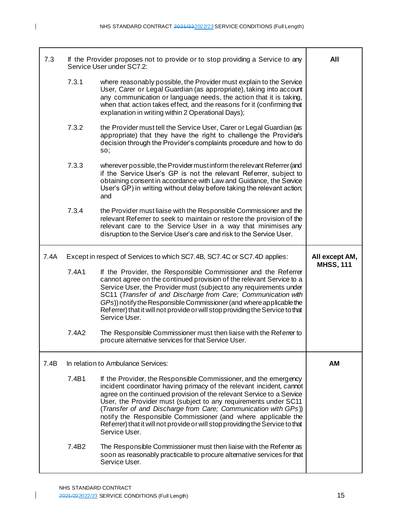| 7.3  |       | If the Provider proposes not to provide or to stop providing a Service to any<br>Service User under SC7.2:                                                                                                                                                                                                                                                                                                                                                                                                                | All                                |
|------|-------|---------------------------------------------------------------------------------------------------------------------------------------------------------------------------------------------------------------------------------------------------------------------------------------------------------------------------------------------------------------------------------------------------------------------------------------------------------------------------------------------------------------------------|------------------------------------|
|      | 7.3.1 | where reasonably possible, the Provider must explain to the Service<br>User, Carer or Legal Guardian (as appropriate), taking into account<br>any communication or language needs, the action that it is taking,<br>when that action takes effect, and the reasons for it (confirming that<br>explanation in writing within 2 Operational Days);                                                                                                                                                                          |                                    |
|      | 7.3.2 | the Provider must tell the Service User, Carer or Legal Guardian (as<br>appropriate) that they have the right to challenge the Provide's<br>decision through the Provider's complaints procedure and how to do<br>SO;                                                                                                                                                                                                                                                                                                     |                                    |
|      | 7.3.3 | wherever possible, the Provider must inform the relevant Referrer (and<br>if the Service User's GP is not the relevant Referrer, subject to<br>obtaining consent in accordance with Law and Guidance, the Service<br>User's GP) in writing without delay before taking the relevant action;<br>and                                                                                                                                                                                                                        |                                    |
|      | 7.3.4 | the Provider must liaise with the Responsible Commissioner and the<br>relevant Referrer to seek to maintain or restore the provision of the<br>relevant care to the Service User in a way that minimises any<br>disruption to the Service User's care and risk to the Service User.                                                                                                                                                                                                                                       |                                    |
| 7.4A |       | Except in respect of Services to which SC7.4B, SC7.4C or SC7.4D applies:                                                                                                                                                                                                                                                                                                                                                                                                                                                  | All except AM,<br><b>MHSS, 111</b> |
|      | 7.4A1 | If the Provider, the Responsible Commissioner and the Referrer                                                                                                                                                                                                                                                                                                                                                                                                                                                            |                                    |
|      |       | cannot agree on the continued provision of the relevant Service to a<br>Service User, the Provider must (subject to any requirements under<br>SC11 (Transfer of and Discharge from Care; Communication with<br>GPs)) notify the Responsible Commissioner (and where applicable the<br>Referrer) that it will not provide or will stop providing the Service to that<br>Service User.                                                                                                                                      |                                    |
|      | 7.4A2 | The Responsible Commissioner must then liaise with the Referrer to<br>procure alternative services for that Service User.                                                                                                                                                                                                                                                                                                                                                                                                 |                                    |
| 7.4B |       | In relation to Ambulance Services:                                                                                                                                                                                                                                                                                                                                                                                                                                                                                        | АM                                 |
|      | 7.4B1 | If the Provider, the Responsible Commissioner, and the emergency<br>incident coordinator having primacy of the relevant incident, cannot<br>agree on the continued provision of the relevant Service to a Service<br>User, the Provider must (subject to any requirements under SC11<br>(Transfer of and Discharge from Care; Communication with GPs))<br>notify the Responsible Commissioner (and where applicable the<br>Referrer) that it will not provide or will stop providing the Service to that<br>Service User. |                                    |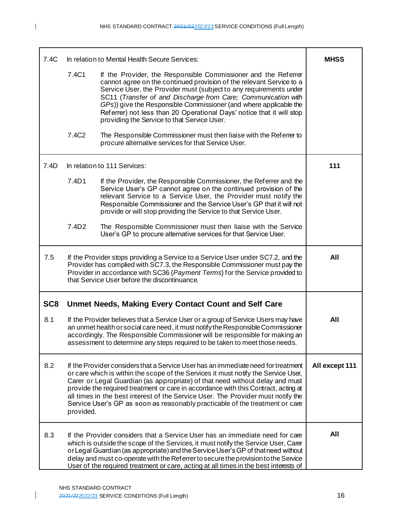| 7.4C            |                   | In relation to Mental Health Secure Services:                                                                                                                                                                                                                                                                                                                                                                                                                                                                     | <b>MHSS</b>    |
|-----------------|-------------------|-------------------------------------------------------------------------------------------------------------------------------------------------------------------------------------------------------------------------------------------------------------------------------------------------------------------------------------------------------------------------------------------------------------------------------------------------------------------------------------------------------------------|----------------|
|                 | 7.4C1             | If the Provider, the Responsible Commissioner and the Referrer<br>cannot agree on the continued provision of the relevant Service to a<br>Service User, the Provider must (subject to any requirements under<br>SC11 (Transfer of and Discharge from Care; Communication with<br>GPs)) give the Responsible Commissioner (and where applicable the<br>Referrer) not less than 20 Operational Days' notice that it will stop<br>providing the Service to that Service User.                                        |                |
|                 | 7.4C <sub>2</sub> | The Responsible Commissioner must then liaise with the Referrer to<br>procure alternative services for that Service User.                                                                                                                                                                                                                                                                                                                                                                                         |                |
| 7.4D            |                   | In relation to 111 Services:                                                                                                                                                                                                                                                                                                                                                                                                                                                                                      | 111            |
|                 | 7.4D1             | If the Provider, the Responsible Commissioner, the Referrer and the<br>Service User's GP cannot agree on the continued provision of the<br>relevant Service to a Service User, the Provider must notify the<br>Responsible Commissioner and the Service User's GP that it will not<br>provide or will stop providing the Service to that Service User.                                                                                                                                                            |                |
|                 | 7.4D <sub>2</sub> | The Responsible Commissioner must then liaise with the Service<br>User's GP to procure alternative services for that Service User.                                                                                                                                                                                                                                                                                                                                                                                |                |
| 7.5             |                   | If the Provider stops providing a Service to a Service User under SC7.2, and the<br>Provider has complied with SC7.3, the Responsible Commissioner must pay the<br>Provider in accordance with SC36 (Payment Terms) for the Service provided to<br>that Service User before the discontinuance.                                                                                                                                                                                                                   | All            |
| SC <sub>8</sub> |                   | Unmet Needs, Making Every Contact Count and Self Care                                                                                                                                                                                                                                                                                                                                                                                                                                                             |                |
| 8.1             |                   | If the Provider believes that a Service User or a group of Service Users may have<br>an unmet health or social care need, it must notify the Responsible Commissioner<br>accordingly. The Responsible Commissioner will be responsible for making an<br>assessment to determine any steps required to be taken to meet those needs.                                                                                                                                                                               | All            |
| 8.2             | provided.         | If the Provider considers that a Service User has an immediate need for treatment<br>or care which is within the scope of the Services it must notify the Service User,<br>Carer or Legal Guardian (as appropriate) of that need without delay and must<br>provide the required treatment or care in accordance with this Contract, acting at<br>all times in the best interest of the Service User. The Provider must notify the<br>Service User's GP as soon as reasonably practicable of the treatment or care | All except 111 |
| 8.3             |                   | If the Provider considers that a Service User has an immediate need for care<br>which is outside the scope of the Services, it must notify the Service User, Carer<br>or Legal Guardian (as appropriate) and the Service User's GP of that need without<br>delay and must co-operate with the Referrer to secure the provision to the Service<br>User of the required treatment or care, acting at all times in the best interests of                                                                             | All            |

 $\overline{1}$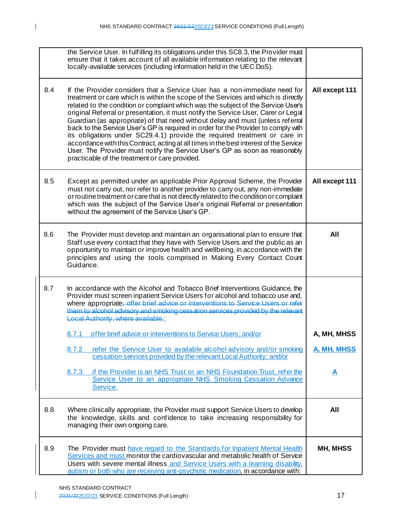|     | the Service User. In fulfilling its obligations under this SC8.3, the Provider must<br>ensure that it takes account of all available information relating to the relevant<br>locally-available services (including information held in the UEC DoS).                                                                                                                                                                                                                                                                                                                                                                                                                                                                                                                                                                      |                    |
|-----|---------------------------------------------------------------------------------------------------------------------------------------------------------------------------------------------------------------------------------------------------------------------------------------------------------------------------------------------------------------------------------------------------------------------------------------------------------------------------------------------------------------------------------------------------------------------------------------------------------------------------------------------------------------------------------------------------------------------------------------------------------------------------------------------------------------------------|--------------------|
| 8.4 | If the Provider considers that a Service User has a non-immediate need for<br>treatment or care which is within the scope of the Services and which is directly<br>related to the condition or complaint which was the subject of the Service User's<br>original Referral or presentation, it must notify the Service User, Carer or Legal<br>Guardian (as appropriate) of that need without delay and must (unless referral<br>back to the Service User's GP is required in order for the Provider to comply with<br>its obligations under SC29.4.1) provide the required treatment or care in<br>accordance with this Contract, acting at all times in the best interest of the Service<br>User. The Provider must notify the Service User's GP as soon as reasonably<br>practicable of the treatment or care provided. | All except 111     |
| 8.5 | Except as permitted under an applicable Prior Approval Scheme, the Provider<br>must not carry out, nor refer to another provider to carry out, any non-immediate<br>or routine treatment or care that is not directly related to the condition or complaint<br>which was the subject of the Service User's original Referral or presentation<br>without the agreement of the Service User's GP.                                                                                                                                                                                                                                                                                                                                                                                                                           | All except 111     |
| 8.6 | The Provider must develop and maintain an organisational plan to ensure that<br>Staff use every contact that they have with Service Users and the public as an<br>opportunity to maintain or improve health and wellbeing, in accordance with the<br>principles and using the tools comprised in Making Every Contact Count<br>Guidance.                                                                                                                                                                                                                                                                                                                                                                                                                                                                                  | All                |
| 8.7 | In accordance with the Alcohol and Tobacco Brief Interventions Guidance, the<br>Provider must screen inpatient Service Users for alcohol and tobacco use and,<br>where appropriate, offer brief advice or interventions to Service Users or refer<br>them to alcohol advisory and smoking cessation services provided by the relevant<br>Local Authority, where available :                                                                                                                                                                                                                                                                                                                                                                                                                                               |                    |
|     | offer brief advice or interventions to Service Users; and/or<br>8.7.1                                                                                                                                                                                                                                                                                                                                                                                                                                                                                                                                                                                                                                                                                                                                                     | A, MH, MHSS        |
|     | refer the Service User to available alcohol advisory and/or smoking<br>8.7.2<br>cessation services provided by the relevant Local Authority; and/or                                                                                                                                                                                                                                                                                                                                                                                                                                                                                                                                                                                                                                                                       | <u>A, MH, MHSS</u> |
|     | if the Provider is an NHS Trust or an NHS Foundation Trust, refer the<br>8.7.3<br>Service User to an appropriate NHS Smoking Cessation Advance<br>Service.                                                                                                                                                                                                                                                                                                                                                                                                                                                                                                                                                                                                                                                                | <u>A</u>           |
| 8.8 | Where clinically appropriate, the Provider must support Service Users to develop<br>the knowledge, skills and confidence to take increasing responsibility for<br>managing their own ongoing care.                                                                                                                                                                                                                                                                                                                                                                                                                                                                                                                                                                                                                        | All                |
| 8.9 | The Provider must have regard to the Standards for Inpatient Mental Health<br>Services and must monitor the cardiovascular and metabolic health of Service<br>Users with severe mental illness and Service Users with a learning disability.<br>autism or both who are receiving anti-psychotic medication, in accordance with:                                                                                                                                                                                                                                                                                                                                                                                                                                                                                           | <b>MH, MHSS</b>    |

 $\overline{\phantom{a}}$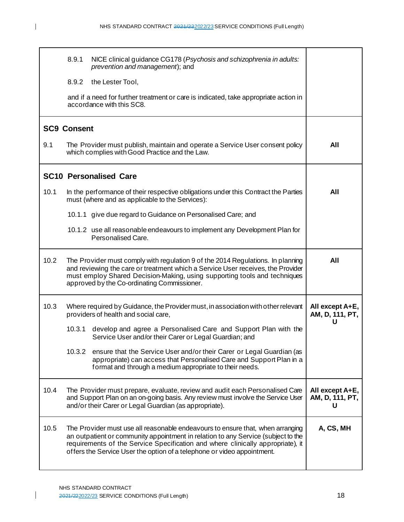|                    | 8.9.1  | NICE clinical guidance CG178 (Psychosis and schizophrenia in adults:<br>prevention and management); and                                                                                                                                                                                                                           |                                         |
|--------------------|--------|-----------------------------------------------------------------------------------------------------------------------------------------------------------------------------------------------------------------------------------------------------------------------------------------------------------------------------------|-----------------------------------------|
|                    | 8.9.2  | the Lester Tool,                                                                                                                                                                                                                                                                                                                  |                                         |
|                    |        | and if a need for further treatment or care is indicated, take appropriate action in<br>accordance with this SC8.                                                                                                                                                                                                                 |                                         |
| <b>SC9 Consent</b> |        |                                                                                                                                                                                                                                                                                                                                   |                                         |
| 9.1                |        | The Provider must publish, maintain and operate a Service User consent policy<br>which complies with Good Practice and the Law.                                                                                                                                                                                                   | All                                     |
|                    |        | <b>SC10 Personalised Care</b>                                                                                                                                                                                                                                                                                                     |                                         |
| 10.1               |        | In the performance of their respective obligations under this Contract the Parties<br>must (where and as applicable to the Services):                                                                                                                                                                                             | All                                     |
|                    |        | 10.1.1 give due regard to Guidance on Personalised Care; and                                                                                                                                                                                                                                                                      |                                         |
|                    |        | 10.1.2 use all reasonable endeavours to implement any Development Plan for<br>Personalised Care.                                                                                                                                                                                                                                  |                                         |
| 10.2               |        | The Provider must comply with regulation 9 of the 2014 Regulations. In planning<br>and reviewing the care or treatment which a Service User receives, the Provider<br>must employ Shared Decision-Making, using supporting tools and techniques<br>approved by the Co-ordinating Commissioner.                                    | All                                     |
| 10.3               |        | Where required by Guidance, the Provider must, in association with other relevant<br>providers of health and social care,                                                                                                                                                                                                         | All except A+E,<br>AM, D, 111, PT,      |
|                    | 10.3.1 | develop and agree a Personalised Care and Support Plan with the<br>Service User and/or their Carer or Legal Guardian; and                                                                                                                                                                                                         | U                                       |
|                    | 10.3.2 | ensure that the Service User and/or their Carer or Legal Guardian (as<br>appropriate) can access that Personalised Care and Support Plan in a<br>format and through a medium appropriate to their needs.                                                                                                                          |                                         |
| 10.4               |        | The Provider must prepare, evaluate, review and audit each Personalised Care<br>and Support Plan on an on-going basis. Any review must involve the Service User<br>and/or their Carer or Legal Guardian (as appropriate).                                                                                                         | All except A+E,<br>AM, D, 111, PT,<br>U |
| 10.5               |        | The Provider must use all reasonable endeavours to ensure that, when arranging<br>an outpatient or community appointment in relation to any Service (subject to the<br>requirements of the Service Specification and where clinically appropriate), it<br>offers the Service User the option of a telephone or video appointment. | A, CS, MH                               |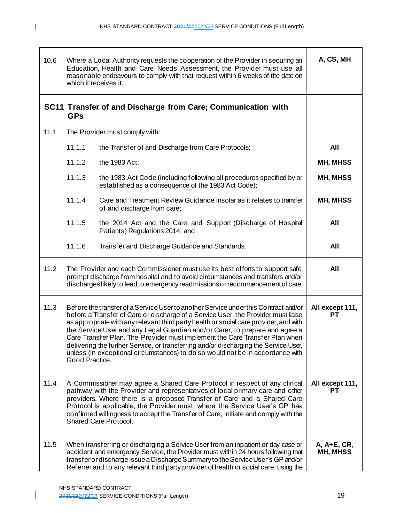| 10.6 | Where a Local Authority requests the cooperation of the Provider in securing an<br>Education, Health and Care Needs Assessment, the Provider must use all<br>reasonable endeavours to comply with that request within 6 weeks of the date on<br>which it receives it.                                                                                                                                                                                                                                                                                                                                                         | A, CS, MH               |  |
|------|-------------------------------------------------------------------------------------------------------------------------------------------------------------------------------------------------------------------------------------------------------------------------------------------------------------------------------------------------------------------------------------------------------------------------------------------------------------------------------------------------------------------------------------------------------------------------------------------------------------------------------|-------------------------|--|
|      | SC11 Transfer of and Discharge from Care; Communication with<br><b>GPs</b>                                                                                                                                                                                                                                                                                                                                                                                                                                                                                                                                                    |                         |  |
| 11.1 | The Provider must comply with:                                                                                                                                                                                                                                                                                                                                                                                                                                                                                                                                                                                                |                         |  |
|      | 11.1.1<br>the Transfer of and Discharge from Care Protocols;                                                                                                                                                                                                                                                                                                                                                                                                                                                                                                                                                                  | All                     |  |
|      | 11.1.2<br>the 1983 Act;                                                                                                                                                                                                                                                                                                                                                                                                                                                                                                                                                                                                       | <b>MH, MHSS</b>         |  |
|      | 11.1.3<br>the 1983 Act Code (including following all procedures specified by or<br>established as a consequence of the 1983 Act Code);                                                                                                                                                                                                                                                                                                                                                                                                                                                                                        | <b>MH, MHSS</b>         |  |
|      | 11.1.4<br>Care and Treatment Review Guidance insofar as it relates to transfer<br>of and discharge from care;                                                                                                                                                                                                                                                                                                                                                                                                                                                                                                                 | MH, MHSS                |  |
|      | 11.1.5<br>the 2014 Act and the Care and Support (Discharge of Hospital<br>Patients) Regulations 2014; and                                                                                                                                                                                                                                                                                                                                                                                                                                                                                                                     | All                     |  |
|      | 11.1.6<br>Transfer and Discharge Guidance and Standards.                                                                                                                                                                                                                                                                                                                                                                                                                                                                                                                                                                      | All                     |  |
| 11.2 | The Provider and each Commissioner must use its best efforts to support safe,<br>prompt discharge from hospital and to avoid circumstances and transfers and/or<br>discharges likely to lead to emergency readmissions or recommencement of care.                                                                                                                                                                                                                                                                                                                                                                             | All                     |  |
| 11.3 | Before the transfer of a Service User to another Service under this Contract and/or<br>before a Transfer of Care or discharge of a Service User, the Provider must liaise<br>as appropriate with any relevant third party health or social care provider, and with<br>the Service User and any Legal Guardian and/or Carer, to prepare and agree a<br>Care Transfer Plan. The Provider must implement the Care Transfer Plan when<br>delivering the further Service, or transferring and/or discharging the Service User,<br>unless (in exceptional circumstances) to do so would not be in accordance with<br>Good Practice. | All except 111,<br>PТ   |  |
| 11.4 | A Commissioner may agree a Shared Care Protocol in respect of any clinical<br>pathway with the Provider and representatives of local primary care and other<br>providers. Where there is a proposed Transfer of Care and a Shared Care<br>Protocol is applicable, the Provider must, where the Service User's GP has<br>confirmed willingness to accept the Transfer of Care, initiate and comply with the<br>Shared Care Protocol.                                                                                                                                                                                           | All except 111,<br>PТ   |  |
| 11.5 | When transferring or discharging a Service User from an inpatient or day case or<br>accident and emergency Service, the Provider must within 24 hours following that<br>transfer or discharge issue a Discharge Summary to the Service User's GP and/or<br>Referrer and to any relevant third party provider of health or social care, using the                                                                                                                                                                                                                                                                              | A, A+E, CR,<br>MH, MHSS |  |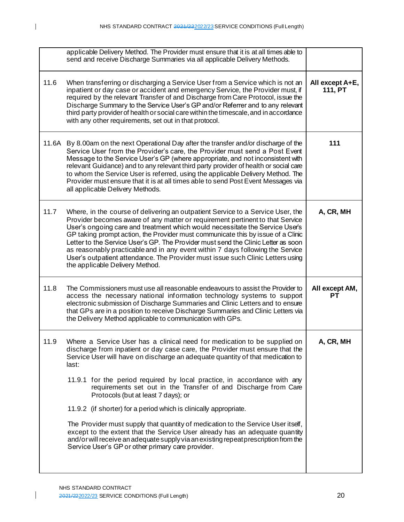|       | applicable Delivery Method. The Provider must ensure that it is at all times able to<br>send and receive Discharge Summaries via all applicable Delivery Methods.                                                                                                                                                                                                                                                                                                                                                                                                                                                                                                                                                                                                                                                              |                            |
|-------|--------------------------------------------------------------------------------------------------------------------------------------------------------------------------------------------------------------------------------------------------------------------------------------------------------------------------------------------------------------------------------------------------------------------------------------------------------------------------------------------------------------------------------------------------------------------------------------------------------------------------------------------------------------------------------------------------------------------------------------------------------------------------------------------------------------------------------|----------------------------|
| 11.6  | When transferring or discharging a Service User from a Service which is not an<br>inpatient or day case or accident and emergency Service, the Provider must, if<br>required by the relevant Transfer of and Discharge from Care Protocol, issue the<br>Discharge Summary to the Service User's GP and/or Referrer and to any relevant<br>third party provider of health or social care within the timescale, and in accordance<br>with any other requirements, set out in that protocol.                                                                                                                                                                                                                                                                                                                                      | All except A+E,<br>111, PT |
| 11.6A | By 8.00am on the next Operational Day after the transfer and/or discharge of the<br>Service User from the Provider's care, the Provider must send a Post Event<br>Message to the Service User's GP (where appropriate, and not inconsistent with<br>relevant Guidance) and to any relevant third party provider of health or social care<br>to whom the Service User is referred, using the applicable Delivery Method. The<br>Provider must ensure that it is at all times able to send Post Event Messages via<br>all applicable Delivery Methods.                                                                                                                                                                                                                                                                           | 111                        |
| 11.7  | Where, in the course of delivering an outpatient Service to a Service User, the<br>Provider becomes aware of any matter or requirement pertinent to that Service<br>User's ongoing care and treatment which would necessitate the Service User's<br>GP taking prompt action, the Provider must communicate this by issue of a Clinic<br>Letter to the Service User's GP. The Provider must send the Clinic Letter as soon<br>as reasonably practicable and in any event within 7 days following the Service<br>User's outpatient attendance. The Provider must issue such Clinic Letters using<br>the applicable Delivery Method.                                                                                                                                                                                              | A, CR, MH                  |
| 11.8  | The Commissioners must use all reasonable endeavours to assist the Provider to<br>access the necessary national information technology systems to support<br>electronic submission of Discharge Summaries and Clinic Letters and to ensure<br>that GPs are in a position to receive Discharge Summaries and Clinic Letters via<br>the Delivery Method applicable to communication with GPs.                                                                                                                                                                                                                                                                                                                                                                                                                                    | All except AM,<br>PТ       |
| 11.9  | Where a Service User has a clinical need for medication to be supplied on<br>discharge from inpatient or day case care, the Provider must ensure that the<br>Service User will have on discharge an adequate quantity of that medication to<br>last:<br>11.9.1 for the period required by local practice, in accordance with any<br>requirements set out in the Transfer of and Discharge from Care<br>Protocols (but at least 7 days); or<br>11.9.2 (if shorter) for a period which is clinically appropriate.<br>The Provider must supply that quantity of medication to the Service User itself,<br>except to the extent that the Service User already has an adequate quantity<br>and/or will receive an adequate supply via an existing repeat prescription from the<br>Service User's GP or other primary care provider. | A, CR, MH                  |
|       |                                                                                                                                                                                                                                                                                                                                                                                                                                                                                                                                                                                                                                                                                                                                                                                                                                |                            |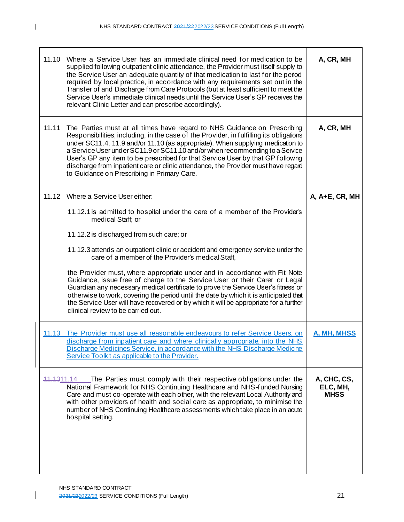| 11.10 | Where a Service User has an immediate clinical need for medication to be<br>supplied following outpatient clinic attendance, the Provider must itself supply to<br>the Service User an adequate quantity of that medication to last for the period<br>required by local practice, in accordance with any requirements set out in the<br>Transfer of and Discharge from Care Protocols (but at least sufficient to meet the<br>Service User's immediate clinical needs until the Service User's GP receives the<br>relevant Clinic Letter and can prescribe accordingly). | A, CR, MH                              |
|-------|--------------------------------------------------------------------------------------------------------------------------------------------------------------------------------------------------------------------------------------------------------------------------------------------------------------------------------------------------------------------------------------------------------------------------------------------------------------------------------------------------------------------------------------------------------------------------|----------------------------------------|
| 11.11 | The Parties must at all times have regard to NHS Guidance on Prescribing<br>Responsibilities, including, in the case of the Provider, in fulfilling its obligations<br>under SC11.4, 11.9 and/or 11.10 (as appropriate). When supplying medication to<br>a Service User under SC11.9 or SC11.10 and/or when recommending to a Service<br>User's GP any item to be prescribed for that Service User by that GP following<br>discharge from inpatient care or clinic attendance, the Provider must have regard<br>to Guidance on Prescribing in Primary Care.              | A, CR, MH                              |
|       | 11.12 Where a Service User either:                                                                                                                                                                                                                                                                                                                                                                                                                                                                                                                                       | A, A+E, CR, MH                         |
|       | 11.12.1 is admitted to hospital under the care of a member of the Provider's<br>medical Staff; or                                                                                                                                                                                                                                                                                                                                                                                                                                                                        |                                        |
|       | 11.12.2 is discharged from such care; or                                                                                                                                                                                                                                                                                                                                                                                                                                                                                                                                 |                                        |
|       | 11.12.3 attends an outpatient clinic or accident and emergency service under the<br>care of a member of the Provider's medical Staff,                                                                                                                                                                                                                                                                                                                                                                                                                                    |                                        |
|       | the Provider must, where appropriate under and in accordance with Fit Note<br>Guidance, issue free of charge to the Service User or their Carer or Legal<br>Guardian any necessary medical certificate to prove the Service User's fitness or<br>otherwise to work, covering the period until the date by which it is anticipated that<br>the Service User will have recovered or by which it will be appropriate for a further<br>clinical review to be carried out.                                                                                                    |                                        |
|       | 11.13 The Provider must use all reasonable endeavours to refer Service Users, on<br>discharge from inpatient care and where clinically appropriate, into the NHS<br>Discharge Medicines Service, in accordance with the NHS Discharge Medicine<br>Service Toolkit as applicable to the Provider.                                                                                                                                                                                                                                                                         | A, MH, MHSS                            |
|       | 11.1311.14 The Parties must comply with their respective obligations under the<br>National Framework for NHS Continuing Healthcare and NHS-funded Nursing<br>Care and must co-operate with each other, with the relevant Local Authority and<br>with other providers of health and social care as appropriate, to minimise the<br>number of NHS Continuing Healthcare assessments which take place in an acute<br>hospital setting.                                                                                                                                      | A, CHC, CS,<br>ELC, MH,<br><b>MHSS</b> |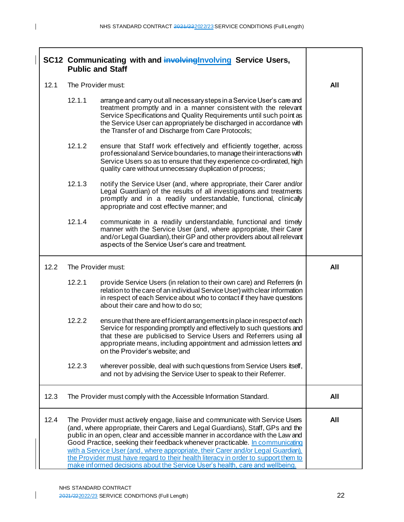| SC12 Communicating with and <b>involving Involving Service Users</b> ,<br><b>Public and Staff</b> |                    |                                                                                                                                                                                                                                                                                                                                               |     |
|---------------------------------------------------------------------------------------------------|--------------------|-----------------------------------------------------------------------------------------------------------------------------------------------------------------------------------------------------------------------------------------------------------------------------------------------------------------------------------------------|-----|
| 12.1                                                                                              | The Provider must: |                                                                                                                                                                                                                                                                                                                                               | All |
|                                                                                                   | 12.1.1             | arrange and carry out all necessary steps in a Service User's care and<br>treatment promptly and in a manner consistent with the relevant<br>Service Specifications and Quality Requirements until such point as<br>the Service User can appropriately be discharged in accordance with<br>the Transfer of and Discharge from Care Protocols; |     |
|                                                                                                   | 12.1.2             | ensure that Staff work effectively and efficiently together, across<br>professional and Service boundaries, to manage their interactions with<br>Service Users so as to ensure that they experience co-ordinated, high<br>quality care without unnecessary duplication of process;                                                            |     |
|                                                                                                   | 12.1.3             | notify the Service User (and, where appropriate, their Carer and/or<br>Legal Guardian) of the results of all investigations and treatments<br>promptly and in a readily understandable, functional, clinically<br>appropriate and cost effective manner; and                                                                                  |     |
|                                                                                                   | 12.1.4             | communicate in a readily understandable, functional and timely<br>manner with the Service User (and, where appropriate, their Carer<br>and/or Legal Guardian), their GP and other providers about all relevant<br>aspects of the Service User's care and treatment.                                                                           |     |
| 12.2                                                                                              | The Provider must: |                                                                                                                                                                                                                                                                                                                                               | All |
|                                                                                                   | 12.2.1             | provide Service Users (in relation to their own care) and Referrers (in<br>relation to the care of an individual Service User) with clear information<br>in respect of each Service about who to contact if they have questions<br>about their care and how to do so;                                                                         |     |
|                                                                                                   | 12.2.2             | ensure that there are efficient arrangements in place in respect of each<br>Service for responding promptly and effectively to such questions and<br>that these are publicised to Service Users and Referrers using all<br>appropriate means, including appointment and admission letters and<br>on the Provider's website; and               |     |
|                                                                                                   | 12.2.3             | wherever possible, deal with such questions from Service Users itself,<br>and not by advising the Service User to speak to their Referrer.                                                                                                                                                                                                    |     |
|                                                                                                   |                    |                                                                                                                                                                                                                                                                                                                                               |     |

12.3 The Provider must comply with the Accessible Information Standard. **All** 12.4 The Provider must actively engage, liaise and communicate with Service Users (and, where appropriate, their Carers and Legal Guardians), Staff, GPs and the public in an open, clear and accessible manner in accordance with the Law and Good Practice, seeking their feedback whenever practicable. In communicating with a Service User (and, where appropriate, their Carer and/or Legal Guardian), the Provider must have regard to their health literacy in order to support them to make informed decisions about the Service User's health, care and wellbeing. **All**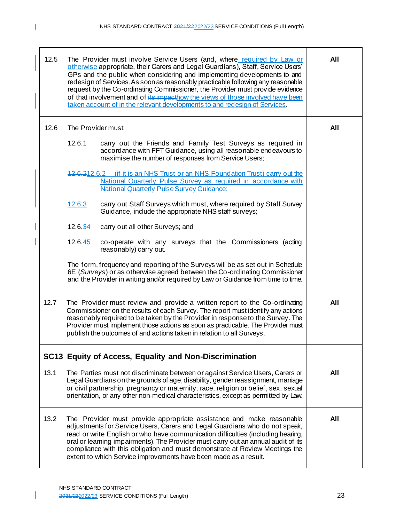| 12.5 | The Provider must involve Service Users (and, where required by Law or<br>otherwise appropriate, their Carers and Legal Guardians), Staff, Service Users'<br>GPs and the public when considering and implementing developments to and<br>redesign of Services. As soon as reasonably practicable following any reasonable<br>request by the Co-ordinating Commissioner, the Provider must provide evidence<br>of that involvement and of its impacthow the views of those involved have been<br>taken account of in the relevant developments to and redesign of Services. | All |
|------|----------------------------------------------------------------------------------------------------------------------------------------------------------------------------------------------------------------------------------------------------------------------------------------------------------------------------------------------------------------------------------------------------------------------------------------------------------------------------------------------------------------------------------------------------------------------------|-----|
| 12.6 | The Provider must:                                                                                                                                                                                                                                                                                                                                                                                                                                                                                                                                                         | All |
|      | 12.6.1<br>carry out the Friends and Family Test Surveys as required in<br>accordance with FFT Guidance, using all reasonable endeavours to<br>maximise the number of responses from Service Users;                                                                                                                                                                                                                                                                                                                                                                         |     |
|      | 42.6.212.6.2 (if it is an NHS Trust or an NHS Foundation Trust) carry out the<br>National Quarterly Pulse Survey as required in accordance with<br><b>National Quarterly Pulse Survey Guidance:</b>                                                                                                                                                                                                                                                                                                                                                                        |     |
|      | carry out Staff Surveys which must, where required by Staff Survey<br>12.6.3<br>Guidance, include the appropriate NHS staff surveys;                                                                                                                                                                                                                                                                                                                                                                                                                                       |     |
|      | 12.6.34<br>carry out all other Surveys; and                                                                                                                                                                                                                                                                                                                                                                                                                                                                                                                                |     |
|      | 12.6.45<br>co-operate with any surveys that the Commissioners (acting<br>reasonably) carry out.                                                                                                                                                                                                                                                                                                                                                                                                                                                                            |     |
|      | The form, frequency and reporting of the Surveys will be as set out in Schedule<br>6E (Surveys) or as otherwise agreed between the Co-ordinating Commissioner<br>and the Provider in writing and/or required by Law or Guidance from time to time.                                                                                                                                                                                                                                                                                                                         |     |
| 12.7 | The Provider must review and provide a written report to the Co-ordinating<br>Commissioner on the results of each Survey. The report must identify any actions<br>reasonably required to be taken by the Provider in response to the Survey. The<br>Provider must implement those actions as soon as practicable. The Provider must<br>publish the outcomes of and actions taken in relation to all Surveys.                                                                                                                                                               | All |
|      | SC13 Equity of Access, Equality and Non-Discrimination                                                                                                                                                                                                                                                                                                                                                                                                                                                                                                                     |     |
| 13.1 | The Parties must not discriminate between or against Service Users, Carers or<br>Legal Guardians on the grounds of age, disability, gender reassignment, marriage<br>or civil partnership, pregnancy or maternity, race, religion or belief, sex, sexual<br>orientation, or any other non-medical characteristics, except as permitted by Law.                                                                                                                                                                                                                             | All |
| 13.2 | The Provider must provide appropriate assistance and make reasonable<br>adjustments for Service Users, Carers and Legal Guardians who do not speak,<br>read or write English or who have communication difficulties (including hearing,<br>oral or learning impairments). The Provider must carry out an annual audit of its<br>compliance with this obligation and must demonstrate at Review Meetings the<br>extent to which Service improvements have been made as a result.                                                                                            | All |

 $\overline{\phantom{a}}$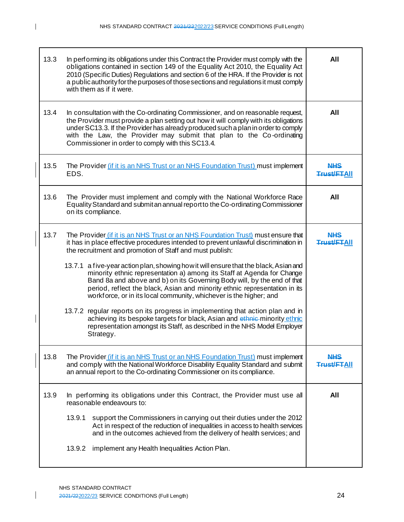| 13.3 | In performing its obligations under this Contract the Provider must comply with the<br>obligations contained in section 149 of the Equality Act 2010, the Equality Act<br>2010 (Specific Duties) Regulations and section 6 of the HRA. If the Provider is not<br>a public authority for the purposes of those sections and regulations it must comply<br>with them as if it were.             | All                              |
|------|-----------------------------------------------------------------------------------------------------------------------------------------------------------------------------------------------------------------------------------------------------------------------------------------------------------------------------------------------------------------------------------------------|----------------------------------|
| 13.4 | In consultation with the Co-ordinating Commissioner, and on reasonable request,<br>the Provider must provide a plan setting out how it will comply with its obligations<br>under SC13.3. If the Provider has already produced such a plan in order to comply<br>with the Law, the Provider may submit that plan to the Co-ordinating<br>Commissioner in order to comply with this SC13.4.     | All                              |
| 13.5 | The Provider (if it is an NHS Trust or an NHS Foundation Trust) must implement<br>EDS.                                                                                                                                                                                                                                                                                                        | NHS<br>Trust/FTAII               |
| 13.6 | The Provider must implement and comply with the National Workforce Race<br>Equality Standard and submit an annual report to the Co-ordinating Commissioner<br>on its compliance.                                                                                                                                                                                                              | All                              |
| 13.7 | The Provider (if it is an NHS Trust or an NHS Foundation Trust) must ensure that<br>it has in place effective procedures intended to prevent unlawful discrimination in<br>the recruitment and promotion of Staff and must publish:                                                                                                                                                           | <b>NHS</b><br><b>Trust/FTAII</b> |
|      | 13.7.1 a five-year action plan, showing how it will ensure that the black, Asian and<br>minority ethnic representation a) among its Staff at Agenda for Change<br>Band 8a and above and b) on its Governing Body will, by the end of that<br>period, reflect the black, Asian and minority ethnic representation in its<br>workforce, or in its local community, whichever is the higher; and |                                  |
|      | 13.7.2 regular reports on its progress in implementing that action plan and in<br>achieving its bespoke targets for black, Asian and ethnic minority ethnic<br>representation amongst its Staff, as described in the NHS Model Employer<br>Strategy.                                                                                                                                          |                                  |
| 13.8 | The Provider (if it is an NHS Trust or an NHS Foundation Trust) must implement<br>and comply with the National Workforce Disability Equality Standard and submit<br>an annual report to the Co-ordinating Commissioner on its compliance.                                                                                                                                                     | Trust/FTAII                      |
| 13.9 | In performing its obligations under this Contract, the Provider must use all<br>reasonable endeavours to:                                                                                                                                                                                                                                                                                     | All                              |
|      | 13.9.1<br>support the Commissioners in carrying out their duties under the 2012<br>Act in respect of the reduction of inequalities in access to health services<br>and in the outcomes achieved from the delivery of health services; and                                                                                                                                                     |                                  |
|      | implement any Health Inequalities Action Plan.<br>13.9.2                                                                                                                                                                                                                                                                                                                                      |                                  |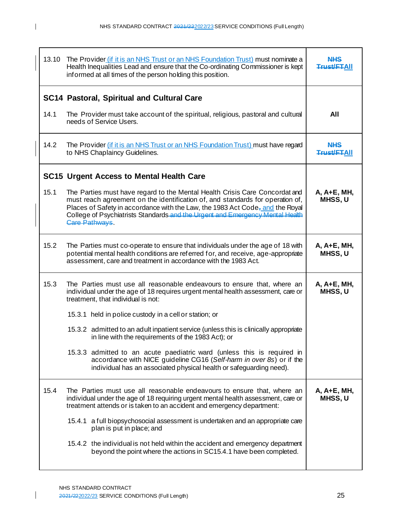| 13.10 | The Provider (if it is an NHS Trust or an NHS Foundation Trust) must nominate a<br>Health Inequalities Lead and ensure that the Co-ordinating Commissioner is kept<br>informed at all times of the person holding this position.                                                                                                                              | <b>NHS</b><br><del>Trust/FT</del> AII |
|-------|---------------------------------------------------------------------------------------------------------------------------------------------------------------------------------------------------------------------------------------------------------------------------------------------------------------------------------------------------------------|---------------------------------------|
|       | <b>SC14 Pastoral, Spiritual and Cultural Care</b>                                                                                                                                                                                                                                                                                                             |                                       |
| 14.1  | The Provider must take account of the spiritual, religious, pastoral and cultural<br>needs of Service Users.                                                                                                                                                                                                                                                  | All                                   |
| 14.2  | The Provider (if it is an NHS Trust or an NHS Foundation Trust) must have regard<br>to NHS Chaplaincy Guidelines.                                                                                                                                                                                                                                             | <u>NHS</u><br>Trust/ETAII             |
|       | <b>SC15 Urgent Access to Mental Health Care</b>                                                                                                                                                                                                                                                                                                               |                                       |
| 15.1  | The Parties must have regard to the Mental Health Crisis Care Concordat and<br>must reach agreement on the identification of, and standards for operation of,<br>Places of Safety in accordance with the Law, the 1983 Act Code <sub>r</sub> and the Royal<br>College of Psychiatrists Standards and the Urgent and Emergency Mental Health<br>Care Pathways. | A, A+E, MH,<br>MHSS, U                |
| 15.2  | The Parties must co-operate to ensure that individuals under the age of 18 with<br>potential mental health conditions are referred for, and receive, age-appropriate<br>assessment, care and treatment in accordance with the 1983 Act.                                                                                                                       | A, A+E, MH,<br>MHSS, U                |
| 15.3  | The Parties must use all reasonable endeavours to ensure that, where an<br>individual under the age of 18 requires urgent mental health assessment, care or<br>treatment, that individual is not:                                                                                                                                                             | A, A+E, MH,<br>MHSS, U                |
|       | 15.3.1 held in police custody in a cell or station; or                                                                                                                                                                                                                                                                                                        |                                       |
|       | 15.3.2 admitted to an adult inpatient service (unless this is clinically appropriate<br>in line with the requirements of the 1983 Act); or                                                                                                                                                                                                                    |                                       |
|       | 15.3.3 admitted to an acute paediatric ward (unless this is required in<br>accordance with NICE guideline CG16 (Self-harm in over 8s) or if the<br>individual has an associated physical health or safeguarding need).                                                                                                                                        |                                       |
| 15.4  | The Parties must use all reasonable endeavours to ensure that, where an<br>individual under the age of 18 requiring urgent mental health assessment, care or<br>treatment attends or is taken to an accident and emergency department:                                                                                                                        | A, A+E, MH,<br>MHSS, U                |
|       | 15.4.1 a full biopsychosocial assessment is undertaken and an appropriate care<br>plan is put in place; and                                                                                                                                                                                                                                                   |                                       |
|       | 15.4.2 the individual is not held within the accident and emergency department<br>beyond the point where the actions in SC15.4.1 have been completed.                                                                                                                                                                                                         |                                       |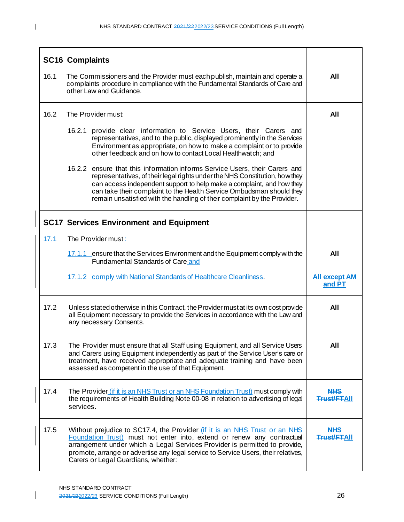|      | <b>SC16 Complaints</b>                                                                                                                                                                                                                                                                                                                                                                  |                                  |  |
|------|-----------------------------------------------------------------------------------------------------------------------------------------------------------------------------------------------------------------------------------------------------------------------------------------------------------------------------------------------------------------------------------------|----------------------------------|--|
| 16.1 | The Commissioners and the Provider must each publish, maintain and operate a<br>complaints procedure in compliance with the Fundamental Standards of Care and<br>other Law and Guidance.                                                                                                                                                                                                |                                  |  |
| 16.2 | The Provider must:                                                                                                                                                                                                                                                                                                                                                                      | All                              |  |
|      | 16.2.1 provide clear information to Service Users, their Carers and<br>representatives, and to the public, displayed prominently in the Services<br>Environment as appropriate, on how to make a complaint or to provide<br>other feedback and on how to contact Local Healthwatch; and                                                                                                 |                                  |  |
|      | 16.2.2 ensure that this information informs Service Users, their Carers and<br>representatives, of their legal rights under the NHS Constitution, how they<br>can access independent support to help make a complaint, and how they<br>can take their complaint to the Health Service Ombudsman should they<br>remain unsatisfied with the handling of their complaint by the Provider. |                                  |  |
|      | <b>SC17 Services Environment and Equipment</b>                                                                                                                                                                                                                                                                                                                                          |                                  |  |
| 17.1 | The Provider must-:                                                                                                                                                                                                                                                                                                                                                                     |                                  |  |
|      | 17.1.1 ensure that the Services Environment and the Equipment comply with the<br>Fundamental Standards of Care and                                                                                                                                                                                                                                                                      | All                              |  |
|      | 17.1.2 comply with National Standards of Healthcare Cleanliness.                                                                                                                                                                                                                                                                                                                        | <b>All except AM</b><br>and PT   |  |
| 17.2 | Unless stated otherwise in this Contract, the Provider must at its own cost provide<br>all Equipment necessary to provide the Services in accordance with the Law and<br>any necessary Consents.                                                                                                                                                                                        | All                              |  |
| 17.3 | The Provider must ensure that all Staff using Equipment, and all Service Users<br>and Carers using Equipment independently as part of the Service User's care or<br>treatment, have received appropriate and adequate training and have been<br>assessed as competent in the use of that Equipment.                                                                                     | All                              |  |
| 17.4 | The Provider (if it is an NHS Trust or an NHS Foundation Trust) must comply with<br>the requirements of Health Building Note 00-08 in relation to advertising of legal<br>services.                                                                                                                                                                                                     | <b>NHS</b><br><b>Trust/FTAII</b> |  |
| 17.5 | Without prejudice to SC17.4, the Provider (if it is an NHS Trust or an NHS<br>Foundation Trust) must not enter into, extend or renew any contractual<br>arrangement under which a Legal Services Provider is permitted to provide,<br>promote, arrange or advertise any legal service to Service Users, their relatives,<br>Carers or Legal Guardians, whether:                         | <b>NHS</b><br><b>Trust/FTAII</b> |  |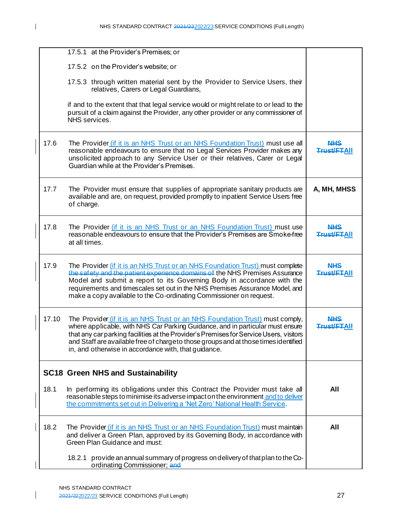|       | 17.5.1 at the Provider's Premises; or                                                                                                                                                                                                                                                                                                                                                                   |                                  |
|-------|---------------------------------------------------------------------------------------------------------------------------------------------------------------------------------------------------------------------------------------------------------------------------------------------------------------------------------------------------------------------------------------------------------|----------------------------------|
|       | 17.5.2 on the Provider's website; or                                                                                                                                                                                                                                                                                                                                                                    |                                  |
|       | 17.5.3 through written material sent by the Provider to Service Users, their<br>relatives, Carers or Legal Guardians,                                                                                                                                                                                                                                                                                   |                                  |
|       | if and to the extent that that legal service would or might relate to or lead to the<br>pursuit of a claim against the Provider, any other provider or any commissioner of<br>NHS services.                                                                                                                                                                                                             |                                  |
| 17.6  | The Provider (if it is an NHS Trust or an NHS Foundation Trust) must use all<br>reasonable endeavours to ensure that no Legal Services Provider makes any<br>unsolicited approach to any Service User or their relatives, Carer or Legal<br>Guardian while at the Provider's Premises.                                                                                                                  | <b>NHS</b><br><b>Trust/FTAII</b> |
| 17.7  | The Provider must ensure that supplies of appropriate sanitary products are<br>available and are, on request, provided promptly to inpatient Service Users free<br>of charge.                                                                                                                                                                                                                           | A, MH, MHSS                      |
| 17.8  | The Provider (if it is an NHS Trust or an NHS Foundation Trust) must use<br>reasonable endeavours to ensure that the Provider's Premises are Smoke-free<br>at all times.                                                                                                                                                                                                                                | <b>NHS</b><br><b>Trust/FTAII</b> |
| 17.9  | The Provider (if it is an NHS Trust or an NHS Foundation Trust) must complete<br>the safety and the patient experience domains of the NHS Premises Assurance<br>Model and submit a report to its Governing Body in accordance with the<br>requirements and timescales set out in the NHS Premises Assurance Model, and<br>make a copy available to the Co-ordinating Commissioner on request.           | <b>NHS</b><br><b>Trust/FTAII</b> |
| 17.10 | The Provider (if it is an NHS Trust or an NHS Foundation Trust) must comply,<br>where applicable, with NHS Car Parking Guidance, and in particular must ensure<br>that any car parking facilities at the Provider's Premises for Service Users, visitors<br>and Staff are available free of chargeto those groups and at those times identified<br>in, and otherwise in accordance with, that guidance. | <b>NHS</b><br><b>Trust/FTAII</b> |
|       | <b>SC18 Green NHS and Sustainability</b>                                                                                                                                                                                                                                                                                                                                                                |                                  |
| 18.1  | In performing its obligations under this Contract the Provider must take all<br>reasonable steps to minimise its adverse impact on the environment and to deliver<br>the commitments set out in Delivering a 'Net Zero' National Health Service.                                                                                                                                                        | All                              |
| 18.2  | The Provider (if it is an NHS Trust or an NHS Foundation Trust) must maintain<br>and deliver a Green Plan, approved by its Governing Body, in accordance with<br>Green Plan Guidance and must:                                                                                                                                                                                                          | All                              |
|       | provide an annual summary of progress on delivery of that plan to the Co-<br>18.2.1<br>ordinating Commissioner; and                                                                                                                                                                                                                                                                                     |                                  |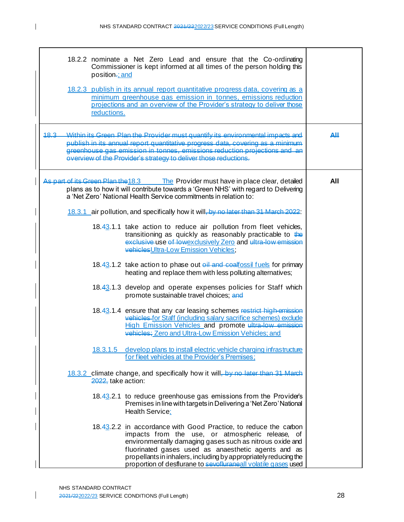| position-: and     | 18.2.2 nominate a Net Zero Lead and ensure that the Co-ordinating<br>Commissioner is kept informed at all times of the person holding this                                                                                                                                                                                                                                    |     |
|--------------------|-------------------------------------------------------------------------------------------------------------------------------------------------------------------------------------------------------------------------------------------------------------------------------------------------------------------------------------------------------------------------------|-----|
| reductions.        | 18.2.3 publish in its annual report quantitative progress data, covering as a<br>minimum greenhouse gas emission in tonnes, emissions reduction<br>projections and an overview of the Provider's strategy to deliver those                                                                                                                                                    |     |
| $18.3-$            | Within its Green, Plan the Provider must quantify its environmental impacts and<br>publish in its annual report quantitative progress data, covering as a minimum<br>greenhouse gas emission in tonnes, emissions reduction projections and an<br>everview of the Provider's strategy to deliver those reductions.                                                            | AЩ  |
|                    | As part of its Green Plan the 18.3 The Provider must have in place clear, detailed<br>plans as to how it will contribute towards a 'Green NHS' with regard to Delivering<br>a 'Net Zero' National Health Service commitments in relation to:                                                                                                                                  | All |
|                    | 18.3.1 air pollution, and specifically how it will, by no later than 31 March 2022:                                                                                                                                                                                                                                                                                           |     |
|                    | 18.43.1.1 take action to reduce air pollution from fleet vehicles,<br>transitioning as quickly as reasonably practicable to the<br>exclusive use of lowexclusively Zero and ultra-low emission<br>vehiclesUltra-Low Emission Vehicles;                                                                                                                                        |     |
|                    | 18.43.1.2 take action to phase out oil and coalfossil fuels for primary<br>heating and replace them with less polluting alternatives;                                                                                                                                                                                                                                         |     |
|                    | 18.43.1.3 develop and operate expenses policies for Staff which<br>promote sustainable travel choices; and                                                                                                                                                                                                                                                                    |     |
|                    | 18.43.1.4 ensure that any car leasing schemes restrict high-emission<br>vehicles-for Staff (including salary sacrifice schemes) exclude<br>High Emission Vehicles and promote ultra-low emission<br>vehicles; Zero and Ultra-Low Emission Vehicles; and                                                                                                                       |     |
|                    | 18.3.1.5 develop plans to install electric vehicle charging infrastructure<br>for fleet vehicles at the Provider's Premises;                                                                                                                                                                                                                                                  |     |
| 2022, take action: | 18.3.2 climate change, and specifically how it will, by no later than 31 March                                                                                                                                                                                                                                                                                                |     |
|                    | 18.43.2.1 to reduce greenhouse gas emissions from the Provider's<br>Premises in line with targets in Delivering a 'Net Zero' National<br>Health Service;                                                                                                                                                                                                                      |     |
|                    | 18.43.2.2 in accordance with Good Practice, to reduce the carbon<br>impacts from the use, or atmospheric release, of<br>environmentally damaging gases such as nitrous oxide and<br>fluorinated gases used as anaesthetic agents and as<br>propellants in inhalers, including by appropriately reducing the<br>proportion of desflurane to sevofluraneall volatile gases used |     |

 $\overline{\phantom{a}}$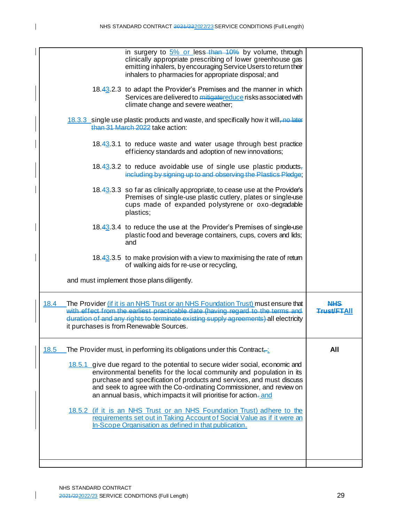| in surgery to 5% or less-than 10% by volume, through<br>clinically appropriate prescribing of lower greenhouse gas<br>emitting inhalers, by encouraging Service Users to return their<br>inhalers to pharmacies for appropriate disposal; and                                                                                                                             |                           |
|---------------------------------------------------------------------------------------------------------------------------------------------------------------------------------------------------------------------------------------------------------------------------------------------------------------------------------------------------------------------------|---------------------------|
| 18.43.2.3 to adapt the Provider's Premises and the manner in which<br>Services are delivered to mitigatoreduce risks associated with<br>climate change and severe weather;                                                                                                                                                                                                |                           |
| 18.3.3 single use plastic products and waste, and specifically how it will, no later<br>than 31 March 2022 take action:                                                                                                                                                                                                                                                   |                           |
| 18.43.3.1 to reduce waste and water usage through best practice<br>efficiency standards and adoption of new innovations;                                                                                                                                                                                                                                                  |                           |
| 18.43.3.2 to reduce avoidable use of single use plastic products,<br>including by signing up to and observing the Plastics Pledge:                                                                                                                                                                                                                                        |                           |
| 18.43.3.3 so far as clinically appropriate, to cease use at the Provider's<br>Premises of single-use plastic cutlery, plates or single-use<br>cups made of expanded polystyrene or oxo-degradable<br>plastics;                                                                                                                                                            |                           |
| 18.43.3.4 to reduce the use at the Provider's Premises of single-use<br>plastic food and beverage containers, cups, covers and lids;<br>and                                                                                                                                                                                                                               |                           |
| 18.43.3.5 to make provision with a view to maximising the rate of retum<br>of walking aids for re-use or recycling,                                                                                                                                                                                                                                                       |                           |
| and must implement those plans diligently.                                                                                                                                                                                                                                                                                                                                |                           |
| 18.4<br>The Provider (if it is an NHS Trust or an NHS Foundation Trust) must ensure that<br>with effect from the earliest practicable date (having regard to the terms and<br>duration of and any rights to terminate existing supply agreements) all electricity<br>it purchases is from Renewable Sources.                                                              | NHS<br><b>Trust/FTAII</b> |
| 18.5<br>The Provider must, in performing its obligations under this Contract <sub>—</sub>                                                                                                                                                                                                                                                                                 | All                       |
| 18.5.1 give due regard to the potential to secure wider social, economic and<br>environmental benefits for the local community and population in its<br>purchase and specification of products and services, and must discuss<br>and seek to agree with the Co-ordinating Commissioner, and review on<br>an annual basis, which impacts it will prioritise for action-and |                           |
| 18.5.2 (if it is an NHS Trust or an NHS Foundation Trust) adhere to the<br>requirements set out in Taking Account of Social Value as if it were an<br>In-Scope Organisation as defined in that publication.                                                                                                                                                               |                           |
|                                                                                                                                                                                                                                                                                                                                                                           |                           |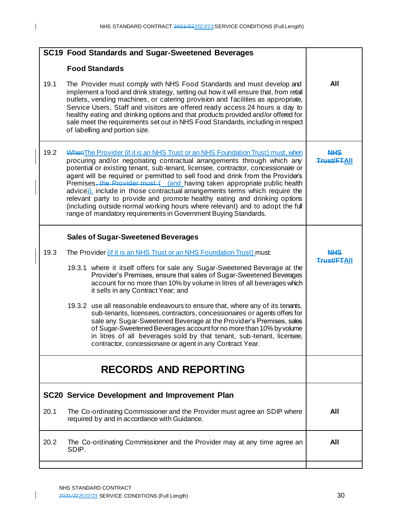| SC19 Food Standards and Sugar-Sweetened Beverages |                                                                                                                                                                                                                                                                                                                                                                                                                                                                                                                                                                                                                                                                                                                              |                                  |  |  |
|---------------------------------------------------|------------------------------------------------------------------------------------------------------------------------------------------------------------------------------------------------------------------------------------------------------------------------------------------------------------------------------------------------------------------------------------------------------------------------------------------------------------------------------------------------------------------------------------------------------------------------------------------------------------------------------------------------------------------------------------------------------------------------------|----------------------------------|--|--|
|                                                   | <b>Food Standards</b>                                                                                                                                                                                                                                                                                                                                                                                                                                                                                                                                                                                                                                                                                                        |                                  |  |  |
| 19.1                                              | The Provider must comply with NHS Food Standards and must develop and<br>implement a food and drink strategy, setting out how it will ensure that, from retail<br>outlets, vending machines, or catering provision and facilities as appropriate,<br>Service Users, Staff and visitors are offered ready access 24 hours a day to<br>healthy eating and drinking options and that products provided and/or offered for<br>sale meet the requirements set out in NHS Food Standards, including in respect<br>of labelling and portion size.                                                                                                                                                                                   | All                              |  |  |
| 19.2                                              | When The Provider (if it is an NHS Trust or an NHS Foundation Trust) must, when<br>procuring and/or negotiating contractual arrangements through which any<br>potential or existing tenant, sub-tenant, licensee, contractor, concessionaire or<br>agent will be required or permitted to sell food and drink from the Provider's<br>Premises, the Provider must ( and having taken appropriate public health<br>advice). include in those contractual arrangements terms which require the<br>relevant party to provide and promote healthy eating and drinking options<br>(including outside normal working hours where relevant) and to adopt the full<br>range of mandatory requirements in Government Buying Standards. | <b>NHS</b><br><b>Trust/FTAII</b> |  |  |
|                                                   | <b>Sales of Sugar-Sweetened Beverages</b>                                                                                                                                                                                                                                                                                                                                                                                                                                                                                                                                                                                                                                                                                    |                                  |  |  |
| 19.3                                              | The Provider (if it is an NHS Trust or an NHS Foundation Trust) must:                                                                                                                                                                                                                                                                                                                                                                                                                                                                                                                                                                                                                                                        | NHS                              |  |  |
|                                                   | 19.3.1 where it itself offers for sale any Sugar-Sweetened Beverage at the<br>Provider's Premises, ensure that sales of Sugar-Sweetened Beverages<br>account for no more than 10% by volume in litres of all beverages which<br>it sells in any Contract Year; and                                                                                                                                                                                                                                                                                                                                                                                                                                                           | <b>Trust/FTAII</b>               |  |  |
|                                                   | 19.3.2 use all reasonable endeavours to ensure that, where any of its tenants,<br>sub-tenants, licensees, contractors, concessionaires or agents offers for<br>sale any Sugar-Sweetened Beverage at the Provider's Premises, sales<br>of Sugar-Sweetened Beverages account for no more than 10% by volume<br>in litres of all beverages sold by that tenant, sub-tenant, licensee,<br>contractor, concessionaire or agent in any Contract Year.                                                                                                                                                                                                                                                                              |                                  |  |  |
|                                                   | <b>RECORDS AND REPORTING</b>                                                                                                                                                                                                                                                                                                                                                                                                                                                                                                                                                                                                                                                                                                 |                                  |  |  |
|                                                   | <b>SC20 Service Development and Improvement Plan</b>                                                                                                                                                                                                                                                                                                                                                                                                                                                                                                                                                                                                                                                                         |                                  |  |  |
| 20.1                                              | The Co-ordinating Commissioner and the Provider must agree an SDIP where<br>required by and in accordance with Guidance.                                                                                                                                                                                                                                                                                                                                                                                                                                                                                                                                                                                                     | All                              |  |  |
| 20.2                                              | The Co-ordinating Commissioner and the Provider may at any time agree an<br>SDIP.                                                                                                                                                                                                                                                                                                                                                                                                                                                                                                                                                                                                                                            | All                              |  |  |
|                                                   |                                                                                                                                                                                                                                                                                                                                                                                                                                                                                                                                                                                                                                                                                                                              |                                  |  |  |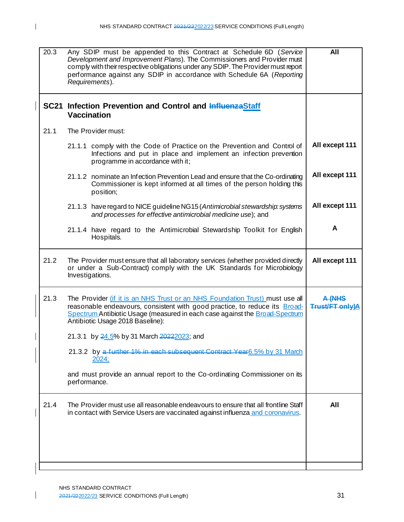| 21.1 | SC21 Infection Prevention and Control and InfluenzaStaff<br><b>Vaccination</b><br>The Provider must:<br>21.1.1 comply with the Code of Practice on the Prevention and Control of<br>Infections and put in place and implement an infection prevention<br>programme in accordance with it; | All except 111                              |
|------|-------------------------------------------------------------------------------------------------------------------------------------------------------------------------------------------------------------------------------------------------------------------------------------------|---------------------------------------------|
|      |                                                                                                                                                                                                                                                                                           |                                             |
|      |                                                                                                                                                                                                                                                                                           |                                             |
|      |                                                                                                                                                                                                                                                                                           |                                             |
|      | 21.1.2 nominate an Infection Prevention Lead and ensure that the Co-ordinating<br>Commissioner is kept informed at all times of the person holding this<br>position;                                                                                                                      | All except 111                              |
|      | 21.1.3 have regard to NICE guideline NG15 (Antimicrobial stewardship: systems<br>and processes for effective antimicrobial medicine use); and                                                                                                                                             | All except 111                              |
|      | 21.1.4 have regard to the Antimicrobial Stewardship Toolkit for English<br>Hospitals.                                                                                                                                                                                                     | A                                           |
| 21.2 | The Provider must ensure that all laboratory services (whether provided directly<br>or under a Sub-Contract) comply with the UK Standards for Microbiology<br>Investigations.                                                                                                             | All except 111                              |
| 21.3 | The Provider <i>(if it is an NHS Trust or an NHS Foundation Trust)</i> must use all<br>reasonable endeavours, consistent with good practice, to reduce its Broad-<br>Spectrum Antibiotic Usage (measured in each case against the Broad-Spectrum<br>Antibiotic Usage 2018 Baseline):      | <del>A (NHS</del><br><b>Trust/FT only)A</b> |
|      | 21.3.1 by 24.5% by 31 March 20222023; and                                                                                                                                                                                                                                                 |                                             |
|      | 21.3.2 by a further 1% in each subsequent Contract Year 6.5% by 31 March<br>2024:                                                                                                                                                                                                         |                                             |
|      | and must provide an annual report to the Co-ordinating Commissioner on its<br>performance.                                                                                                                                                                                                |                                             |
| 21.4 | The Provider must use all reasonable endeavours to ensure that all frontline Staff<br>in contact with Service Users are vaccinated against influenza and coronavirus.                                                                                                                     | All                                         |
|      |                                                                                                                                                                                                                                                                                           |                                             |

 $\overline{1}$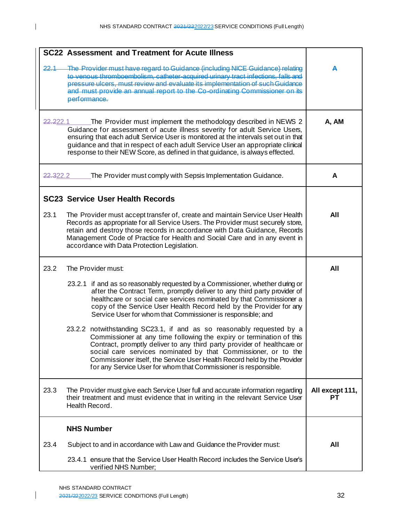|                      | SC22 Assessment and Treatment for Acute Illness                                                                                                                                                                                                                                                                                                                                                                                           |                       |
|----------------------|-------------------------------------------------------------------------------------------------------------------------------------------------------------------------------------------------------------------------------------------------------------------------------------------------------------------------------------------------------------------------------------------------------------------------------------------|-----------------------|
| 22.1                 | The Provider must have regard to Guidance (including NICE Guidance) relating<br>to venous thromboembolism, catheter-acquired urinary tract infections, falls and<br>pressure ulcers, must review and evaluate its implementation of such Guidance<br>and must provide an annual report to the Co-ordinating Commissioner on its<br>performance.                                                                                           | А                     |
| <del>22.2</del> 22.1 | The Provider must implement the methodology described in NEWS 2<br>Guidance for assessment of acute illness severity for adult Service Users,<br>ensuring that each adult Service User is monitored at the intervals set out in that<br>guidance and that in respect of each adult Service User an appropriate clinical<br>response to their NEW Score, as defined in that guidance, is always effected.                                  | A, AM                 |
| <del>22.3</del> 22.2 | The Provider must comply with Sepsis Implementation Guidance.                                                                                                                                                                                                                                                                                                                                                                             | A                     |
|                      | <b>SC23 Service User Health Records</b>                                                                                                                                                                                                                                                                                                                                                                                                   |                       |
| 23.1                 | The Provider must accept transfer of, create and maintain Service User Health<br>Records as appropriate for all Service Users. The Provider must securely store,<br>retain and destroy those records in accordance with Data Guidance, Records<br>Management Code of Practice for Health and Social Care and in any event in<br>accordance with Data Protection Legislation.                                                              | All                   |
| 23.2                 | The Provider must:                                                                                                                                                                                                                                                                                                                                                                                                                        | All                   |
|                      | 23.2.1 if and as so reasonably requested by a Commissioner, whether during or<br>after the Contract Term, promptly deliver to any third party provider of<br>healthcare or social care services nominated by that Commissioner a<br>copy of the Service User Health Record held by the Provider for any<br>Service User for whom that Commissioner is responsible; and                                                                    |                       |
|                      | 23.2.2 notwithstanding SC23.1, if and as so reasonably requested by a<br>Commissioner at any time following the expiry or termination of this<br>Contract, promptly deliver to any third party provider of healthcare or<br>social care services nominated by that Commissioner, or to the<br>Commissioner itself, the Service User Health Record held by the Provider<br>for any Service User for whom that Commissioner is responsible. |                       |
| 23.3                 | The Provider must give each Service User full and accurate information regarding<br>their treatment and must evidence that in writing in the relevant Service User<br>Health Record.                                                                                                                                                                                                                                                      | All except 111,<br>РT |
|                      | <b>NHS Number</b>                                                                                                                                                                                                                                                                                                                                                                                                                         |                       |
| 23.4                 | Subject to and in accordance with Law and Guidance the Provider must:                                                                                                                                                                                                                                                                                                                                                                     | All                   |
|                      | 23.4.1 ensure that the Service User Health Record includes the Service User's<br>verified NHS Number;                                                                                                                                                                                                                                                                                                                                     |                       |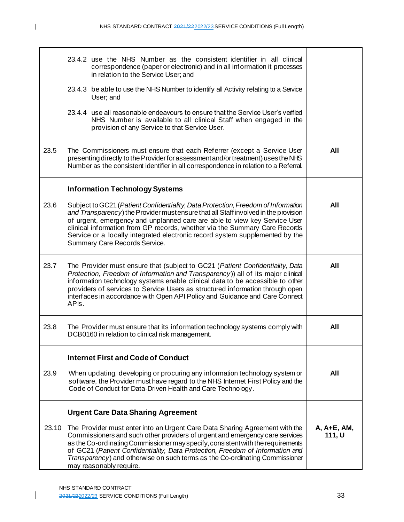|       | 23.4.2 use the NHS Number as the consistent identifier in all clinical<br>correspondence (paper or electronic) and in all information it processes<br>in relation to the Service User; and                                                                                                                                                                                                                                                          |                       |
|-------|-----------------------------------------------------------------------------------------------------------------------------------------------------------------------------------------------------------------------------------------------------------------------------------------------------------------------------------------------------------------------------------------------------------------------------------------------------|-----------------------|
|       | 23.4.3 be able to use the NHS Number to identify all Activity relating to a Service<br>User; and                                                                                                                                                                                                                                                                                                                                                    |                       |
|       | 23.4.4 use all reasonable endeavours to ensure that the Service User's verified<br>NHS Number is available to all clinical Staff when engaged in the<br>provision of any Service to that Service User.                                                                                                                                                                                                                                              |                       |
| 23.5  | The Commissioners must ensure that each Referrer (except a Service User<br>presenting directly to the Provider for assessment and/or treatment) uses the NHS<br>Number as the consistent identifier in all correspondence in relation to a Referral.                                                                                                                                                                                                | All                   |
|       | <b>Information Technology Systems</b>                                                                                                                                                                                                                                                                                                                                                                                                               |                       |
| 23.6  | Subject to GC21 (Patient Confidentiality, Data Protection, Freedom of Information<br>and Transparency) the Provider mustensure that all Staff involved in the provision<br>of urgent, emergency and unplanned care are able to view key Service User<br>clinical information from GP records, whether via the Summary Care Records<br>Service or a locally integrated electronic record system supplemented by the<br>Summary Care Records Service. | All                   |
| 23.7  | The Provider must ensure that (subject to GC21 (Patient Confidentiality, Data<br>Protection, Freedom of Information and Transparency)) all of its major clinical<br>information technology systems enable clinical data to be accessible to other<br>providers of services to Service Users as structured information through open<br>interfaces in accordance with Open API Policy and Guidance and Care Connect<br>API <sub>s</sub> .             | All                   |
| 23.8  | The Provider must ensure that its information technology systems comply with<br>DCB0160 in relation to clinical risk management.                                                                                                                                                                                                                                                                                                                    | All                   |
|       | <b>Internet First and Code of Conduct</b>                                                                                                                                                                                                                                                                                                                                                                                                           |                       |
| 23.9  | When updating, developing or procuring any information technology system or<br>software, the Provider must have regard to the NHS Internet First Policy and the<br>Code of Conduct for Data-Driven Health and Care Technology.                                                                                                                                                                                                                      | All                   |
|       | <b>Urgent Care Data Sharing Agreement</b>                                                                                                                                                                                                                                                                                                                                                                                                           |                       |
| 23.10 | The Provider must enter into an Urgent Care Data Sharing Agreement with the<br>Commissioners and such other providers of urgent and emergency care services<br>as the Co-ordinating Commissioner may specify, consistent with the requirements<br>of GC21 (Patient Confidentiality, Data Protection, Freedom of Information and<br>Transparency) and otherwise on such terms as the Co-ordinating Commissioner<br>may reasonably require.           | A, A+E, AM,<br>111, U |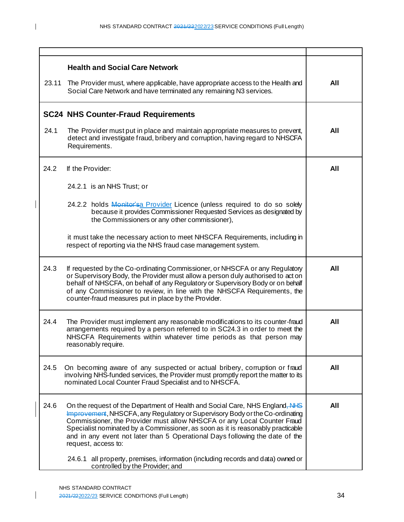| 23.11 | <b>Health and Social Care Network</b><br>The Provider must, where applicable, have appropriate access to the Health and<br>Social Care Network and have terminated any remaining N3 services.                                                                                                                                                                                                                                     | All |  |
|-------|-----------------------------------------------------------------------------------------------------------------------------------------------------------------------------------------------------------------------------------------------------------------------------------------------------------------------------------------------------------------------------------------------------------------------------------|-----|--|
|       | <b>SC24 NHS Counter-Fraud Requirements</b>                                                                                                                                                                                                                                                                                                                                                                                        |     |  |
| 24.1  | The Provider must put in place and maintain appropriate measures to prevent,<br>detect and investigate fraud, bribery and corruption, having regard to NHSCFA<br>Requirements.                                                                                                                                                                                                                                                    | All |  |
| 24.2  | If the Provider:                                                                                                                                                                                                                                                                                                                                                                                                                  | All |  |
|       | 24.2.1 is an NHS Trust; or                                                                                                                                                                                                                                                                                                                                                                                                        |     |  |
|       | 24.2.2 holds Monitor'sa Provider Licence (unless required to do so solely<br>because it provides Commissioner Requested Services as designated by<br>the Commissioners or any other commissioner),                                                                                                                                                                                                                                |     |  |
|       | it must take the necessary action to meet NHSCFA Requirements, including in<br>respect of reporting via the NHS fraud case management system.                                                                                                                                                                                                                                                                                     |     |  |
| 24.3  | If requested by the Co-ordinating Commissioner, or NHSCFA or any Regulatory<br>or Supervisory Body, the Provider must allow a person duly authorised to act on<br>behalf of NHSCFA, on behalf of any Regulatory or Supervisory Body or on behalf<br>of any Commissioner to review, in line with the NHSCFA Requirements, the<br>counter-fraud measures put in place by the Provider.                                              | All |  |
| 24.4  | The Provider must implement any reasonable modifications to its counter-fraud<br>arrangements required by a person referred to in SC24.3 in order to meet the<br>NHSCFA Requirements within whatever time periods as that person may<br>reasonably require.                                                                                                                                                                       | All |  |
| 24.5  | On becoming aware of any suspected or actual bribery, corruption or fraud<br>involving NHS-funded services, the Provider must promptly report the matter to its<br>nominated Local Counter Fraud Specialist and to NHSCFA.                                                                                                                                                                                                        | All |  |
| 24.6  | On the request of the Department of Health and Social Care, NHS England, NHS<br>Improvement, NHSCFA, any Regulatory or Supervisory Body or the Co-ordinating<br>Commissioner, the Provider must allow NHSCFA or any Local Counter Fraud<br>Specialist nominated by a Commissioner, as soon as it is reasonably practicable<br>and in any event not later than 5 Operational Days following the date of the<br>request, access to: | All |  |
|       | 24.6.1 all property, premises, information (including records and data) owned or<br>controlled by the Provider; and                                                                                                                                                                                                                                                                                                               |     |  |

 $\mathbf{I}$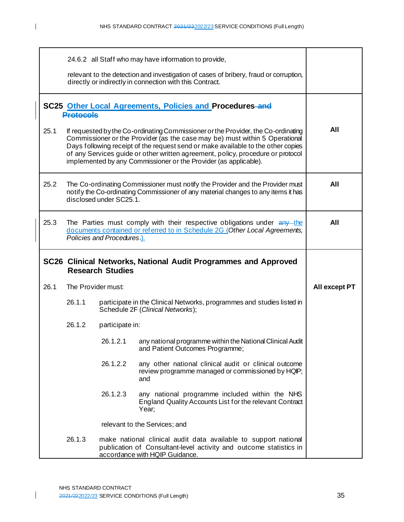|      | 24.6.2 all Staff who may have information to provide,                                                                                                                                                                                                                                                                                                                                                       |                    |                                                                                                                                                   |               |
|------|-------------------------------------------------------------------------------------------------------------------------------------------------------------------------------------------------------------------------------------------------------------------------------------------------------------------------------------------------------------------------------------------------------------|--------------------|---------------------------------------------------------------------------------------------------------------------------------------------------|---------------|
|      |                                                                                                                                                                                                                                                                                                                                                                                                             |                    | relevant to the detection and investigation of cases of bribery, fraud or corruption,<br>directly or indirectly in connection with this Contract. |               |
|      | SC25 Other Local Agreements, Policies and Procedures-and<br><b>Protocols</b>                                                                                                                                                                                                                                                                                                                                |                    |                                                                                                                                                   |               |
| 25.1 | If requested by the Co-ordinating Commissioner or the Provider, the Co-ordinating<br>Commissioner or the Provider (as the case may be) must within 5 Operational<br>Days following receipt of the request send or make available to the other copies<br>of any Services guide or other written agreement, policy, procedure or protocol<br>implemented by any Commissioner or the Provider (as applicable). |                    |                                                                                                                                                   | All           |
| 25.2 | The Co-ordinating Commissioner must notify the Provider and the Provider must<br>notify the Co-ordinating Commissioner of any material changes to any items it has<br>disclosed under SC25.1.                                                                                                                                                                                                               |                    | All                                                                                                                                               |               |
| 25.3 | The Parties must comply with their respective obligations under any the<br>documents contained or referred to in Schedule 2G (Other Local Agreements,<br>Policies and Procedures.).                                                                                                                                                                                                                         |                    |                                                                                                                                                   | All           |
|      | SC26 Clinical Networks, National Audit Programmes and Approved<br><b>Research Studies</b>                                                                                                                                                                                                                                                                                                                   |                    |                                                                                                                                                   |               |
|      |                                                                                                                                                                                                                                                                                                                                                                                                             |                    |                                                                                                                                                   |               |
| 26.1 |                                                                                                                                                                                                                                                                                                                                                                                                             | The Provider must: |                                                                                                                                                   | All except PT |
|      | 26.1.1                                                                                                                                                                                                                                                                                                                                                                                                      |                    | participate in the Clinical Networks, programmes and studies listed in<br>Schedule 2F (Clinical Networks);                                        |               |
|      | 26.1.2                                                                                                                                                                                                                                                                                                                                                                                                      | participate in:    |                                                                                                                                                   |               |
|      |                                                                                                                                                                                                                                                                                                                                                                                                             | 26.1.2.1           | any national programme within the National Clinical Audit<br>and Patient Outcomes Programme;                                                      |               |
|      |                                                                                                                                                                                                                                                                                                                                                                                                             | 26.1.2.2           | any other national clinical audit or clinical outcome<br>review programme managed or commissioned by HQIP;<br>and                                 |               |
|      |                                                                                                                                                                                                                                                                                                                                                                                                             | 26.1.2.3           | any national programme included within the NHS<br>England Quality Accounts List for the relevant Contract<br>Year;                                |               |
|      |                                                                                                                                                                                                                                                                                                                                                                                                             |                    | relevant to the Services; and                                                                                                                     |               |

 $\begin{array}{c} \hline \end{array}$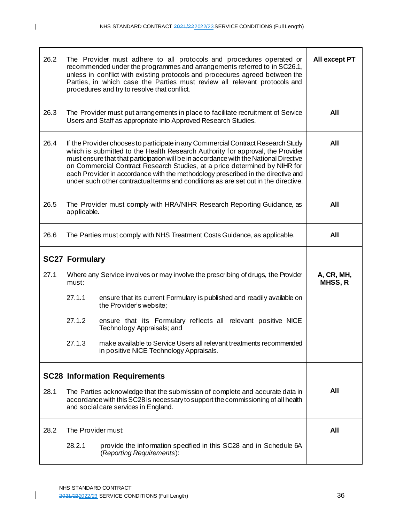| 26.2 | The Provider must adhere to all protocols and procedures operated or<br>recommended under the programmes and arrangements referred to in SC26.1,<br>unless in conflict with existing protocols and procedures agreed between the<br>Parties, in which case the Parties must review all relevant protocols and<br>procedures and try to resolve that conflict.                                                                                                                                                       | All except PT                                                                                                                                      |                              |  |
|------|---------------------------------------------------------------------------------------------------------------------------------------------------------------------------------------------------------------------------------------------------------------------------------------------------------------------------------------------------------------------------------------------------------------------------------------------------------------------------------------------------------------------|----------------------------------------------------------------------------------------------------------------------------------------------------|------------------------------|--|
| 26.3 |                                                                                                                                                                                                                                                                                                                                                                                                                                                                                                                     | The Provider must put arrangements in place to facilitate recruitment of Service<br>Users and Staff as appropriate into Approved Research Studies. | All                          |  |
| 26.4 | If the Provider chooses to participate in any Commercial Contract Research Study<br>which is submitted to the Health Research Authority for approval, the Provider<br>must ensure that that participation will be in accordance with the National Directive<br>on Commercial Contract Research Studies, at a price determined by NIHR for<br>each Provider in accordance with the methodology prescribed in the directive and<br>under such other contractual terms and conditions as are set out in the directive. | All                                                                                                                                                |                              |  |
| 26.5 | The Provider must comply with HRA/NIHR Research Reporting Guidance, as<br>applicable.                                                                                                                                                                                                                                                                                                                                                                                                                               | All                                                                                                                                                |                              |  |
| 26.6 | The Parties must comply with NHS Treatment Costs Guidance, as applicable.                                                                                                                                                                                                                                                                                                                                                                                                                                           | All                                                                                                                                                |                              |  |
|      | <b>SC27 Formulary</b>                                                                                                                                                                                                                                                                                                                                                                                                                                                                                               |                                                                                                                                                    |                              |  |
| 27.1 | Where any Service involves or may involve the prescribing of drugs, the Provider<br>must:                                                                                                                                                                                                                                                                                                                                                                                                                           |                                                                                                                                                    | A, CR, MH,<br><b>MHSS, R</b> |  |
|      | 27.1.1                                                                                                                                                                                                                                                                                                                                                                                                                                                                                                              | ensure that its current Formulary is published and readily available on<br>the Provider's website;                                                 |                              |  |
|      | 27.1.2                                                                                                                                                                                                                                                                                                                                                                                                                                                                                                              | ensure that its Formulary reflects all relevant positive NICE<br>Technology Appraisals; and                                                        |                              |  |
|      | 27.1.3                                                                                                                                                                                                                                                                                                                                                                                                                                                                                                              | make available to Service Users all relevant treatments recommended<br>in positive NICE Technology Appraisals.                                     |                              |  |
|      | <b>SC28 Information Requirements</b>                                                                                                                                                                                                                                                                                                                                                                                                                                                                                |                                                                                                                                                    |                              |  |
| 28.1 | The Parties acknowledge that the submission of complete and accurate data in<br>accordance with this SC28 is necessary to support the commissioning of all health<br>and social care services in England.                                                                                                                                                                                                                                                                                                           | All                                                                                                                                                |                              |  |
| 28.2 | The Provider must:                                                                                                                                                                                                                                                                                                                                                                                                                                                                                                  |                                                                                                                                                    | All                          |  |
|      | 28.2.1                                                                                                                                                                                                                                                                                                                                                                                                                                                                                                              | provide the information specified in this SC28 and in Schedule 6A<br>(Reporting Requirements):                                                     |                              |  |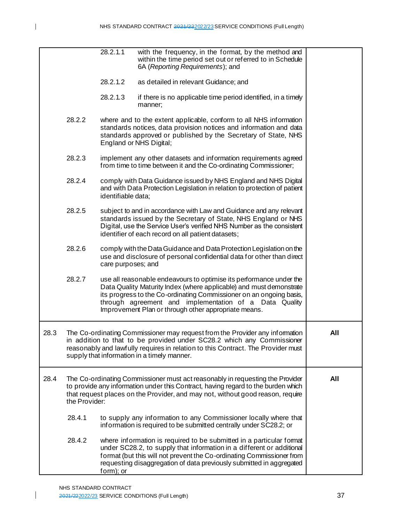28.2.1.1 with the frequency, in the format, by the method and within the time period set out or referred to in Schedule 6A (*Reporting Requirements*); and 28.2.1.2 as detailed in relevant Guidance; and 28.2.1.3 if there is no applicable time period identified, in a timely manner; 28.2.2 where and to the extent applicable, conform to all NHS information standards notices, data provision notices and information and data standards approved or published by the Secretary of State, NHS England or NHS Digital; 28.2.3 implement any other datasets and information requirements agreed from time to time between it and the Co-ordinating Commissioner; 28.2.4 comply with Data Guidance issued by NHS England and NHS Digital and with Data Protection Legislation in relation to protection of patient identifiable data; 28.2.5 subject to and in accordance with Law and Guidance and any relevant standards issued by the Secretary of State, NHS England or NHS Digital, use the Service User's verified NHS Number as the consistent identifier of each record on all patient datasets; 28.2.6 comply with the Data Guidance and Data Protection Legislation on the use and disclosure of personal confidential data for other than direct care purposes; and 28.2.7 use all reasonable endeavours to optimise its performance under the Data Quality Maturity Index (where applicable) and must demonstrate its progress to the Co-ordinating Commissioner on an ongoing basis, through agreement and implementation of a Data Quality Improvement Plan or through other appropriate means. 28.3 The Co-ordinating Commissioner may request from the Provider any information in addition to that to be provided under SC28.2 which any Commissioner reasonably and lawfully requires in relation to this Contract. The Provider must supply that information in a timely manner. **All** 28.4 The Co-ordinating Commissioner must act reasonably in requesting the Provider to provide any information under this Contract, having regard to the burden which that request places on the Provider, and may not, without good reason, require the Provider: 28.4.1 to supply any information to any Commissioner locally where that information is required to be submitted centrally under SC28.2; or 28.4.2 where information is required to be submitted in a particular format under SC28.2, to supply that information in a different or additional format (but this will not prevent the Co-ordinating Commissioner from requesting disaggregation of data previously submitted in aggregated form); or **All**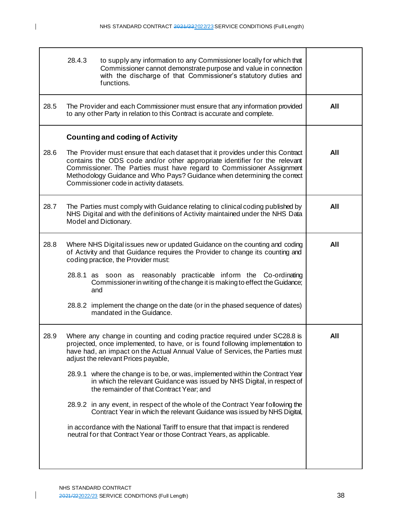|      | 28.4.3 | to supply any information to any Commissioner locally for which that<br>Commissioner cannot demonstrate purpose and value in connection<br>with the discharge of that Commissioner's statutory duties and<br>functions.                                                                                                                                       |     |  |  |
|------|--------|---------------------------------------------------------------------------------------------------------------------------------------------------------------------------------------------------------------------------------------------------------------------------------------------------------------------------------------------------------------|-----|--|--|
| 28.5 |        | The Provider and each Commissioner must ensure that any information provided<br>to any other Party in relation to this Contract is accurate and complete.                                                                                                                                                                                                     | All |  |  |
|      |        | <b>Counting and coding of Activity</b>                                                                                                                                                                                                                                                                                                                        |     |  |  |
| 28.6 |        | The Provider must ensure that each dataset that it provides under this Contract<br>contains the ODS code and/or other appropriate identifier for the relevant<br>Commissioner. The Parties must have regard to Commissioner Assignment<br>Methodology Guidance and Who Pays? Guidance when determining the correct<br>Commissioner code in activity datasets. | All |  |  |
| 28.7 |        | The Parties must comply with Guidance relating to clinical coding published by<br>NHS Digital and with the definitions of Activity maintained under the NHS Data<br>Model and Dictionary.                                                                                                                                                                     | All |  |  |
| 28.8 |        | Where NHS Digital issues new or updated Guidance on the counting and coding<br>of Activity and that Guidance requires the Provider to change its counting and<br>coding practice, the Provider must:                                                                                                                                                          | All |  |  |
|      |        | reasonably practicable inform the Co-ordinating<br>28.8.1 as soon as<br>Commissioner in writing of the change it is making to effect the Guidance;<br>and                                                                                                                                                                                                     |     |  |  |
|      |        | 28.8.2 implement the change on the date (or in the phased sequence of dates)<br>mandated in the Guidance.                                                                                                                                                                                                                                                     |     |  |  |
| 28.9 |        | Where any change in counting and coding practice required under SC28.8 is<br>projected, once implemented, to have, or is found following implementation to<br>have had, an impact on the Actual Annual Value of Services, the Parties must<br>adjust the relevant Prices payable,                                                                             | All |  |  |
|      |        | 28.9.1 where the change is to be, or was, implemented within the Contract Year<br>in which the relevant Guidance was issued by NHS Digital, in respect of<br>the remainder of that Contract Year; and                                                                                                                                                         |     |  |  |
|      |        | 28.9.2 in any event, in respect of the whole of the Contract Year following the<br>Contract Year in which the relevant Guidance was issued by NHS Digital,                                                                                                                                                                                                    |     |  |  |
|      |        | in accordance with the National Tariff to ensure that that impact is rendered<br>neutral for that Contract Year or those Contract Years, as applicable.                                                                                                                                                                                                       |     |  |  |
|      |        |                                                                                                                                                                                                                                                                                                                                                               |     |  |  |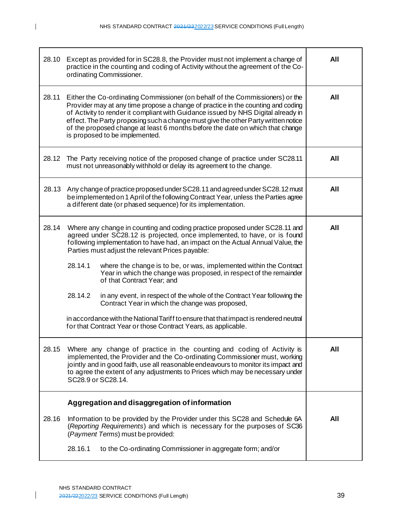| 28.10 | Except as provided for in SC28.8, the Provider must not implement a change of<br>practice in the counting and coding of Activity without the agreement of the Co-<br>ordinating Commissioner.                                                                                                                                                                                                                                                                   | All |
|-------|-----------------------------------------------------------------------------------------------------------------------------------------------------------------------------------------------------------------------------------------------------------------------------------------------------------------------------------------------------------------------------------------------------------------------------------------------------------------|-----|
| 28.11 | Either the Co-ordinating Commissioner (on behalf of the Commissioners) or the<br>Provider may at any time propose a change of practice in the counting and coding<br>of Activity to render it compliant with Guidance issued by NHS Digital already in<br>effect. The Party proposing such a change must give the other Party written notice<br>of the proposed change at least 6 months before the date on which that change<br>is proposed to be implemented. | All |
| 28.12 | The Party receiving notice of the proposed change of practice under SC28.11<br>must not unreasonably withhold or delay its agreement to the change.                                                                                                                                                                                                                                                                                                             | All |
| 28.13 | Any change of practice proposed under SC28.11 and agreed under SC28.12 must<br>be implemented on 1 April of the following Contract Year, unless the Parties agree<br>a different date (or phased sequence) for its implementation.                                                                                                                                                                                                                              | All |
| 28.14 | Where any change in counting and coding practice proposed under SC28.11 and<br>agreed under SC28.12 is projected, once implemented, to have, or is found<br>following implementation to have had, an impact on the Actual Annual Value, the<br>Parties must adjust the relevant Prices payable:<br>28.14.1<br>where the change is to be, or was, implemented within the Contract<br>Year in which the change was proposed, in respect of the remainder          | All |
|       | of that Contract Year; and<br>28.14.2<br>in any event, in respect of the whole of the Contract Year following the<br>Contract Year in which the change was proposed,<br>in accordance with the National Tariff to ensure that that impact is rendered neutral<br>for that Contract Year or those Contract Years, as applicable.                                                                                                                                 |     |
| 28.15 | Where any change of practice in the counting and coding of Activity is<br>implemented, the Provider and the Co-ordinating Commissioner must, working<br>jointly and in good faith, use all reasonable endeavours to monitor its impact and<br>to agree the extent of any adjustments to Prices which may be necessary under<br>SC28.9 or SC28.14.                                                                                                               | All |
| 28.16 | Aggregation and disaggregation of information<br>Information to be provided by the Provider under this SC28 and Schedule 6A<br>(Reporting Requirements) and which is necessary for the purposes of SC36<br>(Payment Terms) must be provided:                                                                                                                                                                                                                    | All |
|       | 28.16.1<br>to the Co-ordinating Commissioner in aggregate form; and/or                                                                                                                                                                                                                                                                                                                                                                                          |     |

 $\overline{1}$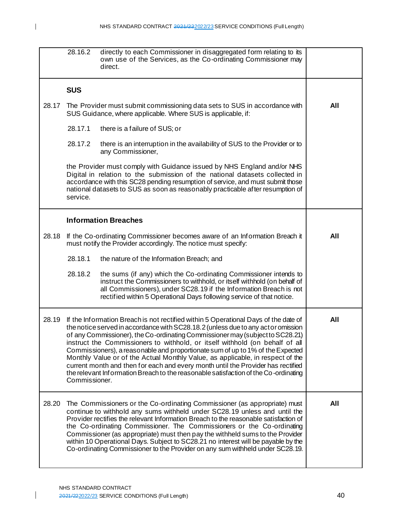|       | 28.16.2                                                                                                                                                                                                                                                                                                                                                                                                                                                                                                                                                                                                                                                                                                  | directly to each Commissioner in disaggregated form relating to its<br>own use of the Services, as the Co-ordinating Commissioner may<br>direct.                                                                                                                                                                                                                                                                                                                                                                                                                                |     |
|-------|----------------------------------------------------------------------------------------------------------------------------------------------------------------------------------------------------------------------------------------------------------------------------------------------------------------------------------------------------------------------------------------------------------------------------------------------------------------------------------------------------------------------------------------------------------------------------------------------------------------------------------------------------------------------------------------------------------|---------------------------------------------------------------------------------------------------------------------------------------------------------------------------------------------------------------------------------------------------------------------------------------------------------------------------------------------------------------------------------------------------------------------------------------------------------------------------------------------------------------------------------------------------------------------------------|-----|
|       | <b>SUS</b>                                                                                                                                                                                                                                                                                                                                                                                                                                                                                                                                                                                                                                                                                               |                                                                                                                                                                                                                                                                                                                                                                                                                                                                                                                                                                                 |     |
| 28.17 |                                                                                                                                                                                                                                                                                                                                                                                                                                                                                                                                                                                                                                                                                                          | The Provider must submit commissioning data sets to SUS in accordance with<br>SUS Guidance, where applicable. Where SUS is applicable, if:                                                                                                                                                                                                                                                                                                                                                                                                                                      | All |
|       | 28.17.1                                                                                                                                                                                                                                                                                                                                                                                                                                                                                                                                                                                                                                                                                                  | there is a failure of SUS; or                                                                                                                                                                                                                                                                                                                                                                                                                                                                                                                                                   |     |
|       | 28.17.2                                                                                                                                                                                                                                                                                                                                                                                                                                                                                                                                                                                                                                                                                                  | there is an interruption in the availability of SUS to the Provider or to<br>any Commissioner,                                                                                                                                                                                                                                                                                                                                                                                                                                                                                  |     |
|       | service.                                                                                                                                                                                                                                                                                                                                                                                                                                                                                                                                                                                                                                                                                                 | the Provider must comply with Guidance issued by NHS England and/or NHS<br>Digital in relation to the submission of the national datasets collected in<br>accordance with this SC28 pending resumption of service, and must submit those<br>national datasets to SUS as soon as reasonably practicable after resumption of                                                                                                                                                                                                                                                      |     |
|       |                                                                                                                                                                                                                                                                                                                                                                                                                                                                                                                                                                                                                                                                                                          | <b>Information Breaches</b>                                                                                                                                                                                                                                                                                                                                                                                                                                                                                                                                                     |     |
| 28.18 |                                                                                                                                                                                                                                                                                                                                                                                                                                                                                                                                                                                                                                                                                                          | If the Co-ordinating Commissioner becomes aware of an Information Breach it<br>must notify the Provider accordingly. The notice must specify:                                                                                                                                                                                                                                                                                                                                                                                                                                   | All |
|       | 28.18.1                                                                                                                                                                                                                                                                                                                                                                                                                                                                                                                                                                                                                                                                                                  | the nature of the Information Breach; and                                                                                                                                                                                                                                                                                                                                                                                                                                                                                                                                       |     |
|       | 28.18.2                                                                                                                                                                                                                                                                                                                                                                                                                                                                                                                                                                                                                                                                                                  | the sums (if any) which the Co-ordinating Commissioner intends to<br>instruct the Commissioners to withhold, or itself withhold (on behalf of<br>all Commissioners), under SC28.19 if the Information Breach is not<br>rectified within 5 Operational Days following service of that notice.                                                                                                                                                                                                                                                                                    |     |
| 28.19 | If the Information Breach is not rectified within 5 Operational Days of the date of<br>the notice served in accordance with SC28.18.2 (unless due to any actor omission<br>of any Commissioner), the Co-ordinating Commissioner may (subject to SC28.21)<br>instruct the Commissioners to withhold, or itself withhold (on behalf of all<br>Commissioners), a reasonable and proportionate sum of up to 1% of the Expected<br>Monthly Value or of the Actual Monthly Value, as applicable, in respect of the<br>current month and then for each and every month until the Provider has rectified<br>the relevant Information Breach to the reasonable satisfaction of the Co-ordinating<br>Commissioner. |                                                                                                                                                                                                                                                                                                                                                                                                                                                                                                                                                                                 | All |
| 28.20 |                                                                                                                                                                                                                                                                                                                                                                                                                                                                                                                                                                                                                                                                                                          | The Commissioners or the Co-ordinating Commissioner (as appropriate) must<br>continue to withhold any sums withheld under SC28.19 unless and until the<br>Provider rectifies the relevant Information Breach to the reasonable satisfaction of<br>the Co-ordinating Commissioner. The Commissioners or the Co-ordinating<br>Commissioner (as appropriate) must then pay the withheld sums to the Provider<br>within 10 Operational Days. Subject to SC28.21 no interest will be payable by the<br>Co-ordinating Commissioner to the Provider on any sum withheld under SC28.19. | All |

 $\overline{1}$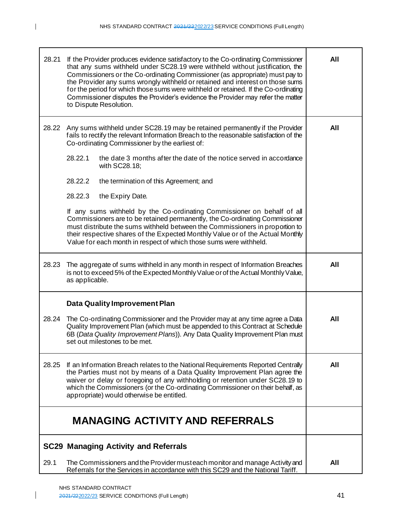| 28.21 | If the Provider produces evidence satisfactory to the Co-ordinating Commissioner<br>that any sums withheld under SC28.19 were withheld without justification, the<br>Commissioners or the Co-ordinating Commissioner (as appropriate) must pay to<br>the Provider any sums wrongly withheld or retained and interest on those sums<br>for the period for which those sums were withheld or retained. If the Co-ordinating<br>Commissioner disputes the Provider's evidence the Provider may refer the matter<br>to Dispute Resolution. | All |  |
|-------|----------------------------------------------------------------------------------------------------------------------------------------------------------------------------------------------------------------------------------------------------------------------------------------------------------------------------------------------------------------------------------------------------------------------------------------------------------------------------------------------------------------------------------------|-----|--|
| 28.22 | Any sums withheld under SC28.19 may be retained permanently if the Provider<br>fails to rectify the relevant Information Breach to the reasonable satisfaction of the<br>Co-ordinating Commissioner by the earliest of:<br>28.22.1<br>the date 3 months after the date of the notice served in accordance<br>with SC28.18;                                                                                                                                                                                                             | All |  |
|       | 28.22.2<br>the termination of this Agreement; and                                                                                                                                                                                                                                                                                                                                                                                                                                                                                      |     |  |
|       | 28.22.3<br>the Expiry Date.                                                                                                                                                                                                                                                                                                                                                                                                                                                                                                            |     |  |
|       | If any sums withheld by the Co-ordinating Commissioner on behalf of all<br>Commissioners are to be retained permanently, the Co-ordinating Commissioner<br>must distribute the sums withheld between the Commissioners in proportion to<br>their respective shares of the Expected Monthly Value or of the Actual Monthly<br>Value for each month in respect of which those sums were withheld.                                                                                                                                        |     |  |
| 28.23 | The aggregate of sums withheld in any month in respect of Information Breaches<br>All<br>is not to exceed 5% of the Expected Monthly Value or of the Actual Monthly Value,<br>as applicable.                                                                                                                                                                                                                                                                                                                                           |     |  |
|       | <b>Data Quality Improvement Plan</b>                                                                                                                                                                                                                                                                                                                                                                                                                                                                                                   |     |  |
| 28.24 | The Co-ordinating Commissioner and the Provider may at any time agree a Data<br>Quality Improvement Plan (which must be appended to this Contract at Schedule<br>6B (Data Quality Improvement Plans)). Any Data Quality Improvement Plan must<br>set out milestones to be met.                                                                                                                                                                                                                                                         | All |  |
| 28.25 | If an Information Breach relates to the National Requirements Reported Centrally<br>the Parties must not by means of a Data Quality Improvement Plan agree the<br>waiver or delay or foregoing of any withholding or retention under SC28.19 to<br>which the Commissioners (or the Co-ordinating Commissioner on their behalf, as<br>appropriate) would otherwise be entitled.                                                                                                                                                         |     |  |
|       | <b>MANAGING ACTIVITY AND REFERRALS</b>                                                                                                                                                                                                                                                                                                                                                                                                                                                                                                 |     |  |
|       | <b>SC29 Managing Activity and Referrals</b>                                                                                                                                                                                                                                                                                                                                                                                                                                                                                            |     |  |
| 29.1  | The Commissioners and the Provider must each monitor and manage Activity and<br>Referrals for the Services in accordance with this SC29 and the National Tariff.                                                                                                                                                                                                                                                                                                                                                                       | All |  |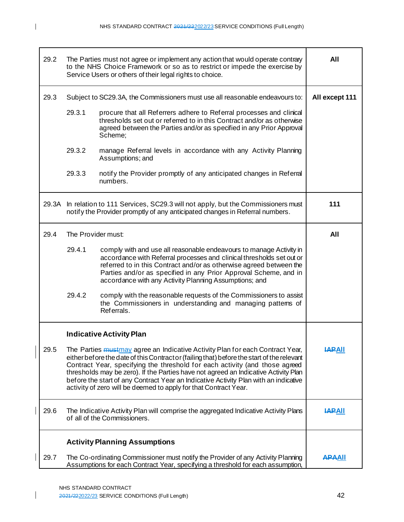| 29.2  |                    | The Parties must not agree or implement any action that would operate contrary<br>to the NHS Choice Framework or so as to restrict or impede the exercise by<br>Service Users or others of their legal rights to choice.                                                                                                                                                                                                                                                                                             | All            |
|-------|--------------------|----------------------------------------------------------------------------------------------------------------------------------------------------------------------------------------------------------------------------------------------------------------------------------------------------------------------------------------------------------------------------------------------------------------------------------------------------------------------------------------------------------------------|----------------|
| 29.3  |                    | Subject to SC29.3A, the Commissioners must use all reasonable endeavours to:                                                                                                                                                                                                                                                                                                                                                                                                                                         | All except 111 |
|       | 29.3.1             | procure that all Referrers adhere to Referral processes and clinical<br>thresholds set out or referred to in this Contract and/or as otherwise<br>agreed between the Parties and/or as specified in any Prior Approval<br>Scheme;                                                                                                                                                                                                                                                                                    |                |
|       | 29.3.2             | manage Referral levels in accordance with any Activity Planning<br>Assumptions; and                                                                                                                                                                                                                                                                                                                                                                                                                                  |                |
|       | 29.3.3             | notify the Provider promptly of any anticipated changes in Referral<br>numbers.                                                                                                                                                                                                                                                                                                                                                                                                                                      |                |
| 29.3A |                    | In relation to 111 Services, SC29.3 will not apply, but the Commissioners must<br>notify the Provider promptly of any anticipated changes in Referral numbers.                                                                                                                                                                                                                                                                                                                                                       | 111            |
| 29.4  | The Provider must: |                                                                                                                                                                                                                                                                                                                                                                                                                                                                                                                      | All            |
|       | 29.4.1             | comply with and use all reasonable endeavours to manage Activity in<br>accordance with Referral processes and clinical thresholds set out or<br>referred to in this Contract and/or as otherwise agreed between the<br>Parties and/or as specified in any Prior Approval Scheme, and in<br>accordance with any Activity Planning Assumptions; and                                                                                                                                                                    |                |
|       | 29.4.2             | comply with the reasonable requests of the Commissioners to assist<br>the Commissioners in understanding and managing pattems of<br>Referrals.                                                                                                                                                                                                                                                                                                                                                                       |                |
|       |                    | <b>Indicative Activity Plan</b>                                                                                                                                                                                                                                                                                                                                                                                                                                                                                      |                |
| 29.5  |                    | The Parties <i>mustmay</i> agree an Indicative Activity Plan for each Contract Year,<br>either before the date of this Contract or (failing that) before the start of the relevant<br>Contract Year, specifying the threshold for each activity (and those agreed<br>thresholds may be zero). If the Parties have not agreed an Indicative Activity Plan<br>before the start of any Contract Year an Indicative Activity Plan with an indicative<br>activity of zero will be deemed to apply for that Contract Year. | <b>IAPAII</b>  |
| 29.6  |                    | The Indicative Activity Plan will comprise the aggregated Indicative Activity Plans<br>of all of the Commissioners.                                                                                                                                                                                                                                                                                                                                                                                                  | <b>HAPAII</b>  |
|       |                    | <b>Activity Planning Assumptions</b>                                                                                                                                                                                                                                                                                                                                                                                                                                                                                 |                |
| 29.7  |                    | The Co-ordinating Commissioner must notify the Provider of any Activity Planning<br>Assumptions for each Contract Year, specifying a threshold for each assumption,                                                                                                                                                                                                                                                                                                                                                  | <b>APAAII</b>  |

NHS STANDARD CONTRACT 2021/222022/23 SERVICE CONDITIONS (Full Length) 42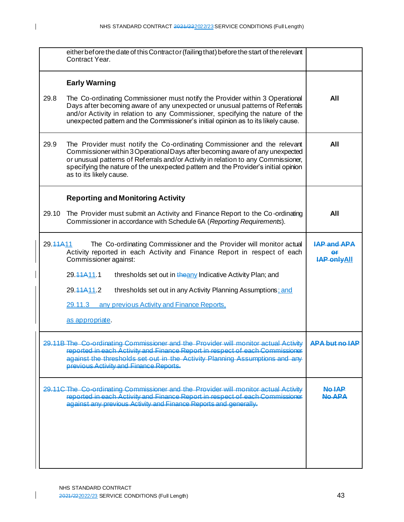|          | either before the date of this Contract or (failing that) before the start of the relevant<br>Contract Year.                                                                                                                                                                                                                                                    |                                  |  |
|----------|-----------------------------------------------------------------------------------------------------------------------------------------------------------------------------------------------------------------------------------------------------------------------------------------------------------------------------------------------------------------|----------------------------------|--|
|          | <b>Early Warning</b>                                                                                                                                                                                                                                                                                                                                            |                                  |  |
| 29.8     | The Co-ordinating Commissioner must notify the Provider within 3 Operational<br>Days after becoming aware of any unexpected or unusual patterns of Referrals<br>and/or Activity in relation to any Commissioner, specifying the nature of the<br>unexpected pattern and the Commissioner's initial opinion as to its likely cause.                              | All                              |  |
| 29.9     | The Provider must notify the Co-ordinating Commissioner and the relevant<br>Commissioner within 3 Operational Days after becoming aware of any unexpected<br>or unusual patterns of Referrals and/or Activity in relation to any Commissioner,<br>specifying the nature of the unexpected pattern and the Provider's initial opinion<br>as to its likely cause. | All                              |  |
|          | <b>Reporting and Monitoring Activity</b>                                                                                                                                                                                                                                                                                                                        |                                  |  |
| 29.10    | The Provider must submit an Activity and Finance Report to the Co-ordinating<br>Commissioner in accordance with Schedule 6A (Reporting Requirements).                                                                                                                                                                                                           | All                              |  |
| 29.44A11 | The Co-ordinating Commissioner and the Provider will monitor actual<br>Activity reported in each Activity and Finance Report in respect of each<br>Commissioner against:                                                                                                                                                                                        | AP and APA<br><b>IAP onlyAll</b> |  |
|          | 29.44A <sub>11</sub> .1<br>thresholds set out in the any Indicative Activity Plan; and                                                                                                                                                                                                                                                                          |                                  |  |
|          | 29.44A <sub>11.2</sub><br>thresholds set out in any Activity Planning Assumptions; and                                                                                                                                                                                                                                                                          |                                  |  |
|          | 29.11.3<br>any previous Activity and Finance Reports.                                                                                                                                                                                                                                                                                                           |                                  |  |
|          | as appropriate.                                                                                                                                                                                                                                                                                                                                                 |                                  |  |
|          | 29.11B The Co-ordinating Commissioner and the Provider will monitor actual Activity<br>reported in each Activity and Finance Report in respect of each Commissioner<br>against the thresholds set out in the Activity Planning Assumptions and any<br>previous Activity and Finance Reports.                                                                    | <b>APA but no IAP</b>            |  |
|          | 29.11C The Co-ordinating Commissioner and the Provider will monitor actual Activity<br>reported in each Activity and Finance Report in respect of each Commissioner<br>against any previous Activity and Finance Reports and generally.                                                                                                                         | <b>No IAP</b><br><b>No APA</b>   |  |
|          |                                                                                                                                                                                                                                                                                                                                                                 |                                  |  |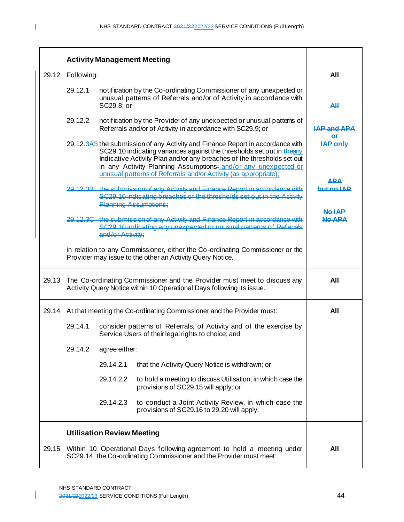|       |                                                                                                                                                                                                                                                                                                                                                                        |                                                                                                                                                                         | <b>Activity Management Meeting</b>                                                                                                            |                   |
|-------|------------------------------------------------------------------------------------------------------------------------------------------------------------------------------------------------------------------------------------------------------------------------------------------------------------------------------------------------------------------------|-------------------------------------------------------------------------------------------------------------------------------------------------------------------------|-----------------------------------------------------------------------------------------------------------------------------------------------|-------------------|
| 29.12 | Following:                                                                                                                                                                                                                                                                                                                                                             |                                                                                                                                                                         |                                                                                                                                               | All               |
|       | 29.12.1                                                                                                                                                                                                                                                                                                                                                                | SC29.8; or                                                                                                                                                              | notification by the Co-ordinating Commissioner of any unexpected or<br>unusual patterns of Referrals and/or of Activity in accordance with    | AЩ                |
|       | 29.12.2                                                                                                                                                                                                                                                                                                                                                                |                                                                                                                                                                         | notification by the Provider of any unexpected or unusual pattems of<br>Referrals and/or of Activity in accordance with SC29.9; or            | LAP and APA       |
|       | 29.12.343 the submission of any Activity and Finance Report in accordance with<br>SC29.10 indicating variances against the thresholds set out in theany<br>Indicative Activity Plan and/or any breaches of the thresholds set out<br>in any Activity Planning Assumptions; and/or any unexpected or<br>unusual patterns of Referrals and/or Activity (as appropriate); |                                                                                                                                                                         |                                                                                                                                               | <b>IAP only</b>   |
|       | 29.12.3B the submission of any Activity and Finance Report in accordance with<br>SC29.10 indicating breaches of the thresholds set out in the Activity<br><b>Planning Assumptions:</b>                                                                                                                                                                                 |                                                                                                                                                                         |                                                                                                                                               | ΔΡΛ<br>hut no IAP |
|       |                                                                                                                                                                                                                                                                                                                                                                        | 29.12.3C the submission of any Activity and Finance Report in accordance with<br>SC29.10 indicating any unexpected or unusual patterns of Referrals<br>and/or Activity: |                                                                                                                                               |                   |
|       | in relation to any Commissioner, either the Co-ordinating Commissioner or the<br>Provider may issue to the other an Activity Query Notice.                                                                                                                                                                                                                             |                                                                                                                                                                         |                                                                                                                                               |                   |
| 29.13 | The Co-ordinating Commissioner and the Provider must meet to discuss any<br>Activity Query Notice within 10 Operational Days following its issue.                                                                                                                                                                                                                      |                                                                                                                                                                         | All                                                                                                                                           |                   |
| 29.14 | At that meeting the Co-ordinating Commissioner and the Provider must:                                                                                                                                                                                                                                                                                                  |                                                                                                                                                                         | All                                                                                                                                           |                   |
|       | 29.14.1                                                                                                                                                                                                                                                                                                                                                                |                                                                                                                                                                         | consider patterns of Referrals, of Activity and of the exercise by<br>Service Users of their legal rights to choice; and                      |                   |
|       | 29.14.2                                                                                                                                                                                                                                                                                                                                                                | agree either:                                                                                                                                                           |                                                                                                                                               |                   |
|       |                                                                                                                                                                                                                                                                                                                                                                        | 29.14.2.1                                                                                                                                                               | that the Activity Query Notice is withdrawn; or                                                                                               |                   |
|       |                                                                                                                                                                                                                                                                                                                                                                        | 29.14.2.2                                                                                                                                                               | to hold a meeting to discuss Utilisation, in which case the<br>provisions of SC29.15 will apply; or                                           |                   |
|       |                                                                                                                                                                                                                                                                                                                                                                        | 29.14.2.3                                                                                                                                                               | to conduct a Joint Activity Review, in which case the<br>provisions of SC29.16 to 29.20 will apply.                                           |                   |
|       |                                                                                                                                                                                                                                                                                                                                                                        | <b>Utilisation Review Meeting</b>                                                                                                                                       |                                                                                                                                               |                   |
| 29.15 |                                                                                                                                                                                                                                                                                                                                                                        |                                                                                                                                                                         | Within 10 Operational Days following agreement to hold a meeting under<br>SC29.14, the Co-ordinating Commissioner and the Provider must meet: | All               |

 $\overline{1}$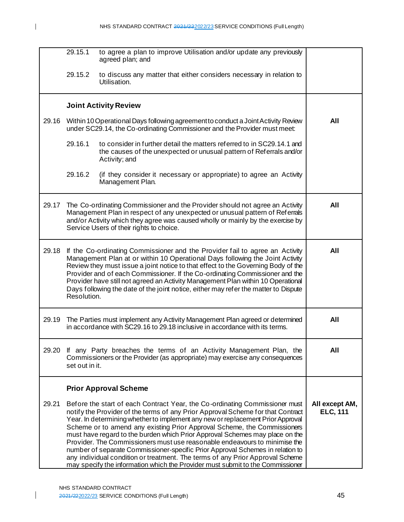|       | 29.15.1                                                                                                                                                                                                                                                                                                                                                                                                                                                                                                                      | to agree a plan to improve Utilisation and/or update any previously<br>agreed plan; and                                                                                                                                                                                                                                                                                                                                                                                                                                                                                                                                                                                                                                                          |                                   |
|-------|------------------------------------------------------------------------------------------------------------------------------------------------------------------------------------------------------------------------------------------------------------------------------------------------------------------------------------------------------------------------------------------------------------------------------------------------------------------------------------------------------------------------------|--------------------------------------------------------------------------------------------------------------------------------------------------------------------------------------------------------------------------------------------------------------------------------------------------------------------------------------------------------------------------------------------------------------------------------------------------------------------------------------------------------------------------------------------------------------------------------------------------------------------------------------------------------------------------------------------------------------------------------------------------|-----------------------------------|
|       | 29.15.2                                                                                                                                                                                                                                                                                                                                                                                                                                                                                                                      | to discuss any matter that either considers necessary in relation to<br>Utilisation.                                                                                                                                                                                                                                                                                                                                                                                                                                                                                                                                                                                                                                                             |                                   |
|       |                                                                                                                                                                                                                                                                                                                                                                                                                                                                                                                              | <b>Joint Activity Review</b>                                                                                                                                                                                                                                                                                                                                                                                                                                                                                                                                                                                                                                                                                                                     |                                   |
| 29.16 |                                                                                                                                                                                                                                                                                                                                                                                                                                                                                                                              | Within 10 Operational Days following agreement to conduct a Joint Activity Review<br>under SC29.14, the Co-ordinating Commissioner and the Provider must meet:                                                                                                                                                                                                                                                                                                                                                                                                                                                                                                                                                                                   | All                               |
|       | 29.16.1                                                                                                                                                                                                                                                                                                                                                                                                                                                                                                                      | to consider in further detail the matters referred to in SC29.14.1 and<br>the causes of the unexpected or unusual pattern of Referrals and/or<br>Activity; and                                                                                                                                                                                                                                                                                                                                                                                                                                                                                                                                                                                   |                                   |
|       | 29.16.2                                                                                                                                                                                                                                                                                                                                                                                                                                                                                                                      | (if they consider it necessary or appropriate) to agree an Activity<br>Management Plan.                                                                                                                                                                                                                                                                                                                                                                                                                                                                                                                                                                                                                                                          |                                   |
| 29.17 | The Co-ordinating Commissioner and the Provider should not agree an Activity<br>Management Plan in respect of any unexpected or unusual pattern of Referrals<br>and/or Activity which they agree was caused wholly or mainly by the exercise by<br>Service Users of their rights to choice.                                                                                                                                                                                                                                  | All                                                                                                                                                                                                                                                                                                                                                                                                                                                                                                                                                                                                                                                                                                                                              |                                   |
| 29.18 | If the Co-ordinating Commissioner and the Provider fail to agree an Activity<br>Management Plan at or within 10 Operational Days following the Joint Activity<br>Review they must issue a joint notice to that effect to the Governing Body of the<br>Provider and of each Commissioner. If the Co-ordinating Commissioner and the<br>Provider have still not agreed an Activity Management Plan within 10 Operational<br>Days following the date of the joint notice, either may refer the matter to Dispute<br>Resolution. | All                                                                                                                                                                                                                                                                                                                                                                                                                                                                                                                                                                                                                                                                                                                                              |                                   |
| 29.19 | The Parties must implement any Activity Management Plan agreed or determined<br>in accordance with SC29.16 to 29.18 inclusive in accordance with its terms.                                                                                                                                                                                                                                                                                                                                                                  | All                                                                                                                                                                                                                                                                                                                                                                                                                                                                                                                                                                                                                                                                                                                                              |                                   |
| 29.20 | If any Party breaches the terms of an Activity Management Plan, the<br>Commissioners or the Provider (as appropriate) may exercise any consequences<br>set out in it.                                                                                                                                                                                                                                                                                                                                                        | All                                                                                                                                                                                                                                                                                                                                                                                                                                                                                                                                                                                                                                                                                                                                              |                                   |
|       |                                                                                                                                                                                                                                                                                                                                                                                                                                                                                                                              | <b>Prior Approval Scheme</b>                                                                                                                                                                                                                                                                                                                                                                                                                                                                                                                                                                                                                                                                                                                     |                                   |
| 29.21 |                                                                                                                                                                                                                                                                                                                                                                                                                                                                                                                              | Before the start of each Contract Year, the Co-ordinating Commissioner must<br>notify the Provider of the terms of any Prior Approval Scheme for that Contract<br>Year. In determining whether to implement any new or replacement Prior Approval<br>Scheme or to amend any existing Prior Approval Scheme, the Commissioners<br>must have regard to the burden which Prior Approval Schemes may place on the<br>Provider. The Commissioners must use reasonable endeavours to minimise the<br>number of separate Commissioner-specific Prior Approval Schemes in relation to<br>any individual condition or treatment. The terms of any Prior Approval Scheme<br>may specify the information which the Provider must submit to the Commissioner | All except AM,<br><b>ELC, 111</b> |

 $\mathsf{I}$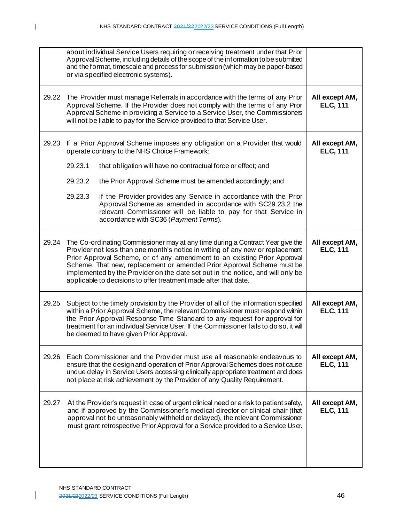|       | about individual Service Users requiring or receiving treatment under that Prior<br>Approval Scheme, including details of the scope of the information to be submitted<br>and the format, timescale and process for submission (which may be paper-based<br>or via specified electronic systems).                                                                                                                                                                             |                                   |
|-------|-------------------------------------------------------------------------------------------------------------------------------------------------------------------------------------------------------------------------------------------------------------------------------------------------------------------------------------------------------------------------------------------------------------------------------------------------------------------------------|-----------------------------------|
| 29.22 | The Provider must manage Referrals in accordance with the terms of any Prior<br>Approval Scheme. If the Provider does not comply with the terms of any Prior<br>Approval Scheme in providing a Service to a Service User, the Commissioners<br>will not be liable to pay for the Service provided to that Service User.                                                                                                                                                       | All except AM,<br><b>ELC, 111</b> |
| 29.23 | If a Prior Approval Scheme imposes any obligation on a Provider that would<br>operate contrary to the NHS Choice Framework:                                                                                                                                                                                                                                                                                                                                                   | All except AM,<br><b>ELC, 111</b> |
|       | 29.23.1<br>that obligation will have no contractual force or effect; and                                                                                                                                                                                                                                                                                                                                                                                                      |                                   |
|       | 29.23.2<br>the Prior Approval Scheme must be amended accordingly; and                                                                                                                                                                                                                                                                                                                                                                                                         |                                   |
|       | if the Provider provides any Service in accordance with the Prior<br>29.23.3<br>Approval Scheme as amended in accordance with SC29.23.2 the<br>relevant Commissioner will be liable to pay for that Service in<br>accordance with SC36 (Payment Terms).                                                                                                                                                                                                                       |                                   |
| 29.24 | The Co-ordinating Commissioner may at any time during a Contract Year give the<br>Provider not less than one month's notice in writing of any new or replacement<br>Prior Approval Scheme, or of any amendment to an existing Prior Approval<br>Scheme. That new, replacement or amended Prior Approval Scheme must be<br>implemented by the Provider on the date set out in the notice, and will only be<br>applicable to decisions to offer treatment made after that date. | All except AM,<br><b>ELC, 111</b> |
| 29.25 | Subject to the timely provision by the Provider of all of the information specified<br>within a Prior Approval Scheme, the relevant Commissioner must respond within<br>the Prior Approval Response Time Standard to any request for approval for<br>treatment for an individual Service User. If the Commissioner fails to do so, it will<br>be deemed to have given Prior Approval.                                                                                         | All except AM,<br><b>ELC, 111</b> |
| 29.26 | Each Commissioner and the Provider must use all reasonable endeavours to<br>ensure that the design and operation of Prior Approval Schemes does not cause<br>undue delay in Service Users accessing clinically appropriate treatment and does<br>not place at risk achievement by the Provider of any Quality Requirement.                                                                                                                                                    | All except AM,<br><b>ELC, 111</b> |
| 29.27 | At the Provider's request in case of urgent clinical need or a risk to patient safety,<br>and if approved by the Commissioner's medical director or clinical chair (that<br>approval not be unreasonably withheld or delayed), the relevant Commissioner<br>must grant retrospective Prior Approval for a Service provided to a Service User.                                                                                                                                 | All except AM,<br><b>ELC, 111</b> |

 $\mathsf{I}$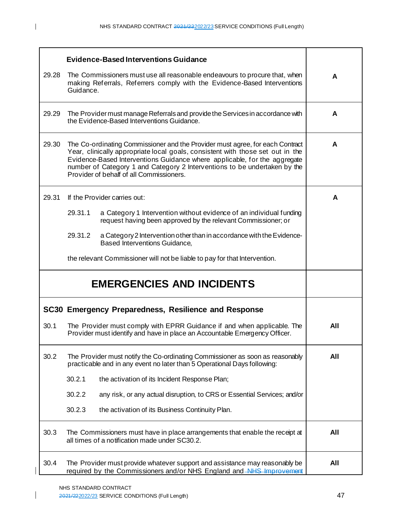|       | <b>Evidence-Based Interventions Guidance</b>                                                                                                                                                                                                                                                                                                                          |     |
|-------|-----------------------------------------------------------------------------------------------------------------------------------------------------------------------------------------------------------------------------------------------------------------------------------------------------------------------------------------------------------------------|-----|
| 29.28 | The Commissioners must use all reasonable endeavours to procure that, when<br>making Referrals, Referrers comply with the Evidence-Based Interventions<br>Guidance.                                                                                                                                                                                                   | A   |
| 29.29 | The Provider must manage Referrals and provide the Services in accordance with<br>the Evidence-Based Interventions Guidance.                                                                                                                                                                                                                                          | A   |
| 29.30 | The Co-ordinating Commissioner and the Provider must agree, for each Contract<br>Year, clinically appropriate local goals, consistent with those set out in the<br>Evidence-Based Interventions Guidance where applicable, for the aggregate<br>number of Category 1 and Category 2 Interventions to be undertaken by the<br>Provider of behalf of all Commissioners. | A   |
| 29.31 | If the Provider carries out:                                                                                                                                                                                                                                                                                                                                          | A   |
|       | 29.31.1<br>a Category 1 Intervention without evidence of an individual funding<br>request having been approved by the relevant Commissioner; or                                                                                                                                                                                                                       |     |
|       | 29.31.2<br>a Category 2 Intervention other than in accordance with the Evidence-<br><b>Based Interventions Guidance,</b>                                                                                                                                                                                                                                              |     |
|       | the relevant Commissioner will not be liable to pay for that Intervention.                                                                                                                                                                                                                                                                                            |     |
|       | <b>EMERGENCIES AND INCIDENTS</b>                                                                                                                                                                                                                                                                                                                                      |     |
|       | SC30 Emergency Preparedness, Resilience and Response                                                                                                                                                                                                                                                                                                                  |     |
| 30.1  | The Provider must comply with EPRR Guidance if and when applicable. The<br>Provider must identify and have in place an Accountable Emergency Officer.                                                                                                                                                                                                                 | All |
| 30.2  | The Provider must notify the Co-ordinating Commissioner as soon as reasonably<br>practicable and in any event no later than 5 Operational Days following:                                                                                                                                                                                                             | All |
|       | 30.2.1<br>the activation of its Incident Response Plan;                                                                                                                                                                                                                                                                                                               |     |
|       | 30.2.2<br>any risk, or any actual disruption, to CRS or Essential Services; and/or                                                                                                                                                                                                                                                                                    |     |
|       | 30.2.3<br>the activation of its Business Continuity Plan.                                                                                                                                                                                                                                                                                                             |     |
| 30.3  | The Commissioners must have in place arrangements that enable the receipt at<br>all times of a notification made under SC30.2.                                                                                                                                                                                                                                        | All |
| 30.4  | The Provider must provide whatever support and assistance may reasonably be<br>required by the Commissioners and/or NHS England and AHS Improvement                                                                                                                                                                                                                   | All |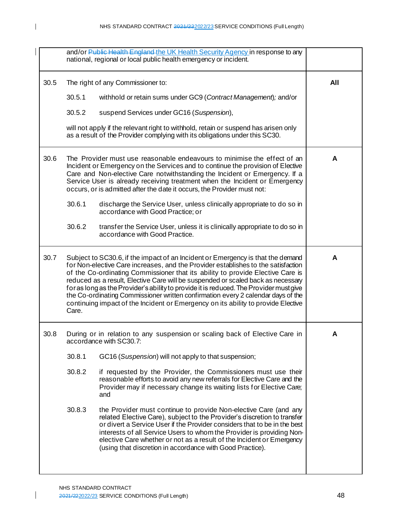|      |        | and/or Public Health England the UK Health Security Agency in response to any<br>national, regional or local public health emergency or incident.                                                                                                                                                                                                                                                                                                                                                                                                                                                             |     |
|------|--------|---------------------------------------------------------------------------------------------------------------------------------------------------------------------------------------------------------------------------------------------------------------------------------------------------------------------------------------------------------------------------------------------------------------------------------------------------------------------------------------------------------------------------------------------------------------------------------------------------------------|-----|
| 30.5 |        | The right of any Commissioner to:                                                                                                                                                                                                                                                                                                                                                                                                                                                                                                                                                                             | All |
|      | 30.5.1 | withhold or retain sums under GC9 (Contract Management); and/or                                                                                                                                                                                                                                                                                                                                                                                                                                                                                                                                               |     |
|      | 30.5.2 | suspend Services under GC16 (Suspension),                                                                                                                                                                                                                                                                                                                                                                                                                                                                                                                                                                     |     |
|      |        | will not apply if the relevant right to withhold, retain or suspend has arisen only<br>as a result of the Provider complying with its obligations under this SC30.                                                                                                                                                                                                                                                                                                                                                                                                                                            |     |
| 30.6 |        | The Provider must use reasonable endeavours to minimise the effect of an<br>Incident or Emergency on the Services and to continue the provision of Elective<br>Care and Non-elective Care notwithstanding the Incident or Emergency. If a<br>Service User is already receiving treatment when the Incident or Emergency<br>occurs, or is admitted after the date it occurs, the Provider must not:                                                                                                                                                                                                            | A   |
|      | 30.6.1 | discharge the Service User, unless clinically appropriate to do so in<br>accordance with Good Practice; or                                                                                                                                                                                                                                                                                                                                                                                                                                                                                                    |     |
|      | 30.6.2 | transfer the Service User, unless it is clinically appropriate to do so in<br>accordance with Good Practice.                                                                                                                                                                                                                                                                                                                                                                                                                                                                                                  |     |
| 30.7 | Care.  | Subject to SC30.6, if the impact of an Incident or Emergency is that the demand<br>for Non-elective Care increases, and the Provider establishes to the satisfaction<br>of the Co-ordinating Commissioner that its ability to provide Elective Care is<br>reduced as a result, Elective Care will be suspended or scaled back as necessary<br>for as long as the Provider's ability to provide it is reduced. The Provider must give<br>the Co-ordinating Commissioner written confirmation every 2 calendar days of the<br>continuing impact of the Incident or Emergency on its ability to provide Elective | A   |
| 30.8 |        | During or in relation to any suspension or scaling back of Elective Care in<br>accordance with SC30.7:                                                                                                                                                                                                                                                                                                                                                                                                                                                                                                        | A   |
|      | 30.8.1 | GC16 (Suspension) will not apply to that suspension;                                                                                                                                                                                                                                                                                                                                                                                                                                                                                                                                                          |     |
|      | 30.8.2 | if requested by the Provider, the Commissioners must use their<br>reasonable efforts to avoid any new referrals for Elective Care and the<br>Provider may if necessary change its waiting lists for Elective Care;<br>and                                                                                                                                                                                                                                                                                                                                                                                     |     |
|      | 30.8.3 | the Provider must continue to provide Non-elective Care (and any<br>related Elective Care), subject to the Provider's discretion to transfer<br>or divert a Service User if the Provider considers that to be in the best<br>interests of all Service Users to whom the Provider is providing Non-<br>elective Care whether or not as a result of the Incident or Emergency<br>(using that discretion in accordance with Good Practice).                                                                                                                                                                      |     |

 $\mathbf I$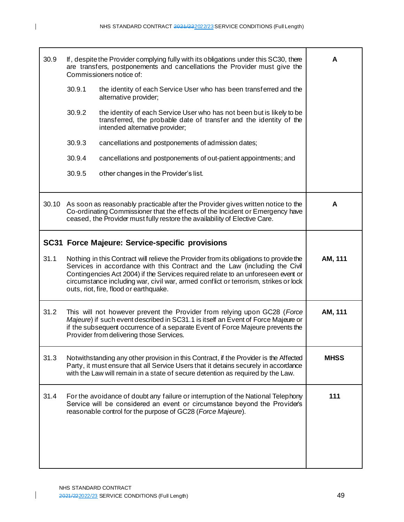| A           | If, despite the Provider complying fully with its obligations under this SC30, there<br>are transfers, postponements and cancellations the Provider must give the<br>Commissioners notice of:                                                                                                                                                                                              | 30.9  |  |
|-------------|--------------------------------------------------------------------------------------------------------------------------------------------------------------------------------------------------------------------------------------------------------------------------------------------------------------------------------------------------------------------------------------------|-------|--|
|             | 30.9.1<br>the identity of each Service User who has been transferred and the<br>alternative provider;                                                                                                                                                                                                                                                                                      |       |  |
|             | 30.9.2<br>the identity of each Service User who has not been but is likely to be<br>transferred, the probable date of transfer and the identity of the<br>intended alternative provider;                                                                                                                                                                                                   |       |  |
|             | 30.9.3<br>cancellations and postponements of admission dates;                                                                                                                                                                                                                                                                                                                              |       |  |
|             | 30.9.4<br>cancellations and postponements of out-patient appointments; and                                                                                                                                                                                                                                                                                                                 |       |  |
|             | 30.9.5<br>other changes in the Provider's list.                                                                                                                                                                                                                                                                                                                                            |       |  |
| A           | As soon as reasonably practicable after the Provider gives written notice to the<br>Co-ordinating Commissioner that the effects of the Incident or Emergency have<br>ceased, the Provider must fully restore the availability of Elective Care.                                                                                                                                            | 30.10 |  |
|             | <b>SC31 Force Majeure: Service-specific provisions</b>                                                                                                                                                                                                                                                                                                                                     |       |  |
| AM, 111     | Nothing in this Contract will relieve the Provider from its obligations to provide the<br>Services in accordance with this Contract and the Law (including the Civil<br>Contingencies Act 2004) if the Services required relate to an unforeseen event or<br>circumstance including war, civil war, armed conflict or terrorism, strikes or lock<br>outs, riot, fire, flood or earthquake. |       |  |
| AM, 111     | 31.2<br>This will not however prevent the Provider from relying upon GC28 (Force<br>Majeure) if such event described in SC31.1 is itself an Event of Force Majeure or<br>if the subsequent occurrence of a separate Event of Force Majeure prevents the<br>Provider from delivering those Services.                                                                                        |       |  |
| <b>MHSS</b> | Notwithstanding any other provision in this Contract, if the Provider is the Affected<br>Party, it must ensure that all Service Users that it detains securely in accordance<br>with the Law will remain in a state of secure detention as required by the Law.                                                                                                                            |       |  |
| 111         | 31.4<br>For the avoidance of doubt any failure or interruption of the National Telephony<br>Service will be considered an event or circumstance beyond the Provider's<br>reasonable control for the purpose of GC28 (Force Majeure).                                                                                                                                                       |       |  |
|             |                                                                                                                                                                                                                                                                                                                                                                                            |       |  |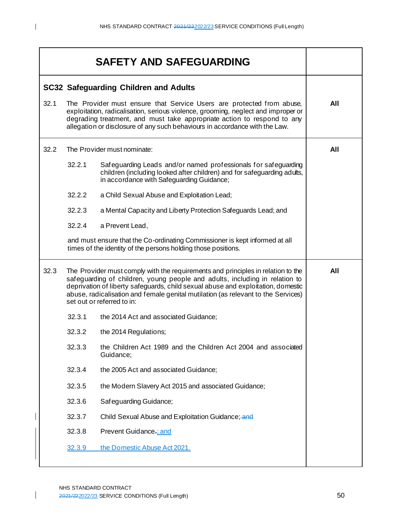|      | <b>SAFETY AND SAFEGUARDING</b>               |                                                                                                                                                                                                                                                                                                                                                                        |     |  |
|------|----------------------------------------------|------------------------------------------------------------------------------------------------------------------------------------------------------------------------------------------------------------------------------------------------------------------------------------------------------------------------------------------------------------------------|-----|--|
|      | <b>SC32 Safeguarding Children and Adults</b> |                                                                                                                                                                                                                                                                                                                                                                        |     |  |
| 32.1 |                                              | The Provider must ensure that Service Users are protected from abuse,<br>exploitation, radicalisation, serious violence, grooming, neglect and improper or<br>degrading treatment, and must take appropriate action to respond to any<br>allegation or disclosure of any such behaviours in accordance with the Law.                                                   | All |  |
| 32.2 |                                              | The Provider must nominate:                                                                                                                                                                                                                                                                                                                                            | All |  |
|      | 32.2.1                                       | Safeguarding Leads and/or named professionals for safeguarding<br>children (including looked after children) and for safeguarding adults,<br>in accordance with Safeguarding Guidance;                                                                                                                                                                                 |     |  |
|      | 32.2.2                                       | a Child Sexual Abuse and Exploitation Lead;                                                                                                                                                                                                                                                                                                                            |     |  |
|      | 32.2.3                                       | a Mental Capacity and Liberty Protection Safeguards Lead; and                                                                                                                                                                                                                                                                                                          |     |  |
|      | 32.2.4                                       | a Prevent Lead,                                                                                                                                                                                                                                                                                                                                                        |     |  |
|      |                                              | and must ensure that the Co-ordinating Commissioner is kept informed at all<br>times of the identity of the persons holding those positions.                                                                                                                                                                                                                           |     |  |
| 32.3 |                                              | The Provider must comply with the requirements and principles in relation to the<br>safeguarding of children, young people and adults, including in relation to<br>deprivation of liberty safeguards, child sexual abuse and exploitation, domestic<br>abuse, radicalisation and female genital mutilation (as relevant to the Services)<br>set out or referred to in: | All |  |
|      | 32.3.1                                       | the 2014 Act and associated Guidance;                                                                                                                                                                                                                                                                                                                                  |     |  |
|      | 32.3.2                                       | the 2014 Regulations;                                                                                                                                                                                                                                                                                                                                                  |     |  |
|      | 32.3.3                                       | the Children Act 1989 and the Children Act 2004 and associated<br>Guidance;                                                                                                                                                                                                                                                                                            |     |  |
|      | 32.3.4                                       | the 2005 Act and associated Guidance;                                                                                                                                                                                                                                                                                                                                  |     |  |
|      | 32.3.5                                       | the Modern Slavery Act 2015 and associated Guidance;                                                                                                                                                                                                                                                                                                                   |     |  |
|      | 32.3.6                                       | Safeguarding Guidance;                                                                                                                                                                                                                                                                                                                                                 |     |  |
|      | 32.3.7                                       | Child Sexual Abuse and Exploitation Guidance; and                                                                                                                                                                                                                                                                                                                      |     |  |
|      | 32.3.8                                       | Prevent Guidance-; and                                                                                                                                                                                                                                                                                                                                                 |     |  |
|      | 32.3.9                                       | the Domestic Abuse Act 2021.                                                                                                                                                                                                                                                                                                                                           |     |  |

 $\overline{\phantom{a}}$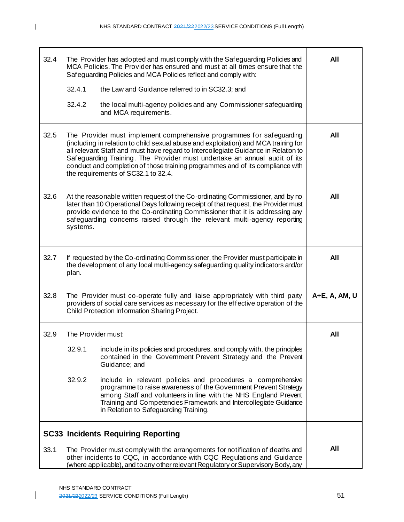| 32.4 | 32.4.1                                                                                                                                                                                                                                                                                                                                        | The Provider has adopted and must comply with the Safeguarding Policies and<br>MCA Policies. The Provider has ensured and must at all times ensure that the<br>Safeguarding Policies and MCA Policies reflect and comply with:<br>the Law and Guidance referred to in SC32.3; and                                                                                                                                                                        | All           |
|------|-----------------------------------------------------------------------------------------------------------------------------------------------------------------------------------------------------------------------------------------------------------------------------------------------------------------------------------------------|----------------------------------------------------------------------------------------------------------------------------------------------------------------------------------------------------------------------------------------------------------------------------------------------------------------------------------------------------------------------------------------------------------------------------------------------------------|---------------|
|      | 32.4.2                                                                                                                                                                                                                                                                                                                                        | the local multi-agency policies and any Commissioner safeguarding<br>and MCA requirements.                                                                                                                                                                                                                                                                                                                                                               |               |
| 32.5 |                                                                                                                                                                                                                                                                                                                                               | The Provider must implement comprehensive programmes for safeguarding<br>(including in relation to child sexual abuse and exploitation) and MCA training for<br>all relevant Staff and must have regard to Intercollegiate Guidance in Relation to<br>Safeguarding Training. The Provider must undertake an annual audit of its<br>conduct and completion of those training programmes and of its compliance with<br>the requirements of SC32.1 to 32.4. | All           |
| 32.6 | At the reasonable written request of the Co-ordinating Commissioner, and by no<br>later than 10 Operational Days following receipt of that request, the Provider must<br>provide evidence to the Co-ordinating Commissioner that it is addressing any<br>safeguarding concerns raised through the relevant multi-agency reporting<br>systems. | All                                                                                                                                                                                                                                                                                                                                                                                                                                                      |               |
| 32.7 | If requested by the Co-ordinating Commissioner, the Provider must participate in<br>the development of any local multi-agency safeguarding quality indicators and/or<br>plan.                                                                                                                                                                 | All                                                                                                                                                                                                                                                                                                                                                                                                                                                      |               |
| 32.8 | The Provider must co-operate fully and liaise appropriately with third party<br>providers of social care services as necessary for the effective operation of the<br>Child Protection Information Sharing Project.                                                                                                                            |                                                                                                                                                                                                                                                                                                                                                                                                                                                          | A+E, A, AM, U |
| 32.9 | The Provider must:                                                                                                                                                                                                                                                                                                                            |                                                                                                                                                                                                                                                                                                                                                                                                                                                          | All           |
|      | 32.9.1                                                                                                                                                                                                                                                                                                                                        | include in its policies and procedures, and comply with, the principles<br>contained in the Government Prevent Strategy and the Prevent<br>Guidance; and                                                                                                                                                                                                                                                                                                 |               |
|      | 32.9.2                                                                                                                                                                                                                                                                                                                                        | include in relevant policies and procedures a comprehensive<br>programme to raise awareness of the Government Prevent Strategy<br>among Staff and volunteers in line with the NHS England Prevent<br>Training and Competencies Framework and Intercollegiate Guidance<br>in Relation to Safeguarding Training.                                                                                                                                           |               |
|      |                                                                                                                                                                                                                                                                                                                                               | <b>SC33 Incidents Requiring Reporting</b>                                                                                                                                                                                                                                                                                                                                                                                                                |               |
| 33.1 |                                                                                                                                                                                                                                                                                                                                               | The Provider must comply with the arrangements for notification of deaths and<br>other incidents to CQC, in accordance with CQC Regulations and Guidance<br>(where applicable), and to any other relevant Regulatory or Supervisory Body, any                                                                                                                                                                                                            | All           |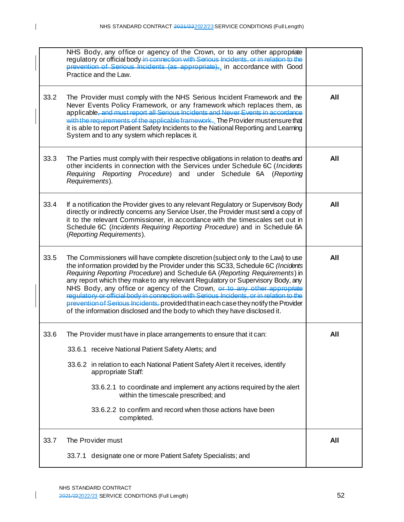| NHS Body, any office or agency of the Crown, or to any other appropriate<br>regulatory or official body in connection with Serious Incidents, or in relation to the<br>prevention of Serious Incidents (as appropriate),, in accordance with Good<br>Practice and the Law.                                                                                                                                                                                                                                                                                                                                                                                                                |     |
|-------------------------------------------------------------------------------------------------------------------------------------------------------------------------------------------------------------------------------------------------------------------------------------------------------------------------------------------------------------------------------------------------------------------------------------------------------------------------------------------------------------------------------------------------------------------------------------------------------------------------------------------------------------------------------------------|-----|
| 33.2<br>The Provider must comply with the NHS Serious Incident Framework and the<br>Never Events Policy Framework, or any framework which replaces them, as<br>applicable, and must report all Serious Incidents and Never Events in accordance<br>with the requirements of the applicable framework. The Provider must ensure that<br>it is able to report Patient Safety Incidents to the National Reporting and Learning<br>System and to any system which replaces it.                                                                                                                                                                                                                | All |
| 33.3<br>The Parties must comply with their respective obligations in relation to deaths and<br>other incidents in connection with the Services under Schedule 6C (Incidents<br>Requiring Reporting Procedure) and under Schedule 6A (Reporting<br>Requirements).                                                                                                                                                                                                                                                                                                                                                                                                                          | All |
| 33.4<br>If a notification the Provider gives to any relevant Regulatory or Supervisory Body<br>directly or indirectly concerns any Service User, the Provider must send a copy of<br>it to the relevant Commissioner, in accordance with the timescales set out in<br>Schedule 6C (Incidents Requiring Reporting Procedure) and in Schedule 6A<br>(Reporting Requirements).                                                                                                                                                                                                                                                                                                               | All |
| 33.5<br>The Commissioners will have complete discretion (subject only to the Law) to use<br>the information provided by the Provider under this SC33, Schedule 6C (Incidents<br>Requiring Reporting Procedure) and Schedule 6A (Reporting Requirements) in<br>any report which they make to any relevant Regulatory or Supervisory Body, any<br>NHS Body, any office or agency of the Crown, or to any other appropriate<br>requiatory or official body in connection with Serious Incidents, or in relation to the<br>prevention of Serious Incidents, provided that in each case they notify the Provider<br>of the information disclosed and the body to which they have disclosed it. | All |
| 33.6<br>The Provider must have in place arrangements to ensure that it can:<br>33.6.1 receive National Patient Safety Alerts; and<br>33.6.2 in relation to each National Patient Safety Alert it receives, identify<br>appropriate Staff:<br>33.6.2.1 to coordinate and implement any actions required by the alert<br>within the timescale prescribed; and<br>33.6.2.2 to confirm and record when those actions have been<br>completed.                                                                                                                                                                                                                                                  | All |
| 33.7<br>The Provider must<br>33.7.1 designate one or more Patient Safety Specialists; and                                                                                                                                                                                                                                                                                                                                                                                                                                                                                                                                                                                                 | All |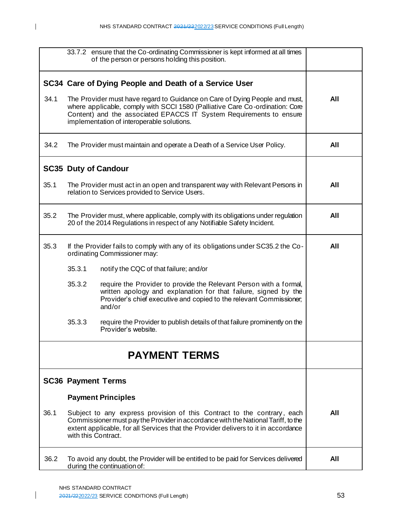|      | 33.7.2 ensure that the Co-ordinating Commissioner is kept informed at all times<br>of the person or persons holding this position.                                                                                                                                               |     |  |  |
|------|----------------------------------------------------------------------------------------------------------------------------------------------------------------------------------------------------------------------------------------------------------------------------------|-----|--|--|
|      | SC34 Care of Dying People and Death of a Service User                                                                                                                                                                                                                            |     |  |  |
| 34.1 | The Provider must have regard to Guidance on Care of Dying People and must,<br>where applicable, comply with SCCI 1580 (Palliative Care Co-ordination: Core<br>Content) and the associated EPACCS IT System Requirements to ensure<br>implementation of interoperable solutions. | All |  |  |
| 34.2 | The Provider must maintain and operate a Death of a Service User Policy.                                                                                                                                                                                                         | All |  |  |
|      | <b>SC35 Duty of Candour</b>                                                                                                                                                                                                                                                      |     |  |  |
| 35.1 | The Provider must act in an open and transparent way with Relevant Persons in<br>relation to Services provided to Service Users.                                                                                                                                                 | All |  |  |
| 35.2 | The Provider must, where applicable, comply with its obligations under regulation<br>20 of the 2014 Regulations in respect of any Notifiable Safety Incident.                                                                                                                    | All |  |  |
| 35.3 | If the Provider fails to comply with any of its obligations under SC35.2 the Co-<br>ordinating Commissioner may:                                                                                                                                                                 | All |  |  |
|      | 35.3.1<br>notify the CQC of that failure; and/or                                                                                                                                                                                                                                 |     |  |  |
|      | 35.3.2<br>require the Provider to provide the Relevant Person with a formal,<br>written apology and explanation for that failure, signed by the<br>Provider's chief executive and copied to the relevant Commissioner,<br>and/or                                                 |     |  |  |
|      | 35.3.3<br>require the Provider to publish details of that failure prominently on the<br>Provider's website.                                                                                                                                                                      |     |  |  |
|      | <b>PAYMENT TERMS</b>                                                                                                                                                                                                                                                             |     |  |  |
|      | <b>SC36 Payment Terms</b>                                                                                                                                                                                                                                                        |     |  |  |
|      | <b>Payment Principles</b>                                                                                                                                                                                                                                                        |     |  |  |
| 36.1 | Subject to any express provision of this Contract to the contrary, each<br>Commissioner must pay the Provider in accordance with the National Tariff, to the<br>extent applicable, for all Services that the Provider delivers to it in accordance<br>with this Contract.        | All |  |  |
| 36.2 | To avoid any doubt, the Provider will be entitled to be paid for Services delivered<br>during the continuation of:                                                                                                                                                               | All |  |  |

 $\mathsf{I}$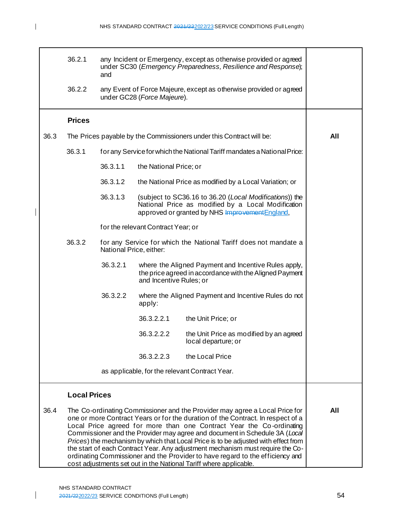|      | 36.2.1              | and                     |                                    | any Incident or Emergency, except as otherwise provided or agreed<br>under SC30 (Emergency Preparedness, Resilience and Response);                                                                                                                                                                                                                                                                                                                                                           |     |
|------|---------------------|-------------------------|------------------------------------|----------------------------------------------------------------------------------------------------------------------------------------------------------------------------------------------------------------------------------------------------------------------------------------------------------------------------------------------------------------------------------------------------------------------------------------------------------------------------------------------|-----|
|      | 36.2.2              |                         | under GC28 (Force Majeure).        | any Event of Force Majeure, except as otherwise provided or agreed                                                                                                                                                                                                                                                                                                                                                                                                                           |     |
|      | <b>Prices</b>       |                         |                                    |                                                                                                                                                                                                                                                                                                                                                                                                                                                                                              |     |
| 36.3 |                     |                         |                                    | The Prices payable by the Commissioners under this Contract will be:                                                                                                                                                                                                                                                                                                                                                                                                                         | All |
|      | 36.3.1              |                         |                                    | for any Service for which the National Tariff mandates a National Price:                                                                                                                                                                                                                                                                                                                                                                                                                     |     |
|      |                     | 36.3.1.1                | the National Price; or             |                                                                                                                                                                                                                                                                                                                                                                                                                                                                                              |     |
|      |                     | 36.3.1.2                |                                    | the National Price as modified by a Local Variation; or                                                                                                                                                                                                                                                                                                                                                                                                                                      |     |
|      |                     | 36.3.1.3                |                                    | (subject to SC36.16 to 36.20 (Local Modifications)) the<br>National Price as modified by a Local Modification<br>approved or granted by NHS Improvement England,                                                                                                                                                                                                                                                                                                                             |     |
|      |                     |                         | for the relevant Contract Year; or |                                                                                                                                                                                                                                                                                                                                                                                                                                                                                              |     |
|      | 36.3.2              | National Price, either: |                                    | for any Service for which the National Tariff does not mandate a                                                                                                                                                                                                                                                                                                                                                                                                                             |     |
|      |                     | 36.3.2.1                | and Incentive Rules; or            | where the Aligned Payment and Incentive Rules apply,<br>the price agreed in accordance with the Aligned Payment                                                                                                                                                                                                                                                                                                                                                                              |     |
|      |                     | 36.3.2.2                | apply:                             | where the Aligned Payment and Incentive Rules do not                                                                                                                                                                                                                                                                                                                                                                                                                                         |     |
|      |                     |                         | 36.3.2.2.1                         | the Unit Price; or                                                                                                                                                                                                                                                                                                                                                                                                                                                                           |     |
|      |                     |                         | 36.3.2.2.2                         | the Unit Price as modified by an agreed<br>local departure; or                                                                                                                                                                                                                                                                                                                                                                                                                               |     |
|      |                     |                         | 36.3.2.2.3                         | the Local Price                                                                                                                                                                                                                                                                                                                                                                                                                                                                              |     |
|      |                     |                         |                                    | as applicable, for the relevant Contract Year.                                                                                                                                                                                                                                                                                                                                                                                                                                               |     |
|      | <b>Local Prices</b> |                         |                                    |                                                                                                                                                                                                                                                                                                                                                                                                                                                                                              |     |
| 36.4 |                     |                         |                                    | The Co-ordinating Commissioner and the Provider may agree a Local Price for<br>one or more Contract Years or for the duration of the Contract. In respect of a<br>Local Price agreed for more than one Contract Year the Co-ordinating<br>Commissioner and the Provider may agree and document in Schedule 3A (Local<br>Prices) the mechanism by which that Local Price is to be adjusted with effect from<br>the start of each Contract Year. Any adjustment mechanism must require the Co- | All |

ordinating Commissioner and the Provider to have regard to the efficiency and

cost adjustments set out in the National Tariff where applicable.

I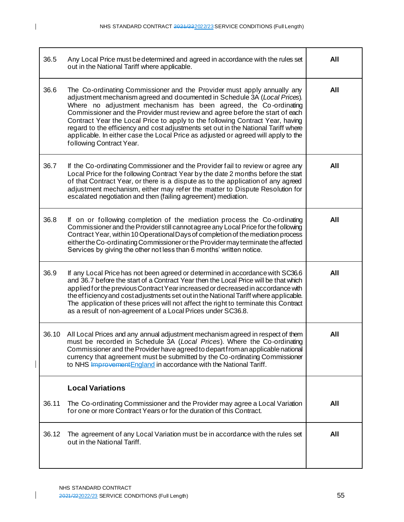$\begin{array}{c} \hline \end{array}$ 

| 36.5  | Any Local Price must be determined and agreed in accordance with the rules set<br>out in the National Tariff where applicable.                                                                                                                                                                                                                                                                                                                                                                            | All |  |
|-------|-----------------------------------------------------------------------------------------------------------------------------------------------------------------------------------------------------------------------------------------------------------------------------------------------------------------------------------------------------------------------------------------------------------------------------------------------------------------------------------------------------------|-----|--|
| 36.6  | All                                                                                                                                                                                                                                                                                                                                                                                                                                                                                                       |     |  |
| 36.7  | If the Co-ordinating Commissioner and the Provider fail to review or agree any<br>Local Price for the following Contract Year by the date 2 months before the start<br>of that Contract Year, or there is a dispute as to the application of any agreed<br>adjustment mechanism, either may refer the matter to Dispute Resolution for<br>escalated negotiation and then (failing agreement) mediation.                                                                                                   |     |  |
| 36.8  | If on or following completion of the mediation process the Co-ordinating<br>Commissioner and the Provider still cannot agree any Local Price for the following<br>Contract Year, within 10 Operational Days of completion of the mediation process<br>either the Co-ordinating Commissioner or the Provider may terminate the affected<br>Services by giving the other not less than 6 months' written notice.                                                                                            |     |  |
| 36.9  | If any Local Price has not been agreed or determined in accordance with SC36.6<br>and 36.7 before the start of a Contract Year then the Local Price will be that which<br>applied for the previous Contract Year increased or decreased in accordance with<br>the efficiency and costadjustments set out in the National Tariff where applicable.<br>The application of these prices will not affect the right to terminate this Contract<br>as a result of non-agreement of a Local Prices under SC36.8. | All |  |
| 36.10 | All Local Prices and any annual adjustment mechanism agreed in respect of them<br>must be recorded in Schedule 3A (Local Prices). Where the Co-ordinating<br>Commissioner and the Provider have agreed to depart from an applicable national<br>currency that agreement must be submitted by the Co-ordinating Commissioner<br>to NHS Improvement England in accordance with the National Tariff.                                                                                                         | All |  |
|       | <b>Local Variations</b>                                                                                                                                                                                                                                                                                                                                                                                                                                                                                   |     |  |
| 36.11 | The Co-ordinating Commissioner and the Provider may agree a Local Variation<br>for one or more Contract Years or for the duration of this Contract.                                                                                                                                                                                                                                                                                                                                                       | All |  |
| 36.12 | The agreement of any Local Variation must be in accordance with the rules set<br>out in the National Tariff.                                                                                                                                                                                                                                                                                                                                                                                              | All |  |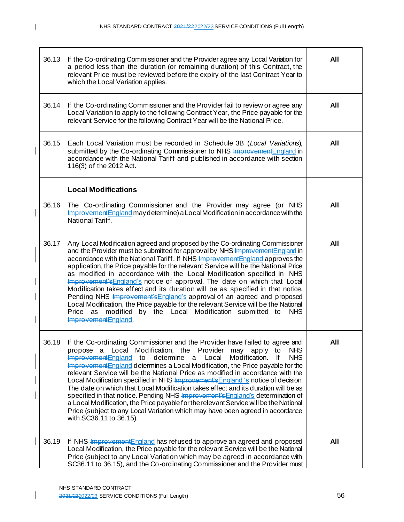| 36.13 | If the Co-ordinating Commissioner and the Provider agree any Local Variation for<br>a period less than the duration (or remaining duration) of this Contract, the<br>relevant Price must be reviewed before the expiry of the last Contract Year to<br>which the Local Variation applies.                                                                                                                                                                                                                                                                                                                                                                                                                                                                                                                                                                                                  | All |
|-------|--------------------------------------------------------------------------------------------------------------------------------------------------------------------------------------------------------------------------------------------------------------------------------------------------------------------------------------------------------------------------------------------------------------------------------------------------------------------------------------------------------------------------------------------------------------------------------------------------------------------------------------------------------------------------------------------------------------------------------------------------------------------------------------------------------------------------------------------------------------------------------------------|-----|
| 36.14 | If the Co-ordinating Commissioner and the Provider fail to review or agree any<br>Local Variation to apply to the following Contract Year, the Price payable for the<br>relevant Service for the following Contract Year will be the National Price.                                                                                                                                                                                                                                                                                                                                                                                                                                                                                                                                                                                                                                       | All |
| 36.15 | Each Local Variation must be recorded in Schedule 3B (Local Variations),<br>submitted by the Co-ordinating Commissioner to NHS Improvement England in<br>accordance with the National Tariff and published in accordance with section<br>116(3) of the 2012 Act.                                                                                                                                                                                                                                                                                                                                                                                                                                                                                                                                                                                                                           | All |
|       | <b>Local Modifications</b>                                                                                                                                                                                                                                                                                                                                                                                                                                                                                                                                                                                                                                                                                                                                                                                                                                                                 |     |
| 36.16 | The Co-ordinating Commissioner and the Provider may agree (or NHS<br>Improvement England may determine) a Local Modification in accordance with the<br>National Tariff.                                                                                                                                                                                                                                                                                                                                                                                                                                                                                                                                                                                                                                                                                                                    | All |
| 36.17 | Any Local Modification agreed and proposed by the Co-ordinating Commissioner<br>and the Provider must be submitted for approval by NHS Improvement England in<br>accordance with the National Tariff. If NHS Improvement England approves the<br>application, the Price payable for the relevant Service will be the National Price<br>as modified in accordance with the Local Modification specified in NHS<br>Improvement's England's notice of approval. The date on which that Local<br>Modification takes effect and its duration will be as specified in that notice.<br>Pending NHS Improvement's England's approval of an agreed and proposed<br>Local Modification, the Price payable for the relevant Service will be the National<br>Price as modified by the Local Modification submitted to<br><b>NHS</b><br>Improvement England.                                            | All |
| 36.18 | If the Co-ordinating Commissioner and the Provider have failed to agree and<br>Local Modification, the Provider may apply<br><b>NHS</b><br>propose a<br>to<br>Improvement England<br>determine a<br><b>NHS</b><br>to<br>Local<br>Modification.<br>lf<br>Improvement England determines a Local Modification, the Price payable for the<br>relevant Service will be the National Price as modified in accordance with the<br>Local Modification specified in NHS Improvement's England 's notice of decision.<br>The date on which that Local Modification takes effect and its duration will be as<br>specified in that notice. Pending NHS Improvement's England's determination of<br>a Local Modification, the Price payable for the relevant Service will be the National<br>Price (subject to any Local Variation which may have been agreed in accordance<br>with SC36.11 to 36.15). | All |
| 36.19 | If NHS Improvement England has refused to approve an agreed and proposed<br>Local Modification, the Price payable for the relevant Service will be the National<br>Price (subject to any Local Variation which may be agreed in accordance with<br>SC36.11 to 36.15), and the Co-ordinating Commissioner and the Provider must                                                                                                                                                                                                                                                                                                                                                                                                                                                                                                                                                             | All |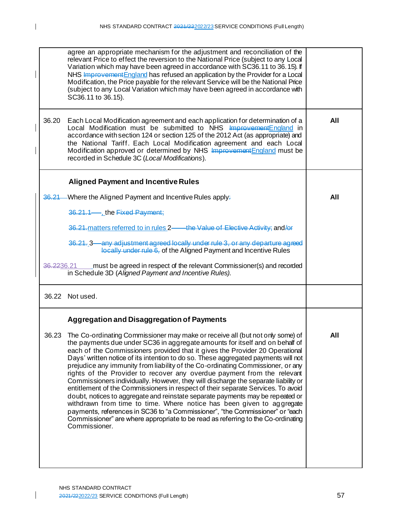| agree an appropriate mechanism for the adjustment and reconciliation of the<br>relevant Price to effect the reversion to the National Price (subject to any Local<br>Variation which may have been agreed in accordance with SC36.11 to 36.15). If<br>NHS Improvement England has refused an application by the Provider for a Local<br>Modification, the Price payable for the relevant Service will be the National Price<br>(subject to any Local Variation which may have been agreed in accordance with<br>SC36.11 to 36.15).                                                                                                                                                                                                                                                                                                                                                                                                                                                                                                 |     |
|------------------------------------------------------------------------------------------------------------------------------------------------------------------------------------------------------------------------------------------------------------------------------------------------------------------------------------------------------------------------------------------------------------------------------------------------------------------------------------------------------------------------------------------------------------------------------------------------------------------------------------------------------------------------------------------------------------------------------------------------------------------------------------------------------------------------------------------------------------------------------------------------------------------------------------------------------------------------------------------------------------------------------------|-----|
| 36.20<br>Each Local Modification agreement and each application for determination of a<br>Local Modification must be submitted to NHS Improvement England in<br>accordance with section 124 or section 125 of the 2012 Act (as appropriate) and<br>the National Tariff. Each Local Modification agreement and each Local<br>Modification approved or determined by NHS Improvement England must be<br>recorded in Schedule 3C (Local Modifications).                                                                                                                                                                                                                                                                                                                                                                                                                                                                                                                                                                               | All |
| <b>Aligned Payment and Incentive Rules</b>                                                                                                                                                                                                                                                                                                                                                                                                                                                                                                                                                                                                                                                                                                                                                                                                                                                                                                                                                                                         |     |
| 36.21<br>Where the Aligned Payment and Incentive Rules apply-                                                                                                                                                                                                                                                                                                                                                                                                                                                                                                                                                                                                                                                                                                                                                                                                                                                                                                                                                                      | All |
| 36.21.1-, the Fixed Payment;                                                                                                                                                                                                                                                                                                                                                                                                                                                                                                                                                                                                                                                                                                                                                                                                                                                                                                                                                                                                       |     |
| 36.21-matters referred to in rules 2—the Value of Elective Activity; and/or                                                                                                                                                                                                                                                                                                                                                                                                                                                                                                                                                                                                                                                                                                                                                                                                                                                                                                                                                        |     |
| 36.21. 3—any adjustment agreed locally under rule 3, or any departure agreed<br>locally under rule 6, of the Aligned Payment and Incentive Rules                                                                                                                                                                                                                                                                                                                                                                                                                                                                                                                                                                                                                                                                                                                                                                                                                                                                                   |     |
| must be agreed in respect of the relevant Commissioner(s) and recorded<br><del>36.22</del> 36.21<br>in Schedule 3D (Aligned Payment and Incentive Rules).                                                                                                                                                                                                                                                                                                                                                                                                                                                                                                                                                                                                                                                                                                                                                                                                                                                                          |     |
| 36.22 Not used.                                                                                                                                                                                                                                                                                                                                                                                                                                                                                                                                                                                                                                                                                                                                                                                                                                                                                                                                                                                                                    |     |
| <b>Aggregation and Disaggregation of Payments</b>                                                                                                                                                                                                                                                                                                                                                                                                                                                                                                                                                                                                                                                                                                                                                                                                                                                                                                                                                                                  |     |
| 36.23 The Co-ordinating Commissioner may make or receive all (but not only some) of<br>the payments due under SC36 in aggregate amounts for itself and on behalf of<br>each of the Commissioners provided that it gives the Provider 20 Operational<br>Days' written notice of its intention to do so. These aggregated payments will not<br>prejudice any immunity from liability of the Co-ordinating Commissioner, or any<br>rights of the Provider to recover any overdue payment from the relevant<br>Commissioners individually. However, they will discharge the separate liability or<br>entitlement of the Commissioners in respect of their separate Services. To avoid<br>doubt, notices to aggregate and reinstate separate payments may be repeated or<br>withdrawn from time to time. Where notice has been given to aggregate<br>payments, references in SC36 to "a Commissioner", "the Commissioner" or "each<br>Commissioner" are where appropriate to be read as referring to the Co-ordinating<br>Commissioner. | All |

 $\begin{array}{c} \hline \end{array}$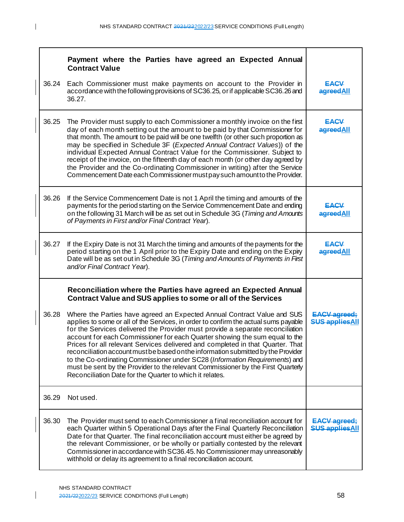|       | Payment where the Parties have agreed an Expected Annual<br><b>Contract Value</b>                                                                                                                                                                                                                                                                                                                                                                                                                                                                                                                                                                                                                                                     |                                               |
|-------|---------------------------------------------------------------------------------------------------------------------------------------------------------------------------------------------------------------------------------------------------------------------------------------------------------------------------------------------------------------------------------------------------------------------------------------------------------------------------------------------------------------------------------------------------------------------------------------------------------------------------------------------------------------------------------------------------------------------------------------|-----------------------------------------------|
| 36.24 | Each Commissioner must make payments on account to the Provider in<br>accordance with the following provisions of SC36.25, or if applicable SC36.26 and<br>36.27.                                                                                                                                                                                                                                                                                                                                                                                                                                                                                                                                                                     | <b>EACV</b><br>agreedAll                      |
| 36.25 | The Provider must supply to each Commissioner a monthly invoice on the first<br>day of each month setting out the amount to be paid by that Commissioner for<br>that month. The amount to be paid will be one twelfth (or other such proportion as<br>may be specified in Schedule 3F (Expected Annual Contract Values)) of the<br>individual Expected Annual Contract Value for the Commissioner. Subject to<br>receipt of the invoice, on the fifteenth day of each month (or other day agreed by<br>the Provider and the Co-ordinating Commissioner in writing) after the Service<br>Commencement Date each Commissioner must pay such amount to the Provider.                                                                     | <b>EACV</b><br>agreedAll                      |
| 36.26 | If the Service Commencement Date is not 1 April the timing and amounts of the<br>payments for the period starting on the Service Commencement Date and ending<br>on the following 31 March will be as set out in Schedule 3G (Timing and Amounts<br>of Payments in First and/or Final Contract Year).                                                                                                                                                                                                                                                                                                                                                                                                                                 | <b>EACV</b><br>agreedAll                      |
| 36.27 | If the Expiry Date is not 31 March the timing and amounts of the payments for the<br>period starting on the 1 April prior to the Expiry Date and ending on the Expiry<br>Date will be as set out in Schedule 3G (Timing and Amounts of Payments in First<br>and/or Final Contract Year).                                                                                                                                                                                                                                                                                                                                                                                                                                              | <b>EACV</b><br>agreedAll                      |
|       | Reconciliation where the Parties have agreed an Expected Annual<br>Contract Value and SUS applies to some or all of the Services                                                                                                                                                                                                                                                                                                                                                                                                                                                                                                                                                                                                      |                                               |
| 36.28 | Where the Parties have agreed an Expected Annual Contract Value and SUS<br>applies to some or all of the Services, in order to confirm the actual sums payable<br>for the Services delivered the Provider must provide a separate reconciliation<br>account for each Commissioner for each Quarter showing the sum equal to the<br>Prices for all relevant Services delivered and completed in that Quarter. That<br>reconciliation account must be based on the information submitted by the Provider<br>to the Co-ordinating Commissioner under SC28 (Information Requirements) and<br>must be sent by the Provider to the relevant Commissioner by the First Quarterly<br>Reconciliation Date for the Quarter to which it relates. | <b>EACV agreed:</b><br><b>SUS applies All</b> |
| 36.29 | Not used.                                                                                                                                                                                                                                                                                                                                                                                                                                                                                                                                                                                                                                                                                                                             |                                               |
| 36.30 | The Provider must send to each Commissioner a final reconciliation account for<br>each Quarter within 5 Operational Days after the Final Quarterly Reconciliation<br>Date for that Quarter. The final reconciliation account must either be agreed by<br>the relevant Commissioner, or be wholly or partially contested by the relevant<br>Commissioner in accordance with SC36.45. No Commissioner may unreasonably<br>withhold or delay its agreement to a final reconciliation account.                                                                                                                                                                                                                                            | <b>EACV</b> agreed;<br><b>SUS applies All</b> |

 $\mathbf{I}$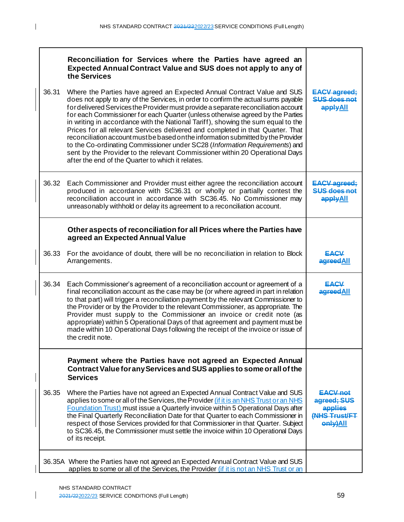$\mathbf{I}$ 

 $\overline{\phantom{a}}$ 

 $\mathsf{I}$ 

| 36.31 | Reconciliation for Services where the Parties have agreed an<br><b>Expected Annual Contract Value and SUS does not apply to any of</b><br>the Services<br>Where the Parties have agreed an Expected Annual Contract Value and SUS<br>does not apply to any of the Services, in order to confirm the actual sums payable<br>for delivered Services the Provider must provide a separate reconciliation account<br>for each Commissioner for each Quarter (unless otherwise agreed by the Parties<br>in writing in accordance with the National Tariff), showing the sum equal to the<br>Prices for all relevant Services delivered and completed in that Quarter. That<br>reconciliation account must be based on the information submitted by the Provider<br>to the Co-ordinating Commissioner under SC28 (Information Requirements) and<br>sent by the Provider to the relevant Commissioner within 20 Operational Days<br>after the end of the Quarter to which it relates. | <b>EACV agreed:</b><br>SUS does not<br>applyAll                        |
|-------|--------------------------------------------------------------------------------------------------------------------------------------------------------------------------------------------------------------------------------------------------------------------------------------------------------------------------------------------------------------------------------------------------------------------------------------------------------------------------------------------------------------------------------------------------------------------------------------------------------------------------------------------------------------------------------------------------------------------------------------------------------------------------------------------------------------------------------------------------------------------------------------------------------------------------------------------------------------------------------|------------------------------------------------------------------------|
| 36.32 | Each Commissioner and Provider must either agree the reconciliation account<br>produced in accordance with SC36.31 or wholly or partially contest the<br>reconciliation account in accordance with SC36.45. No Commissioner may<br>unreasonably withhold or delay its agreement to a reconciliation account.                                                                                                                                                                                                                                                                                                                                                                                                                                                                                                                                                                                                                                                                   | <b>EACV</b> agreed:<br>SUS does not<br>applyAll                        |
|       | Other aspects of reconciliation for all Prices where the Parties have<br>agreed an Expected Annual Value                                                                                                                                                                                                                                                                                                                                                                                                                                                                                                                                                                                                                                                                                                                                                                                                                                                                       |                                                                        |
| 36.33 | For the avoidance of doubt, there will be no reconciliation in relation to Block<br>Arrangements.                                                                                                                                                                                                                                                                                                                                                                                                                                                                                                                                                                                                                                                                                                                                                                                                                                                                              | EACV<br>agreedAll                                                      |
| 36.34 | Each Commissioner's agreement of a reconciliation account or agreement of a<br>final reconciliation account as the case may be (or where agreed in part in relation<br>to that part) will trigger a reconciliation payment by the relevant Commissioner to<br>the Provider or by the Provider to the relevant Commissioner, as appropriate. The<br>Provider must supply to the Commissioner an invoice or credit note (as<br>appropriate) within 5 Operational Days of that agreement and payment must be<br>made within 10 Operational Days following the receipt of the invoice or issue of<br>the credit note.                                                                                                                                                                                                                                                                                                                                                              | EACV<br>agreedAll                                                      |
|       | Payment where the Parties have not agreed an Expected Annual<br>Contract Value for any Services and SUS applies to some or all of the<br><b>Services</b>                                                                                                                                                                                                                                                                                                                                                                                                                                                                                                                                                                                                                                                                                                                                                                                                                       |                                                                        |
| 36.35 | Where the Parties have not agreed an Expected Annual Contract Value and SUS<br>applies to some or all of the Services, the Provider (if it is an NHS Trust or an NHS<br>Foundation Trust) must issue a Quarterly invoice within 5 Operational Days after<br>the Final Quarterly Reconciliation Date for that Quarter to each Commissioner in<br>respect of those Services provided for that Commissioner in that Quarter. Subject<br>to SC36.45, the Commissioner must settle the invoice within 10 Operational Days<br>of its receipt.                                                                                                                                                                                                                                                                                                                                                                                                                                        | <b>EACV not</b><br>agreed; SUS<br>applies<br>(NHS Trust/FT<br>enly)All |
|       | 36.35A Where the Parties have not agreed an Expected Annual Contract Value and SUS<br>applies to some or all of the Services, the Provider (if it is not an NHS Trust or an                                                                                                                                                                                                                                                                                                                                                                                                                                                                                                                                                                                                                                                                                                                                                                                                    |                                                                        |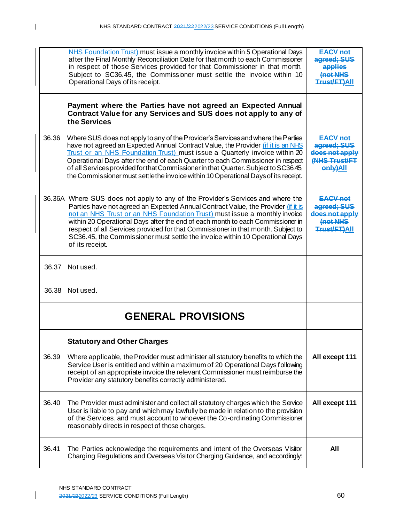|       | NHS Foundation Trust) must issue a monthly invoice within 5 Operational Days<br>after the Final Monthly Reconciliation Date for that month to each Commissioner<br>in respect of those Services provided for that Commissioner in that month.<br>Subject to SC36.45, the Commissioner must settle the invoice within 10<br>Operational Days of its receipt.                                                                                                                                                                | <b>EACV not</b><br>agreed; SUS<br>applies<br>Inat NHS<br><b>Trust/FT)AII</b> |
|-------|----------------------------------------------------------------------------------------------------------------------------------------------------------------------------------------------------------------------------------------------------------------------------------------------------------------------------------------------------------------------------------------------------------------------------------------------------------------------------------------------------------------------------|------------------------------------------------------------------------------|
|       | Payment where the Parties have not agreed an Expected Annual<br>Contract Value for any Services and SUS does not apply to any of<br>the Services                                                                                                                                                                                                                                                                                                                                                                           |                                                                              |
| 36.36 | Where SUS does not apply to any of the Provider's Services and where the Parties<br>have not agreed an Expected Annual Contract Value, the Provider (if it is an NHS<br>Trust or an NHS Foundation Trust) must issue a Quarterly invoice within 20<br>Operational Days after the end of each Quarter to each Commissioner in respect<br>of all Services provided for that Commissioner in that Quarter. Subject to SC36.45,<br>the Commissioner must settle the invoice within 10 Operational Days of its receipt.         | $EACV$ not<br>agreed: SUS<br>does not app<br>(NHS Trust/FT<br>enly)All       |
|       | 36.36A Where SUS does not apply to any of the Provider's Services and where the<br>Parties have not agreed an Expected Annual Contract Value, the Provider (if it is<br>not an NHS Trust or an NHS Foundation Trust) must issue a monthly invoice<br>within 20 Operational Days after the end of each month to each Commissioner in<br>respect of all Services provided for that Commissioner in that month. Subject to<br>SC36.45, the Commissioner must settle the invoice within 10 Operational Days<br>of its receipt. | <b>EACV not</b><br>agreed; SUS<br>does not apply<br>(not NHS<br>Trust/FT)All |
| 36.37 | Not used.                                                                                                                                                                                                                                                                                                                                                                                                                                                                                                                  |                                                                              |
| 36.38 | Not used.                                                                                                                                                                                                                                                                                                                                                                                                                                                                                                                  |                                                                              |
|       | <b>GENERAL PROVISIONS</b>                                                                                                                                                                                                                                                                                                                                                                                                                                                                                                  |                                                                              |
|       | <b>Statutory and Other Charges</b>                                                                                                                                                                                                                                                                                                                                                                                                                                                                                         |                                                                              |
| 36.39 | Where applicable, the Provider must administer all statutory benefits to which the<br>Service User is entitled and within a maximum of 20 Operational Days following<br>receipt of an appropriate invoice the relevant Commissioner must reimburse the<br>Provider any statutory benefits correctly administered.                                                                                                                                                                                                          | All except 111                                                               |
| 36.40 | The Provider must administer and collect all statutory charges which the Service<br>User is liable to pay and which may lawfully be made in relation to the provision<br>of the Services, and must account to whoever the Co-ordinating Commissioner<br>reasonably directs in respect of those charges.                                                                                                                                                                                                                    | All except 111                                                               |
| 36.41 | The Parties acknowledge the requirements and intent of the Overseas Visitor<br>Charging Regulations and Overseas Visitor Charging Guidance, and accordingly:                                                                                                                                                                                                                                                                                                                                                               | <b>All</b>                                                                   |

 $\mathsf{I}$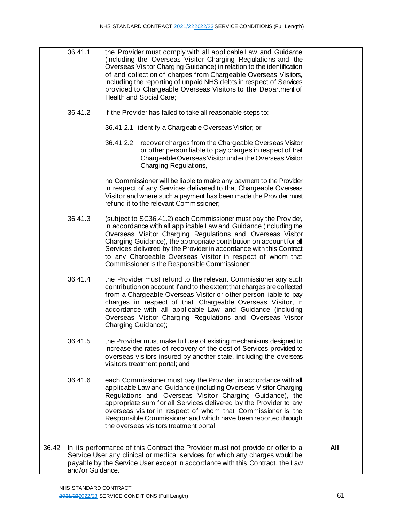|       | 36.41.1          | the Provider must comply with all applicable Law and Guidance<br>(including the Overseas Visitor Charging Regulations and the<br>Overseas Visitor Charging Guidance) in relation to the identification<br>of and collection of charges from Chargeable Overseas Visitors,                                                                                                                                                                                       |     |
|-------|------------------|-----------------------------------------------------------------------------------------------------------------------------------------------------------------------------------------------------------------------------------------------------------------------------------------------------------------------------------------------------------------------------------------------------------------------------------------------------------------|-----|
|       |                  | including the reporting of unpaid NHS debts in respect of Services<br>provided to Chargeable Overseas Visitors to the Department of<br>Health and Social Care;                                                                                                                                                                                                                                                                                                  |     |
|       | 36.41.2          | if the Provider has failed to take all reasonable steps to:                                                                                                                                                                                                                                                                                                                                                                                                     |     |
|       |                  | 36.41.2.1 identify a Chargeable Overseas Visitor; or                                                                                                                                                                                                                                                                                                                                                                                                            |     |
|       |                  | 36.41.2.2<br>recover charges from the Chargeable Overseas Visitor<br>or other person liable to pay charges in respect of that<br>Chargeable Overseas Visitor under the Overseas Visitor<br>Charging Regulations,                                                                                                                                                                                                                                                |     |
|       |                  | no Commissioner will be liable to make any payment to the Provider<br>in respect of any Services delivered to that Chargeable Overseas<br>Visitor and where such a payment has been made the Provider must<br>refund it to the relevant Commissioner;                                                                                                                                                                                                           |     |
|       | 36.41.3          | (subject to SC36.41.2) each Commissioner must pay the Provider,<br>in accordance with all applicable Law and Guidance (including the<br>Overseas Visitor Charging Regulations and Overseas Visitor<br>Charging Guidance), the appropriate contribution on account for all<br>Services delivered by the Provider in accordance with this Contract<br>to any Chargeable Overseas Visitor in respect of whom that<br>Commissioner is the Responsible Commissioner; |     |
|       | 36.41.4          | the Provider must refund to the relevant Commissioner any such<br>contribution on account if and to the extent that charges are collected<br>from a Chargeable Overseas Visitor or other person liable to pay<br>charges in respect of that Chargeable Overseas Visitor, in<br>accordance with all applicable Law and Guidance (including<br>Overseas Visitor Charging Regulations and Overseas Visitor<br>Charging Guidance);                                  |     |
|       | 36.41.5          | the Provider must make full use of existing mechanisms designed to<br>increase the rates of recovery of the cost of Services provided to<br>overseas visitors insured by another state, including the overseas<br>visitors treatment portal; and                                                                                                                                                                                                                |     |
|       | 36.41.6          | each Commissioner must pay the Provider, in accordance with all<br>applicable Law and Guidance (including Overseas Visitor Charging<br>Regulations and Overseas Visitor Charging Guidance), the<br>appropriate sum for all Services delivered by the Provider to any<br>overseas visitor in respect of whom that Commissioner is the<br>Responsible Commissioner and which have been reported through<br>the overseas visitors treatment portal.                |     |
| 36.42 | and/or Guidance. | In its performance of this Contract the Provider must not provide or offer to a<br>Service User any clinical or medical services for which any charges would be<br>payable by the Service User except in accordance with this Contract, the Law                                                                                                                                                                                                                 | All |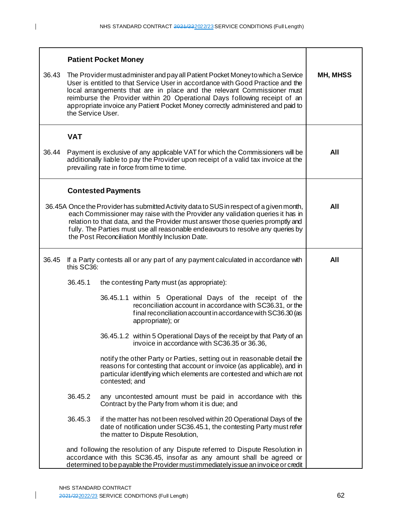|       |                                                                                                                                                                                                                                                                                                                                                                                                                                    | <b>Patient Pocket Money</b>                                                                                                                                                                                                                  |     |  |  |
|-------|------------------------------------------------------------------------------------------------------------------------------------------------------------------------------------------------------------------------------------------------------------------------------------------------------------------------------------------------------------------------------------------------------------------------------------|----------------------------------------------------------------------------------------------------------------------------------------------------------------------------------------------------------------------------------------------|-----|--|--|
| 36.43 | The Provider must administer and pay all Patient Pocket Money to which a Service<br>User is entitled to that Service User in accordance with Good Practice and the<br>local arrangements that are in place and the relevant Commissioner must<br>reimburse the Provider within 20 Operational Days following receipt of an<br>appropriate invoice any Patient Pocket Money correctly administered and paid to<br>the Service User. | MH, MHSS                                                                                                                                                                                                                                     |     |  |  |
|       | <b>VAT</b>                                                                                                                                                                                                                                                                                                                                                                                                                         |                                                                                                                                                                                                                                              |     |  |  |
| 36.44 |                                                                                                                                                                                                                                                                                                                                                                                                                                    | Payment is exclusive of any applicable VAT for which the Commissioners will be<br>additionally liable to pay the Provider upon receipt of a valid tax invoice at the<br>prevailing rate in force from time to time.                          | All |  |  |
|       |                                                                                                                                                                                                                                                                                                                                                                                                                                    | <b>Contested Payments</b>                                                                                                                                                                                                                    |     |  |  |
|       | 36.45A Once the Provider has submitted Activity data to SUS in respect of a given month,<br>each Commissioner may raise with the Provider any validation queries it has in<br>relation to that data, and the Provider must answer those queries promptly and<br>fully. The Parties must use all reasonable endeavours to resolve any queries by<br>the Post Reconciliation Monthly Inclusion Date.                                 |                                                                                                                                                                                                                                              |     |  |  |
| 36.45 | this SC36:                                                                                                                                                                                                                                                                                                                                                                                                                         | If a Party contests all or any part of any payment calculated in accordance with                                                                                                                                                             | All |  |  |
|       | 36.45.1                                                                                                                                                                                                                                                                                                                                                                                                                            | the contesting Party must (as appropriate):                                                                                                                                                                                                  |     |  |  |
|       |                                                                                                                                                                                                                                                                                                                                                                                                                                    | 36.45.1.1 within 5 Operational Days of the receipt of the<br>reconciliation account in accordance with SC36.31, or the<br>final reconciliation account in accordance with SC36.30 (as<br>appropriate); or                                    |     |  |  |
|       |                                                                                                                                                                                                                                                                                                                                                                                                                                    | 36.45.1.2 within 5 Operational Days of the receipt by that Party of an<br>invoice in accordance with SC36.35 or 36.36,                                                                                                                       |     |  |  |
|       |                                                                                                                                                                                                                                                                                                                                                                                                                                    |                                                                                                                                                                                                                                              |     |  |  |
|       | 36.45.2                                                                                                                                                                                                                                                                                                                                                                                                                            | any uncontested amount must be paid in accordance with this<br>Contract by the Party from whom it is due; and                                                                                                                                |     |  |  |
|       | 36.45.3                                                                                                                                                                                                                                                                                                                                                                                                                            |                                                                                                                                                                                                                                              |     |  |  |
|       |                                                                                                                                                                                                                                                                                                                                                                                                                                    | and following the resolution of any Dispute referred to Dispute Resolution in<br>accordance with this SC36.45, insofar as any amount shall be agreed or<br>determined to be payable the Provider must immediately issue an invoice or credit |     |  |  |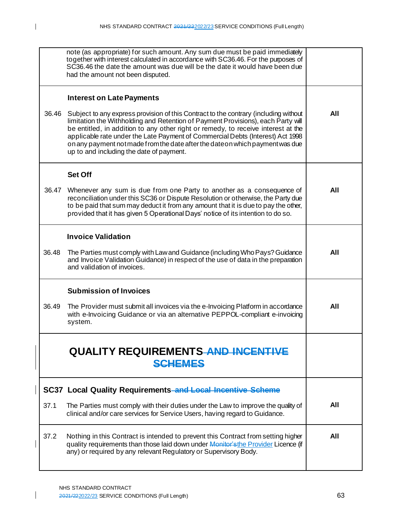|       | note (as appropriate) for such amount. Any sum due must be paid immediately<br>together with interest calculated in accordance with SC36.46. For the purposes of<br>SC36.46 the date the amount was due will be the date it would have been due<br>had the amount not been disputed.                                                                                                                                                                                         |     |
|-------|------------------------------------------------------------------------------------------------------------------------------------------------------------------------------------------------------------------------------------------------------------------------------------------------------------------------------------------------------------------------------------------------------------------------------------------------------------------------------|-----|
|       | <b>Interest on Late Payments</b>                                                                                                                                                                                                                                                                                                                                                                                                                                             |     |
| 36.46 | Subject to any express provision of this Contract to the contrary (including without<br>limitation the Withholding and Retention of Payment Provisions), each Party will<br>be entitled, in addition to any other right or remedy, to receive interest at the<br>applicable rate under the Late Payment of Commercial Debts (Interest) Act 1998<br>on any payment not made from the date after the date on which payment was due<br>up to and including the date of payment. | All |
|       | <b>Set Off</b>                                                                                                                                                                                                                                                                                                                                                                                                                                                               |     |
| 36.47 | Whenever any sum is due from one Party to another as a consequence of<br>reconciliation under this SC36 or Dispute Resolution or otherwise, the Party due<br>to be paid that sum may deduct it from any amount that it is due to pay the other,<br>provided that it has given 5 Operational Days' notice of its intention to do so.                                                                                                                                          | All |
|       | <b>Invoice Validation</b>                                                                                                                                                                                                                                                                                                                                                                                                                                                    |     |
| 36.48 | The Parties must comply with Law and Guidance (including Who Pays? Guidance<br>and Invoice Validation Guidance) in respect of the use of data in the preparation<br>and validation of invoices.                                                                                                                                                                                                                                                                              | All |
|       | <b>Submission of Invoices</b>                                                                                                                                                                                                                                                                                                                                                                                                                                                |     |
| 36.49 | The Provider must submit all invoices via the e-Invoicing Platform in accordance<br>with e-Invoicing Guidance or via an alternative PEPPOL-compliant e-invoicing<br>system.                                                                                                                                                                                                                                                                                                  | All |
|       | <b>QUALITY REQUIREMENTS AND INCENTIVE</b><br><b>SCHEMES</b>                                                                                                                                                                                                                                                                                                                                                                                                                  |     |
|       | <b>SC37 Local Quality Requirements-and Local Incentive Scheme</b>                                                                                                                                                                                                                                                                                                                                                                                                            |     |
| 37.1  | The Parties must comply with their duties under the Law to improve the quality of<br>clinical and/or care services for Service Users, having regard to Guidance.                                                                                                                                                                                                                                                                                                             | All |
| 37.2  | Nothing in this Contract is intended to prevent this Contract from setting higher<br>quality requirements than those laid down under Monitor's the Provider Licence (if<br>any) or required by any relevant Regulatory or Supervisory Body.                                                                                                                                                                                                                                  | All |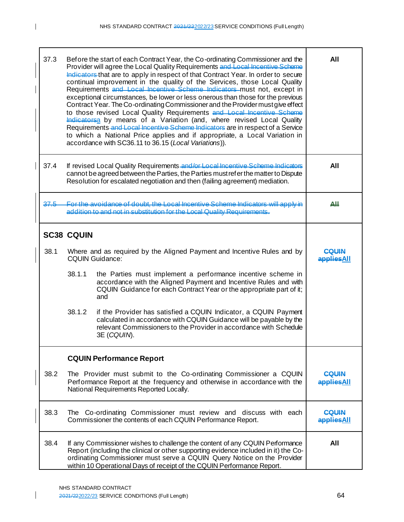| 37.3 | Before the start of each Contract Year, the Co-ordinating Commissioner and the<br>Provider will agree the Local Quality Requirements and Local Incentive Scheme<br>Indicators that are to apply in respect of that Contract Year. In order to secure<br>continual improvement in the quality of the Services, those Local Quality<br>Requirements and Local Incentive Scheme Indicators must not, except in<br>exceptional circumstances, be lower or less onerous than those for the previous<br>Contract Year. The Co-ordinating Commissioner and the Provider must give effect<br>to those revised Local Quality Requirements and Local Incentive Scheme<br>Indicatorsa by means of a Variation (and, where revised Local Quality<br>Requirements-and Local Incentive Scheme Indicators are in respect of a Service<br>to which a National Price applies and if appropriate, a Local Variation in<br>accordance with SC36.11 to 36.15 (Local Variations)). | All                                                                                                                                                                                                                                                                                                                      |                            |
|------|---------------------------------------------------------------------------------------------------------------------------------------------------------------------------------------------------------------------------------------------------------------------------------------------------------------------------------------------------------------------------------------------------------------------------------------------------------------------------------------------------------------------------------------------------------------------------------------------------------------------------------------------------------------------------------------------------------------------------------------------------------------------------------------------------------------------------------------------------------------------------------------------------------------------------------------------------------------|--------------------------------------------------------------------------------------------------------------------------------------------------------------------------------------------------------------------------------------------------------------------------------------------------------------------------|----------------------------|
| 37.4 | If revised Local Quality Requirements and/or Local Incentive Scheme Indicators<br>cannot be agreed between the Parties, the Parties must ref er the matter to Dispute<br>Resolution for escalated negotiation and then (failing agreement) mediation.                                                                                                                                                                                                                                                                                                                                                                                                                                                                                                                                                                                                                                                                                                         | All                                                                                                                                                                                                                                                                                                                      |                            |
| 37.5 | For the avoidance of doubt, the Local Incentive Scheme Indicators will apply in<br>addition to and not in substitution for the Local Quality Requirements.                                                                                                                                                                                                                                                                                                                                                                                                                                                                                                                                                                                                                                                                                                                                                                                                    | ΔЩ                                                                                                                                                                                                                                                                                                                       |                            |
|      | <b>SC38 CQUIN</b>                                                                                                                                                                                                                                                                                                                                                                                                                                                                                                                                                                                                                                                                                                                                                                                                                                                                                                                                             |                                                                                                                                                                                                                                                                                                                          |                            |
| 38.1 | Where and as required by the Aligned Payment and Incentive Rules and by<br><b>CQUIN Guidance:</b>                                                                                                                                                                                                                                                                                                                                                                                                                                                                                                                                                                                                                                                                                                                                                                                                                                                             | POLIIN<br><b>appliesAll</b>                                                                                                                                                                                                                                                                                              |                            |
|      | 38.1.1                                                                                                                                                                                                                                                                                                                                                                                                                                                                                                                                                                                                                                                                                                                                                                                                                                                                                                                                                        |                                                                                                                                                                                                                                                                                                                          |                            |
|      | 38.1.2                                                                                                                                                                                                                                                                                                                                                                                                                                                                                                                                                                                                                                                                                                                                                                                                                                                                                                                                                        |                                                                                                                                                                                                                                                                                                                          |                            |
|      |                                                                                                                                                                                                                                                                                                                                                                                                                                                                                                                                                                                                                                                                                                                                                                                                                                                                                                                                                               | <b>CQUIN Performance Report</b>                                                                                                                                                                                                                                                                                          |                            |
| 38.2 | The Provider must submit to the Co-ordinating Commissioner a CQUIN<br>Performance Report at the frequency and otherwise in accordance with the<br>National Requirements Reported Locally.                                                                                                                                                                                                                                                                                                                                                                                                                                                                                                                                                                                                                                                                                                                                                                     | COLIIN<br>appliesAll                                                                                                                                                                                                                                                                                                     |                            |
| 38.3 |                                                                                                                                                                                                                                                                                                                                                                                                                                                                                                                                                                                                                                                                                                                                                                                                                                                                                                                                                               | The Co-ordinating Commissioner must review and discuss with each<br>Commissioner the contents of each CQUIN Performance Report.                                                                                                                                                                                          | <b>COUIN</b><br>appliesAll |
| 38.4 |                                                                                                                                                                                                                                                                                                                                                                                                                                                                                                                                                                                                                                                                                                                                                                                                                                                                                                                                                               | If any Commissioner wishes to challenge the content of any CQUIN Performance<br>Report (including the clinical or other supporting evidence included in it) the Co-<br>ordinating Commissioner must serve a CQUIN Query Notice on the Provider<br>within 10 Operational Days of receipt of the CQUIN Performance Report. | All                        |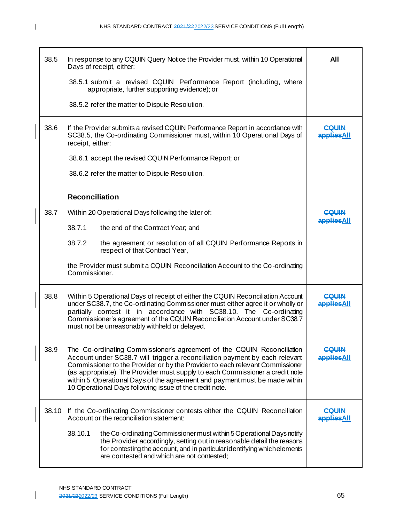| 38.5  | In response to any CQUIN Query Notice the Provider must, within 10 Operational<br>Days of receipt, either:                                                                                                                                                                                                                                                                                                                                                       | All                         |
|-------|------------------------------------------------------------------------------------------------------------------------------------------------------------------------------------------------------------------------------------------------------------------------------------------------------------------------------------------------------------------------------------------------------------------------------------------------------------------|-----------------------------|
|       | 38.5.1 submit a revised CQUIN Performance Report (including, where<br>appropriate, further supporting evidence); or                                                                                                                                                                                                                                                                                                                                              |                             |
|       | 38.5.2 refer the matter to Dispute Resolution.                                                                                                                                                                                                                                                                                                                                                                                                                   |                             |
| 38.6  | If the Provider submits a revised CQUIN Performance Report in accordance with<br>SC38.5, the Co-ordinating Commissioner must, within 10 Operational Days of<br>receipt, either:                                                                                                                                                                                                                                                                                  | COLIIN<br><b>IlAagge</b>    |
|       | 38.6.1 accept the revised CQUIN Performance Report; or                                                                                                                                                                                                                                                                                                                                                                                                           |                             |
|       | 38.6.2 refer the matter to Dispute Resolution.                                                                                                                                                                                                                                                                                                                                                                                                                   |                             |
|       | <b>Reconciliation</b>                                                                                                                                                                                                                                                                                                                                                                                                                                            |                             |
| 38.7  | Within 20 Operational Days following the later of:                                                                                                                                                                                                                                                                                                                                                                                                               | COUIN                       |
|       | 38.7.1<br>the end of the Contract Year; and                                                                                                                                                                                                                                                                                                                                                                                                                      | <u>appliesAll</u>           |
|       | 38.7.2<br>the agreement or resolution of all CQUIN Performance Reports in<br>respect of that Contract Year,                                                                                                                                                                                                                                                                                                                                                      |                             |
|       | the Provider must submit a CQUIN Reconciliation Account to the Co-ordinating<br>Commissioner.                                                                                                                                                                                                                                                                                                                                                                    |                             |
| 38.8  | Within 5 Operational Days of receipt of either the CQUIN Reconciliation Account<br>under SC38.7, the Co-ordinating Commissioner must either agree it or wholly or<br>partially contest it in accordance with SC38.10. The Co-ordinating<br>Commissioner's agreement of the CQUIN Reconciliation Account under SC38.7<br>must not be unreasonably withheld or delayed.                                                                                            | COLIIN<br><b>appliesAll</b> |
| 38.9  | The Co-ordinating Commissioner's agreement of the CQUIN Reconciliation<br>Account under SC38.7 will trigger a reconciliation payment by each relevant<br>Commissioner to the Provider or by the Provider to each relevant Commissioner<br>(as appropriate). The Provider must supply to each Commissioner a credit note<br>within 5 Operational Days of the agreement and payment must be made within<br>10 Operational Days following issue of the credit note. | <b>CQUIN</b><br>appliesAll  |
| 38.10 | If the Co-ordinating Commissioner contests either the CQUIN Reconciliation<br>Account or the reconciliation statement:                                                                                                                                                                                                                                                                                                                                           | COLIIN<br><b>appliesAll</b> |
|       | 38.10.1<br>the Co-ordinating Commissioner must within 5 Operational Days notify<br>the Provider accordingly, setting out in reasonable detail the reasons<br>for contesting the account, and in particular identifying which elements<br>are contested and which are not contested;                                                                                                                                                                              |                             |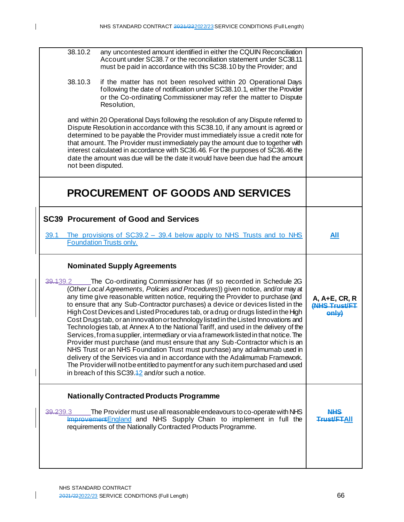| 38.10.2            | any uncontested amount identified in either the CQUIN Reconciliation                                                                                                                                                                                                                                                                                                                                                                                                                                                                                                                                                                                                                                                                                                                                                                                                                                                                                                                                                                                                           |                                                      |
|--------------------|--------------------------------------------------------------------------------------------------------------------------------------------------------------------------------------------------------------------------------------------------------------------------------------------------------------------------------------------------------------------------------------------------------------------------------------------------------------------------------------------------------------------------------------------------------------------------------------------------------------------------------------------------------------------------------------------------------------------------------------------------------------------------------------------------------------------------------------------------------------------------------------------------------------------------------------------------------------------------------------------------------------------------------------------------------------------------------|------------------------------------------------------|
|                    | Account under SC38.7 or the reconciliation statement under SC38.11<br>must be paid in accordance with this SC38.10 by the Provider; and                                                                                                                                                                                                                                                                                                                                                                                                                                                                                                                                                                                                                                                                                                                                                                                                                                                                                                                                        |                                                      |
| 38.10.3            | if the matter has not been resolved within 20 Operational Days<br>following the date of notification under SC38.10.1, either the Provider<br>or the Co-ordinating Commissioner may refer the matter to Dispute<br>Resolution,                                                                                                                                                                                                                                                                                                                                                                                                                                                                                                                                                                                                                                                                                                                                                                                                                                                  |                                                      |
| not been disputed. | and within 20 Operational Days following the resolution of any Dispute referred to<br>Dispute Resolution in accordance with this SC38.10, if any amount is agreed or<br>determined to be payable the Provider must immediately issue a credit note for<br>that amount. The Provider must immediately pay the amount due to together with<br>interest calculated in accordance with SC36.46. For the purposes of SC36.46 the<br>date the amount was due will be the date it would have been due had the amount                                                                                                                                                                                                                                                                                                                                                                                                                                                                                                                                                                  |                                                      |
|                    | <b>PROCUREMENT OF GOODS AND SERVICES</b>                                                                                                                                                                                                                                                                                                                                                                                                                                                                                                                                                                                                                                                                                                                                                                                                                                                                                                                                                                                                                                       |                                                      |
|                    | <b>SC39 Procurement of Good and Services</b>                                                                                                                                                                                                                                                                                                                                                                                                                                                                                                                                                                                                                                                                                                                                                                                                                                                                                                                                                                                                                                   |                                                      |
| 39.1               | The provisions of $SC39.2 - 39.4$ below apply to NHS Trusts and to NHS<br><b>Foundation Trusts only.</b>                                                                                                                                                                                                                                                                                                                                                                                                                                                                                                                                                                                                                                                                                                                                                                                                                                                                                                                                                                       | All                                                  |
|                    |                                                                                                                                                                                                                                                                                                                                                                                                                                                                                                                                                                                                                                                                                                                                                                                                                                                                                                                                                                                                                                                                                |                                                      |
|                    | <b>Nominated Supply Agreements</b>                                                                                                                                                                                                                                                                                                                                                                                                                                                                                                                                                                                                                                                                                                                                                                                                                                                                                                                                                                                                                                             |                                                      |
| 39.439.2           | The Co-ordinating Commissioner has (if so recorded in Schedule 2G<br>(Other Local Agreements, Policies and Procedures)) given notice, and/or may at<br>any time give reasonable written notice, requiring the Provider to purchase (and<br>to ensure that any Sub-Contractor purchases) a device or devices listed in the<br>High Cost Devices and Listed Procedures tab, or a drug or drugs listed in the High<br>Cost Drugstab, or an innovation or technology listed in the Listed Innovations and<br>Technologies tab, at Annex A to the National Tariff, and used in the delivery of the<br>Services, from a supplier, intermediary or via a framework listed in that notice. The<br>Provider must purchase (and must ensure that any Sub-Contractor which is an<br>NHS Trust or an NHS Foundation Trust must purchase) any adalimumab used in<br>delivery of the Services via and in accordance with the Adalimumab Framework.<br>The Provider will not be entitled to payment for any such item purchased and used<br>in breach of this $SC39.42$ and/or such a notice. | A, A+E, CR, R<br><b>(NHS Trust/FT</b><br><b>AHHO</b> |
|                    | <b>Nationally Contracted Products Programme</b>                                                                                                                                                                                                                                                                                                                                                                                                                                                                                                                                                                                                                                                                                                                                                                                                                                                                                                                                                                                                                                |                                                      |
| 39.239.3           | The Provider must use all reasonable endeavours to co-operate with NHS<br>Improvement England and NHS Supply Chain to implement in full the<br>requirements of the Nationally Contracted Products Programme.                                                                                                                                                                                                                                                                                                                                                                                                                                                                                                                                                                                                                                                                                                                                                                                                                                                                   | NHS<br>Trust/FTAII                                   |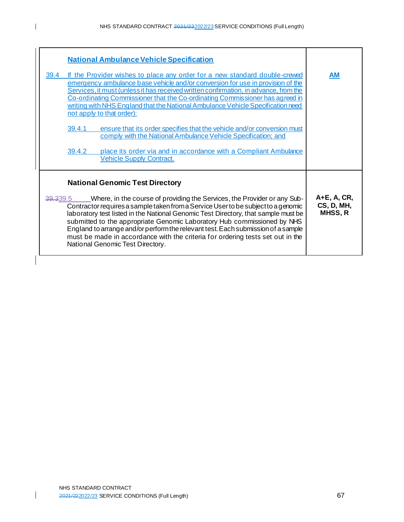|          | <b>National Ambulance Vehicle Specification</b>                                                                                                                                                                                                                                                                                                                                                                                                      |    |
|----------|------------------------------------------------------------------------------------------------------------------------------------------------------------------------------------------------------------------------------------------------------------------------------------------------------------------------------------------------------------------------------------------------------------------------------------------------------|----|
| 39.4     | If the Provider wishes to place any order for a new standard double-crewed<br>emergency ambulance base vehicle and/or conversion for use in provision of the<br>Services, it must (unless it has received written confirmation, in advance, from the<br>Co-ordinating Commissioner that the Co-ordinating Commissioner has agreed in<br>writing with NHS England that the National Ambulance Vehicle Specification need<br>not apply to that order): | AM |
|          | ensure that its order specifies that the vehicle and/or conversion must<br>39.4.1<br>comply with the National Ambulance Vehicle Specification; and                                                                                                                                                                                                                                                                                                   |    |
|          | place its order via and in accordance with a Compliant Ambulance<br>39.4.2<br><b>Vehicle Supply Contract.</b>                                                                                                                                                                                                                                                                                                                                        |    |
|          | <b>National Genomic Test Directory</b>                                                                                                                                                                                                                                                                                                                                                                                                               |    |
| 39.339.5 | $A+E$ , $A$ , $CR$ ,<br><b>CS, D, MH,</b><br>MHSS, R                                                                                                                                                                                                                                                                                                                                                                                                 |    |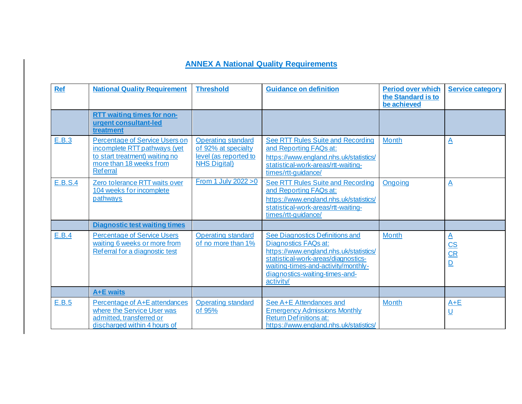| <b>Ref</b> | <b>National Quality Requirement</b>                                                                                                                   | <b>Threshold</b>                                                                                 | <b>Guidance on definition</b>                                                                                                                                                                                                         | <b>Period over which</b><br>the Standard is to<br>be achieved | <b>Service category</b>                                          |
|------------|-------------------------------------------------------------------------------------------------------------------------------------------------------|--------------------------------------------------------------------------------------------------|---------------------------------------------------------------------------------------------------------------------------------------------------------------------------------------------------------------------------------------|---------------------------------------------------------------|------------------------------------------------------------------|
|            | <b>RTT waiting times for non-</b><br>urgent consultant-led<br>treatment                                                                               |                                                                                                  |                                                                                                                                                                                                                                       |                                                               |                                                                  |
| E.B.3      | <b>Percentage of Service Users on</b><br>incomplete RTT pathways (yet<br>to start treatment) waiting no<br>more than 18 weeks from<br><b>Referral</b> | <b>Operating standard</b><br>of 92% at specialty<br>level (as reported to<br><b>NHS Digital)</b> | See RTT Rules Suite and Recording<br>and Reporting FAQs at:<br>https://www.england.nhs.uk/statistics/<br>statistical-work-areas/rtt-waiting-<br>times/rtt-quidance/                                                                   | <b>Month</b>                                                  | $\Delta$                                                         |
| E.B.S.4    | Zero tolerance RTT waits over<br>104 weeks for incomplete<br>pathways                                                                                 | From 1 July 2022 > 0                                                                             | <b>See RTT Rules Suite and Recording</b><br>and Reporting FAQs at:<br>https://www.england.nhs.uk/statistics/<br>statistical-work-areas/rtt-waiting-<br>times/rtt-guidance/                                                            | <b>Ongoing</b>                                                | $\Delta$                                                         |
|            | <b>Diagnostic test waiting times</b>                                                                                                                  |                                                                                                  |                                                                                                                                                                                                                                       |                                                               |                                                                  |
| E.B.4      | <b>Percentage of Service Users</b><br>waiting 6 weeks or more from<br>Referral for a diagnostic test                                                  | <b>Operating standard</b><br>of no more than 1%                                                  | See Diagnostics Definitions and<br><b>Diagnostics FAQs at:</b><br>https://www.england.nhs.uk/statistics/<br>statistical-work-areas/diagnostics-<br>waiting-times-and-activity/monthly-<br>diagnostics-waiting-times-and-<br>activity/ | <b>Month</b>                                                  | $\underline{A}$<br>$\mathbf{CS}$<br>$\frac{\text{CR}}{\text{D}}$ |
|            | <b>A+E</b> waits                                                                                                                                      |                                                                                                  |                                                                                                                                                                                                                                       |                                                               |                                                                  |
| E.B.5      | Percentage of A+E attendances<br>where the Service User was<br>admitted, transferred or<br>discharged within 4 hours of                               | <b>Operating standard</b><br>of 95%                                                              | See A+E Attendances and<br><b>Emergency Admissions Monthly</b><br><b>Return Definitions at:</b><br>https://www.england.nhs.uk/statistics/                                                                                             | <b>Month</b>                                                  | $A+E$<br>$\underline{\mathsf{U}}$                                |

## **ANNEX A National Quality Requirements**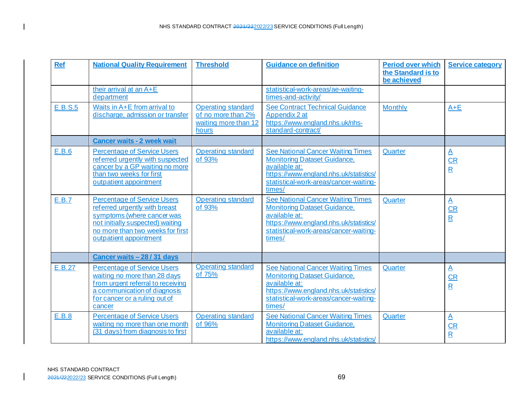| <b>Ref</b> | <b>National Quality Requirement</b>                                                                                                                                                                 | <b>Threshold</b>                                                                 | <b>Guidance on definition</b>                                                                                                                                                                  | <b>Period over which</b><br>the Standard is to<br>be achieved | <b>Service category</b>                                                       |
|------------|-----------------------------------------------------------------------------------------------------------------------------------------------------------------------------------------------------|----------------------------------------------------------------------------------|------------------------------------------------------------------------------------------------------------------------------------------------------------------------------------------------|---------------------------------------------------------------|-------------------------------------------------------------------------------|
|            | their arrival at an A+E<br>department                                                                                                                                                               |                                                                                  | statistical-work-areas/ae-waiting-<br>times-and-activity/                                                                                                                                      |                                                               |                                                                               |
| E.B.S.5    | Waits in A+E from arrival to<br>discharge, admission or transfer                                                                                                                                    | <b>Operating standard</b><br>of no more than 2%<br>waiting more than 12<br>hours | <b>See Contract Technical Guidance</b><br>Appendix 2 at<br>https://www.england.nhs.uk/nhs-<br>standard-contract/                                                                               | <b>Monthly</b>                                                | $A + E$                                                                       |
|            | <b>Cancer waits - 2 week wait</b>                                                                                                                                                                   |                                                                                  |                                                                                                                                                                                                |                                                               |                                                                               |
| E.B.6      | <b>Percentage of Service Users</b><br>referred urgently with suspected<br>cancer by a GP waiting no more<br>than two weeks for first<br>outpatient appointment                                      | <b>Operating standard</b><br>of 93%                                              | <b>See National Cancer Waiting Times</b><br><b>Monitoring Dataset Guidance,</b><br>available at:<br>https://www.england.nhs.uk/statistics/<br>statistical-work-areas/cancer-waiting-<br>times/ | Quarter                                                       | $\mathbf{A}$<br>$\overline{\text{CR}}$<br>$\overline{\mathbf{R}}$             |
| E.B.7      | <b>Percentage of Service Users</b><br>referred urgently with breast<br>symptoms (where cancer was<br>not initially suspected) waiting<br>no more than two weeks for first<br>outpatient appointment | <b>Operating standard</b><br>of 93%                                              | <b>See National Cancer Waiting Times</b><br><b>Monitoring Dataset Guidance,</b><br>available at:<br>https://www.england.nhs.uk/statistics/<br>statistical-work-areas/cancer-waiting-<br>times/ | Quarter                                                       | $\underline{\mathsf{A}}$<br>$\overline{\text{CR}}$<br>$\overline{\mathbf{R}}$ |
|            | Cancer waits - 28 / 31 days                                                                                                                                                                         |                                                                                  |                                                                                                                                                                                                |                                                               |                                                                               |
| E.B.27     | <b>Percentage of Service Users</b><br>waiting no more than 28 days<br>from urgent referral to receiving<br>a communication of diagnosis<br>for cancer or a ruling out of<br>cancer                  | <b>Operating standard</b><br>of 75%                                              | <b>See National Cancer Waiting Times</b><br><b>Monitoring Dataset Guidance,</b><br>available at:<br>https://www.england.nhs.uk/statistics/<br>statistical-work-areas/cancer-waiting-<br>times/ | Quarter                                                       | $\underline{\mathsf{A}}$<br>$\overline{\text{CR}}$<br>$\overline{\mathbf{R}}$ |
| E.B.8      | <b>Percentage of Service Users</b><br>waiting no more than one month<br>(31 days) from diagnosis to first                                                                                           | <b>Operating standard</b><br>of 96%                                              | <b>See National Cancer Waiting Times</b><br><b>Monitoring Dataset Guidance,</b><br>available at:<br>https://www.england.nhs.uk/statistics/                                                     | Quarter                                                       | $\underline{\mathsf{A}}$<br>CR<br>$\overline{\mathsf{R}}$                     |

 $\mathbf I$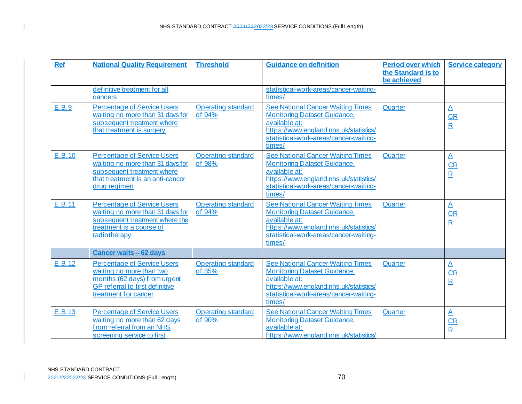| <b>Ref</b> | <b>National Quality Requirement</b>                                                                                                                       | <b>Threshold</b>                    | <b>Guidance on definition</b>                                                                                                                                                                  | <b>Period over which</b><br>the Standard is to<br>be achieved | <b>Service category</b>                                                      |
|------------|-----------------------------------------------------------------------------------------------------------------------------------------------------------|-------------------------------------|------------------------------------------------------------------------------------------------------------------------------------------------------------------------------------------------|---------------------------------------------------------------|------------------------------------------------------------------------------|
|            | definitive treatment for all<br>cancers                                                                                                                   |                                     | statistical-work-areas/cancer-waiting-<br>times/                                                                                                                                               |                                                               |                                                                              |
| E.B.9      | <b>Percentage of Service Users</b><br>waiting no more than 31 days for<br>subsequent treatment where<br>that treatment is surgery                         | <b>Operating standard</b><br>of 94% | <b>See National Cancer Waiting Times</b><br><b>Monitoring Dataset Guidance,</b><br>available at:<br>https://www.england.nhs.uk/statistics/<br>statistical-work-areas/cancer-waiting-<br>times/ | Quarter                                                       | $\overline{\mathsf{A}}$<br>$CR$<br>$\mathbf R$                               |
| E.B.10     | <b>Percentage of Service Users</b><br>waiting no more than 31 days for<br>subsequent treatment where<br>that treatment is an anti-cancer<br>drug regimen  | <b>Operating standard</b><br>of 98% | <b>See National Cancer Waiting Times</b><br><b>Monitoring Dataset Guidance,</b><br>available at:<br>https://www.england.nhs.uk/statistics/<br>statistical-work-areas/cancer-waiting-<br>times/ | Quarter                                                       | $\overline{\mathsf{A}}$<br>$\overline{\text{CR}}$<br>$\overline{\mathbf{R}}$ |
| E.B.11     | <b>Percentage of Service Users</b><br>waiting no more than 31 days for<br>subsequent treatment where the<br>treatment is a course of<br>radiotherapy      | <b>Operating standard</b><br>of 94% | <b>See National Cancer Waiting Times</b><br><b>Monitoring Dataset Guidance,</b><br>available at:<br>https://www.england.nhs.uk/statistics/<br>statistical-work-areas/cancer-waiting-<br>times/ | Quarter                                                       | $\overline{\mathbf{A}}$<br>CR<br>$\mathbf R$                                 |
|            | <b>Cancer waits - 62 days</b>                                                                                                                             |                                     |                                                                                                                                                                                                |                                                               |                                                                              |
| E.B.12     | <b>Percentage of Service Users</b><br>waiting no more than two<br>months (62 days) from urgent<br>GP referral to first definitive<br>treatment for cancer | <b>Operating standard</b><br>of 85% | <b>See National Cancer Waiting Times</b><br><b>Monitoring Dataset Guidance,</b><br>available at:<br>https://www.england.nhs.uk/statistics/<br>statistical-work-areas/cancer-waiting-<br>times/ | Quarter                                                       | $\underline{\mathsf{A}}$<br>$\frac{CR}{R}$                                   |
| E.B.13     | <b>Percentage of Service Users</b><br>waiting no more than 62 days<br>from referral from an NHS<br>screening service to first                             | <b>Operating standard</b><br>of 90% | <b>See National Cancer Waiting Times</b><br><b>Monitoring Dataset Guidance,</b><br>available at:<br>https://www.england.nhs.uk/statistics/                                                     | Quarter                                                       | $\overline{\mathsf{A}}$<br>$\overline{\text{CR}}$<br>$\overline{\mathbf{R}}$ |

 $\mathbf{I}$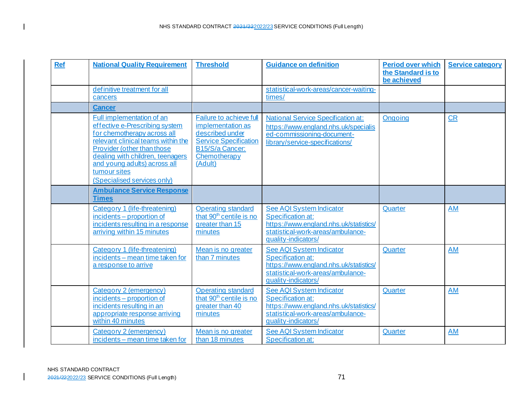| <b>Ref</b> | <b>National Quality Requirement</b>                                                                                                                                                                                                                                               | <b>Threshold</b>                                                                                                                                     | <b>Guidance on definition</b>                                                                                                                              | <b>Period over which</b><br>the Standard is to<br>be achieved | <b>Service category</b> |
|------------|-----------------------------------------------------------------------------------------------------------------------------------------------------------------------------------------------------------------------------------------------------------------------------------|------------------------------------------------------------------------------------------------------------------------------------------------------|------------------------------------------------------------------------------------------------------------------------------------------------------------|---------------------------------------------------------------|-------------------------|
|            | definitive treatment for all<br>cancers                                                                                                                                                                                                                                           |                                                                                                                                                      | statistical-work-areas/cancer-waiting-<br>times/                                                                                                           |                                                               |                         |
|            | <b>Cancer</b>                                                                                                                                                                                                                                                                     |                                                                                                                                                      |                                                                                                                                                            |                                                               |                         |
|            | Full implementation of an<br>effective e-Prescribing system<br>for chemotherapy across all<br>relevant clinical teams within the<br>Provider (other than those<br>dealing with children, teenagers<br>and young adults) across all<br>tumour sites<br>(Specialised services only) | <b>Failure to achieve full</b><br>implementation as<br>described under<br><b>Service Specification</b><br>B15/S/a Cancer:<br>Chemotherapy<br>(Adult) | <b>National Service Specification at:</b><br>https://www.england.nhs.uk/specialis<br>ed-commissioning-document-<br>library/service-specifications/         | Ongoing                                                       | CR                      |
|            | <b>Ambulance Service Response</b><br><b>Times</b>                                                                                                                                                                                                                                 |                                                                                                                                                      |                                                                                                                                                            |                                                               |                         |
|            | Category 1 (life-threatening)<br>incidents - proportion of<br>incidents resulting in a response<br>arriving within 15 minutes                                                                                                                                                     | <b>Operating standard</b><br>that 90 <sup>th</sup> centile is no<br>greater than 15<br>minutes                                                       | <b>See AQI System Indicator</b><br>Specification at:<br>https://www.england.nhs.uk/statistics/<br>statistical-work-areas/ambulance-<br>quality-indicators/ | Quarter                                                       | <b>AM</b>               |
|            | Category 1 (life-threatening)<br>incidents - mean time taken for<br>a response to arrive                                                                                                                                                                                          | Mean is no greater<br>than 7 minutes                                                                                                                 | See AQI System Indicator<br>Specification at:<br>https://www.england.nhs.uk/statistics/<br>statistical-work-areas/ambulance-<br>quality-indicators/        | Quarter                                                       | <b>AM</b>               |
|            | Category 2 (emergency)<br>incidents – proportion of<br>incidents resulting in an<br>appropriate response arriving<br>within 40 minutes                                                                                                                                            | <b>Operating standard</b><br>that 90 <sup>th</sup> centile is no<br>greater than 40<br>minutes                                                       | See AQI System Indicator<br>Specification at:<br>https://www.england.nhs.uk/statistics/<br>statistical-work-areas/ambulance-<br>quality-indicators/        | Quarter                                                       | <b>AM</b>               |
|            | Category 2 (emergency)<br>incidents - mean time taken for                                                                                                                                                                                                                         | Mean is no greater<br>than 18 minutes                                                                                                                | See AQI System Indicator<br>Specification at:                                                                                                              | Quarter                                                       | <b>AM</b>               |

 $\mathbf{I}$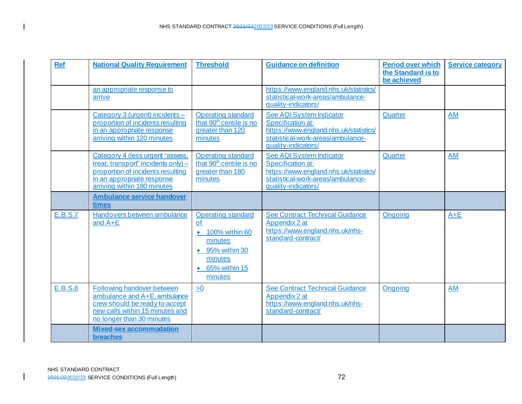| <b>Ref</b>     | <b>National Quality Requirement</b>                                                                                                                                       | <b>Threshold</b>                                                                                                                      | <b>Guidance on definition</b>                                                                                                                       | <b>Period over which</b><br>the Standard is to<br>be achieved | <b>Service category</b> |
|----------------|---------------------------------------------------------------------------------------------------------------------------------------------------------------------------|---------------------------------------------------------------------------------------------------------------------------------------|-----------------------------------------------------------------------------------------------------------------------------------------------------|---------------------------------------------------------------|-------------------------|
|                | an appropriate response to<br>arrive                                                                                                                                      |                                                                                                                                       | https://www.england.nhs.uk/statistics/<br>statistical-work-areas/ambulance-<br>quality-indicators/                                                  |                                                               |                         |
|                | Category 3 (urgent) incidents -<br>proportion of incidents resulting<br>in an appropriate response<br>arriving within 120 minutes                                         | <b>Operating standard</b><br>that 90 <sup>th</sup> centile is no<br>greater than 120<br>minutes                                       | See AQI System Indicator<br>Specification at:<br>https://www.england.nhs.uk/statistics/<br>statistical-work-areas/ambulance-<br>quality-indicators/ | Quarter                                                       | AM                      |
|                | Category 4 (less urgent "assess,<br>treat, transport" incidents only) -<br>proportion of incidents resulting<br>in an appropriate response<br>arriving within 180 minutes | <b>Operating standard</b><br>that 90 <sup>th</sup> centile is no<br>greater than 180<br>minutes                                       | See AQI System Indicator<br>Specification at:<br>https://www.england.nhs.uk/statistics/<br>statistical-work-areas/ambulance-<br>quality-indicators/ | Quarter                                                       | <b>AM</b>               |
|                | <b>Ambulance service handover</b><br>times                                                                                                                                |                                                                                                                                       |                                                                                                                                                     |                                                               |                         |
| <b>E.B.S.7</b> | Handovers between ambulance<br>and $A+E$                                                                                                                                  | <b>Operating standard</b><br>of<br>100% within 60<br>$\bullet$<br>minutes<br>• 95% within 30<br>minutes<br>• 65% within 15<br>minutes | <b>See Contract Technical Guidance</b><br>Appendix 2 at<br>https://www.england.nhs.uk/nhs-<br>standard-contract/                                    | Ongoing                                                       | $A + E$                 |
| E.B.S.8        | Following handover between<br>ambulance and A+E, ambulance<br>crew should be ready to accept<br>new calls within 15 minutes and<br>no longer than 30 minutes              | $\geq 0$                                                                                                                              | <b>See Contract Technical Guidance</b><br>Appendix 2 at<br>https://www.england.nhs.uk/nhs-<br>standard-contract/                                    | Ongoing                                                       | AM                      |
|                | <b>Mixed-sex accommodation</b><br>breaches                                                                                                                                |                                                                                                                                       |                                                                                                                                                     |                                                               |                         |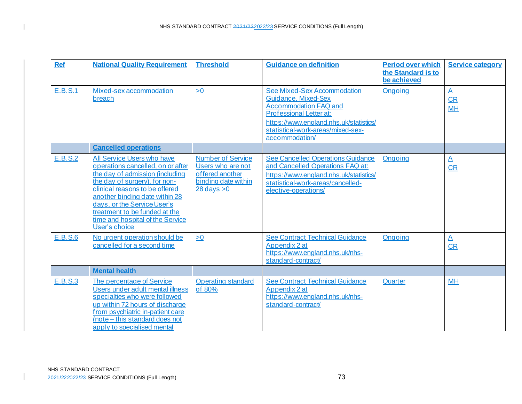| <b>Ref</b>     | <b>National Quality Requirement</b>                                                                                                                                                                                                                                                                                          | <b>Threshold</b>                                                                                                 | <b>Guidance on definition</b>                                                                                                                                                                                  | <b>Period over which</b><br>the Standard is to<br>be achieved | <b>Service category</b>                      |
|----------------|------------------------------------------------------------------------------------------------------------------------------------------------------------------------------------------------------------------------------------------------------------------------------------------------------------------------------|------------------------------------------------------------------------------------------------------------------|----------------------------------------------------------------------------------------------------------------------------------------------------------------------------------------------------------------|---------------------------------------------------------------|----------------------------------------------|
| E.B.S.1        | Mixed-sex accommodation<br>breach                                                                                                                                                                                                                                                                                            | $\geq 0$                                                                                                         | See Mixed-Sex Accommodation<br>Guidance, Mixed-Sex<br><b>Accommodation FAQ and</b><br>Professional Letter at:<br>https://www.england.nhs.uk/statistics/<br>statistical-work-areas/mixed-sex-<br>accommodation/ | Ongoing                                                       | $\overline{\mathsf{A}}$<br>$CR$<br><b>MH</b> |
|                | <b>Cancelled operations</b>                                                                                                                                                                                                                                                                                                  |                                                                                                                  |                                                                                                                                                                                                                |                                                               |                                              |
| <b>E.B.S.2</b> | All Service Users who have<br>operations cancelled, on or after<br>the day of admission (including<br>the day of surgery), for non-<br>clinical reasons to be offered<br>another binding date within 28<br>days, or the Service User's<br>treatment to be funded at the<br>time and hospital of the Service<br>User's choice | <b>Number of Service</b><br>Users who are not<br>offered another<br>binding date within<br>$28 \text{ days} > 0$ | <b>See Cancelled Operations Guidance</b><br>and Cancelled Operations FAQ at:<br>https://www.england.nhs.uk/statistics/<br>statistical-work-areas/cancelled-<br>elective-operations/                            | <b>Ongoing</b>                                                | $\overline{\mathsf{A}}$<br>CR                |
| <b>E.B.S.6</b> | No urgent operation should be<br>cancelled for a second time                                                                                                                                                                                                                                                                 | $\geq 0$                                                                                                         | <b>See Contract Technical Guidance</b><br>Appendix 2 at<br>https://www.england.nhs.uk/nhs-<br>standard-contract/                                                                                               | Ongoing                                                       | $\mathbf{A}$<br>CR                           |
|                | <b>Mental health</b>                                                                                                                                                                                                                                                                                                         |                                                                                                                  |                                                                                                                                                                                                                |                                                               |                                              |
| E.B.S.3        | The percentage of Service<br>Users under adult mental illness<br>specialties who were followed<br>up within 72 hours of discharge<br>from psychiatric in-patient care<br>(note - this standard does not<br>apply to specialised mental                                                                                       | <b>Operating standard</b><br>of 80%                                                                              | <b>See Contract Technical Guidance</b><br>Appendix 2 at<br>https://www.england.nhs.uk/nhs-<br>standard-contract/                                                                                               | Quarter                                                       | <b>MH</b>                                    |

 $\mathbf{I}$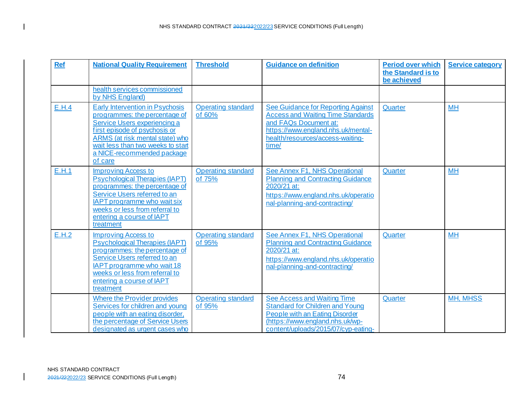| <b>Ref</b> | <b>National Quality Requirement</b>                                                                                                                                                                                                                       | <b>Threshold</b>                    | <b>Guidance on definition</b>                                                                                                                                                              | <b>Period over which</b><br>the Standard is to<br>be achieved | <b>Service category</b> |
|------------|-----------------------------------------------------------------------------------------------------------------------------------------------------------------------------------------------------------------------------------------------------------|-------------------------------------|--------------------------------------------------------------------------------------------------------------------------------------------------------------------------------------------|---------------------------------------------------------------|-------------------------|
|            | health services commissioned<br>by NHS England)                                                                                                                                                                                                           |                                     |                                                                                                                                                                                            |                                                               |                         |
| E.H.4      | <b>Early Intervention in Psychosis</b><br>programmes: the percentage of<br>Service Users experiencing a<br>first episode of psychosis or<br>ARMS (at risk mental state) who<br>wait less than two weeks to start<br>a NICE-recommended package<br>of care | <b>Operating standard</b><br>of 60% | See Guidance for Reporting Against<br><b>Access and Waiting Time Standards</b><br>and FAQs Document at:<br>https://www.england.nhs.uk/mental-<br>health/resources/access-waiting-<br>time/ | Quarter                                                       | <b>MH</b>               |
| E.H.1      | <b>Improving Access to</b><br><b>Psychological Therapies (IAPT)</b><br>programmes: the percentage of<br>Service Users referred to an<br><b>IAPT</b> programme who wait six<br>weeks or less from referral to<br>entering a course of IAPT<br>treatment    | <b>Operating standard</b><br>of 75% | See Annex F1, NHS Operational<br><b>Planning and Contracting Guidance</b><br>2020/21 at:<br>https://www.england.nhs.uk/operatio<br>nal-planning-and-contracting/                           | Quarter                                                       | <b>MH</b>               |
| E.H.2      | <b>Improving Access to</b><br><b>Psychological Therapies (IAPT)</b><br>programmes: the percentage of<br>Service Users referred to an<br>IAPT programme who wait 18<br>weeks or less from referral to<br>entering a course of IAPT<br>treatment            | <b>Operating standard</b><br>of 95% | See Annex F1, NHS Operational<br><b>Planning and Contracting Guidance</b><br>2020/21 at:<br>https://www.england.nhs.uk/operatio<br>nal-planning-and-contracting/                           | Quarter                                                       | <b>MH</b>               |
|            | <b>Where the Provider provides</b><br>Services for children and young<br>people with an eating disorder,<br>the percentage of Service Users<br>designated as urgent cases who                                                                             | <b>Operating standard</b><br>of 95% | <b>See Access and Waiting Time</b><br><b>Standard for Children and Young</b><br>People with an Eating Disorder<br>(https://www.england.nhs.uk/wp-<br>content/uploads/2015/07/cyp-eating-   | Quarter                                                       | <b>MH, MHSS</b>         |

 $\overline{\phantom{a}}$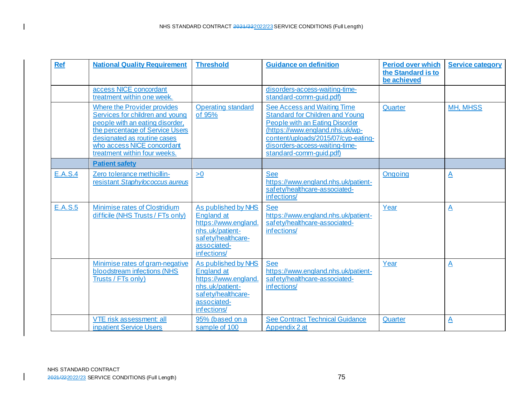| <b>Ref</b>     | <b>National Quality Requirement</b>                                                                                                                                                                                               | <b>Threshold</b>                                                                                                                       | <b>Guidance on definition</b>                                                                                                                                                                                                                                | Period over which<br>the Standard is to<br>be achieved | <b>Service category</b> |
|----------------|-----------------------------------------------------------------------------------------------------------------------------------------------------------------------------------------------------------------------------------|----------------------------------------------------------------------------------------------------------------------------------------|--------------------------------------------------------------------------------------------------------------------------------------------------------------------------------------------------------------------------------------------------------------|--------------------------------------------------------|-------------------------|
|                | access NICE concordant<br>treatment within one week.                                                                                                                                                                              |                                                                                                                                        | disorders-access-waiting-time-<br>standard-comm-quid.pdf)                                                                                                                                                                                                    |                                                        |                         |
|                | Where the Provider provides<br>Services for children and young<br>people with an eating disorder,<br>the percentage of Service Users<br>designated as routine cases<br>who access NICE concordant<br>treatment within four weeks. | <b>Operating standard</b><br>of 95%                                                                                                    | <b>See Access and Waiting Time</b><br><b>Standard for Children and Young</b><br><b>People with an Eating Disorder</b><br>(https://www.england.nhs.uk/wp-<br>content/uploads/2015/07/cyp-eating-<br>disorders-access-waiting-time-<br>standard-comm-guid.pdf) | Quarter                                                | <b>MH, MHSS</b>         |
|                | <b>Patient safety</b>                                                                                                                                                                                                             |                                                                                                                                        |                                                                                                                                                                                                                                                              |                                                        |                         |
| <b>E.A.S.4</b> | Zero tolerance methicillin-<br>resistant Staphylococcus aureus                                                                                                                                                                    | $\geq 0$                                                                                                                               | <b>See</b><br>https://www.england.nhs.uk/patient-<br>safety/healthcare-associated-<br>infections/                                                                                                                                                            | Ongoing                                                | $\underline{A}$         |
| <b>E.A.S.5</b> | Minimise rates of Clostridium<br>difficile (NHS Trusts / FTs only)                                                                                                                                                                | As published by NHS<br><b>England at</b><br>https://www.england<br>nhs.uk/patient-<br>safety/healthcare-<br>associated-<br>infections/ | <b>See</b><br>https://www.england.nhs.uk/patient-<br>safety/healthcare-associated-<br>infections/                                                                                                                                                            | Year                                                   | $\underline{A}$         |
|                | Minimise rates of gram-negative<br>bloodstream infections (NHS<br>Trusts / FTs only)                                                                                                                                              | As published by NHS<br><b>England at</b><br>https://www.england<br>nhs.uk/patient-<br>safety/healthcare-<br>associated-<br>infections/ | <b>See</b><br>https://www.england.nhs.uk/patient-<br>safety/healthcare-associated-<br>infections/                                                                                                                                                            | Year                                                   | $\underline{A}$         |
|                | VTE risk assessment: all<br><b>inpatient Service Users</b>                                                                                                                                                                        | 95% (based on a<br>sample of 100                                                                                                       | <b>See Contract Technical Guidance</b><br>Appendix 2 at                                                                                                                                                                                                      | Quarter                                                | $\underline{A}$         |

 $\mathbf I$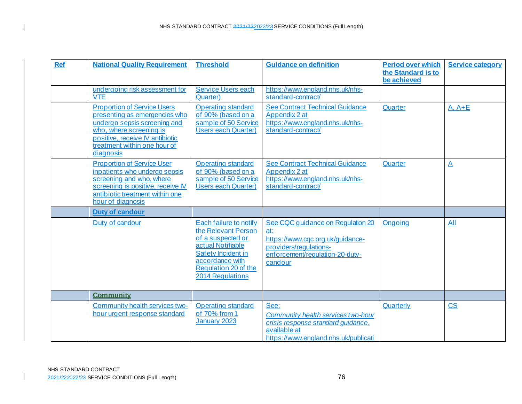| <b>Ref</b> | <b>National Quality Requirement</b>                                                                                                                                                                            | <b>Threshold</b>                                                                                                                                                                    | <b>Guidance on definition</b>                                                                                                                        | <b>Period over which</b><br>the Standard is to<br>be achieved | <b>Service category</b> |
|------------|----------------------------------------------------------------------------------------------------------------------------------------------------------------------------------------------------------------|-------------------------------------------------------------------------------------------------------------------------------------------------------------------------------------|------------------------------------------------------------------------------------------------------------------------------------------------------|---------------------------------------------------------------|-------------------------|
|            | undergoing risk assessment for<br><b>VTE</b>                                                                                                                                                                   | <b>Service Users each</b><br>Quarter)                                                                                                                                               | https://www.england.nhs.uk/nhs-<br>standard-contract/                                                                                                |                                                               |                         |
|            | <b>Proportion of Service Users</b><br>presenting as emergencies who<br>undergo sepsis screening and<br>who, where screening is<br>positive, receive IV antibiotic<br>treatment within one hour of<br>diagnosis | <b>Operating standard</b><br>of 90% (based on a<br>sample of 50 Service<br><b>Users each Quarter)</b>                                                                               | See Contract Technical Guidance<br>Appendix 2 at<br>https://www.england.nhs.uk/nhs-<br>standard-contract/                                            | Quarter                                                       | $A, A + E$              |
|            | <b>Proportion of Service User</b><br>inpatients who undergo sepsis<br>screening and who, where<br>screening is positive, receive IV<br>antibiotic treatment within one<br>hour of diagnosis                    | <b>Operating standard</b><br>of 90% (based on a<br>sample of 50 Service<br><b>Users each Quarter)</b>                                                                               | See Contract Technical Guidance<br>Appendix 2 at<br>https://www.england.nhs.uk/nhs-<br>standard-contract/                                            | Quarter                                                       | $\overline{\mathsf{A}}$ |
|            | <b>Duty of candour</b>                                                                                                                                                                                         |                                                                                                                                                                                     |                                                                                                                                                      |                                                               |                         |
|            | Duty of candour                                                                                                                                                                                                | <b>Each failure to notify</b><br>the Relevant Person<br>of a suspected or<br>actual Notifiable<br>Safety Incident in<br>accordance with<br>Regulation 20 of the<br>2014 Regulations | See CQC guidance on Regulation 20<br>at:<br>https://www.cqc.org.uk/guidance-<br>providers/regulations-<br>enforcement/regulation-20-duty-<br>candour | Ongoing                                                       | All                     |
|            | <b>Community</b>                                                                                                                                                                                               |                                                                                                                                                                                     |                                                                                                                                                      |                                                               |                         |
|            | Community health services two-<br>hour urgent response standard                                                                                                                                                | <b>Operating standard</b><br>of 70% from 1<br>January 2023                                                                                                                          | See:<br>Community health services two-hour<br>crisis response standard quidance,<br>available at<br>https://www.england.nhs.uk/publicati             | Quarterly                                                     | $\overline{\text{CS}}$  |

 $\overline{\phantom{a}}$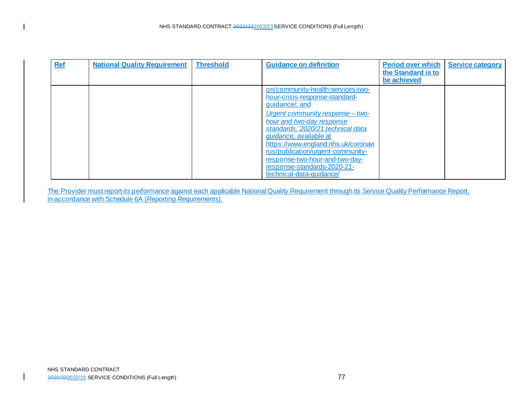| <b>Ref</b> | <b>National Quality Requirement</b> | <b>Threshold</b> | <b>Guidance on definition</b>                                                                                                                                                                                                                                                                                                                                                                                 | <b>Period over which</b><br>the Standard is to<br>be achieved | <b>Service category</b> |
|------------|-------------------------------------|------------------|---------------------------------------------------------------------------------------------------------------------------------------------------------------------------------------------------------------------------------------------------------------------------------------------------------------------------------------------------------------------------------------------------------------|---------------------------------------------------------------|-------------------------|
|            |                                     |                  | on/community-health-services-two-<br><u>hour-crisis-response-standard-</u><br>guidance/; and<br>Urgent community response - two-<br>hour and two-day response<br>standards: 2020/21 technical data<br><i>guidance</i> , available at<br>https://www.england.nhs.uk/coronavi<br>rus/publication/urgent-community-<br>response-two-hour-and-two-day-<br>response-standards-2020-21-<br>technical-data-guidance/ |                                                               |                         |

The Provider must report its performance against each applicable National Quality Requirement through its Service Quality Performance Report, in accordance with Schedule 6A (*Reporting Requirements)*.

 $\mathbf I$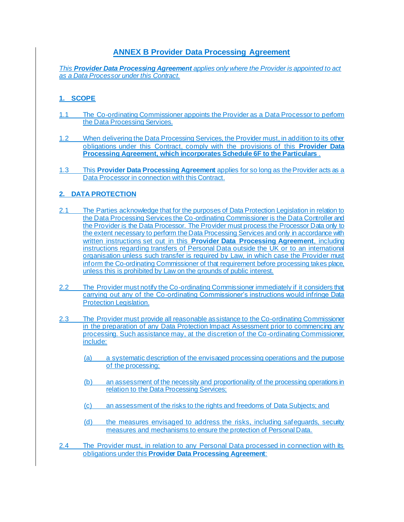## **ANNEX B Provider Data Processing Agreement**

*This Provider Data Processing Agreement applies only where the Provider is appointed to act as a Data Processor under this Contract.*

## **1. SCOPE**

- 1.1 The Co-ordinating Commissioner appoints the Provider as a Data Processor to perform the Data Processing Services.
- 1.2 When delivering the Data Processing Services, the Provider must, in addition to its other obligations under this Contract, comply with the provisions of this **Provider Data Processing Agreement, which incorporates Schedule 6F to the Particulars** .
- 1.3 This **Provider Data Processing Agreement** applies for so long as the Provider acts as a Data Processor in connection with this Contract.

## **2. DATA PROTECTION**

- 2.1 The Parties acknowledge that for the purposes of Data Protection Legislation in relation to the Data Processing Services the Co-ordinating Commissioner is the Data Controller and the Provider is the Data Processor. The Provider must process the Processor Data only to the extent necessary to perform the Data Processing Services and only in accordance with written instructions set out in this **Provider Data Processing Agreement**, including instructions regarding transfers of Personal Data outside the UK or to an international organisation unless such transfer is required by Law, in which case the Provider must inform the Co-ordinating Commissioner of that requirement before processing takes place, unless this is prohibited by Law on the grounds of public interest.
- 2.2 The Provider must notify the Co-ordinating Commissioner immediately if it considers that carrying out any of the Co-ordinating Commissioner's instructions would infringe Data Protection Legislation.
- 2.3 The Provider must provide all reasonable assistance to the Co-ordinating Commissioner in the preparation of any Data Protection Impact Assessment prior to commencing any processing. Such assistance may, at the discretion of the Co-ordinating Commissioner, include:
	- (a) a systematic description of the envisaged processing operations and the purpose of the processing;
	- (b) an assessment of the necessity and proportionality of the processing operations in relation to the Data Processing Services;
	- (c) an assessment of the risks to the rights and freedoms of Data Subjects; and
	- (d) the measures envisaged to address the risks, including safeguards, security measures and mechanisms to ensure the protection of Personal Data.
- <span id="page-77-0"></span>2.4 The Provider must, in relation to any Personal Data processed in connection with its obligations under this **Provider Data Processing Agreement**: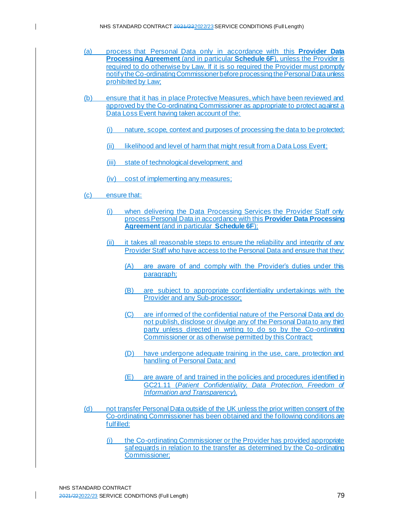- (a) process that Personal Data only in accordance with this **Provider Data Processing Agreement** (and in particular **Schedule 6F**), unless the Provider is required to do otherwise by Law. If it is so required the Provider must promptly notify the Co-ordinating Commissioner before processing the Personal Data unless prohibited by Law;
- (b) ensure that it has in place Protective Measures, which have been reviewed and approved by the Co-ordinating Commissioner as appropriate to protect against a Data Loss Event having taken account of the:
	- (i) nature, scope, context and purposes of processing the data to be protected;
	- (ii) likelihood and level of harm that might result from a Data Loss Event;
	- (iii) state of technological development; and
	- (iv) cost of implementing any measures;
- (c) ensure that:

 $\mathsf{l}$ 

- (i) when delivering the Data Processing Services the Provider Staff only process Personal Data in accordance with this **Provider Data Processing Agreement** (and in particular **Schedule 6F**);
- (ii) it takes all reasonable steps to ensure the reliability and integrity of any Provider Staff who have access to the Personal Data and ensure that they:
	- (A) are aware of and comply with the Provider's duties under this paragraph;
	- (B) are subject to appropriate confidentiality undertakings with the Provider and any Sub-processor;
	- (C) are informed of the confidential nature of the Personal Data and do not publish, disclose or divulge any of the Personal Data to any third party unless directed in writing to do so by the Co-ordinating Commissioner or as otherwise permitted by this Contract;
	- (D) have undergone adequate training in the use, care, protection and handling of Personal Data; and
	- (E) are aware of and trained in the policies and procedures identified in GC21.11 (*Patient Confidentiality, Data Protection, Freedom of Information and Transparency*).
- (d) not transfer Personal Data outside of the UK unless the prior written consent of the Co-ordinating Commissioner has been obtained and the following conditions are fulfilled:
	- (i) the Co-ordinating Commissioner or the Provider has provided appropriate safequards in relation to the transfer as determined by the Co-ordinating Commissioner;

NHS STANDARD CONTRACT 2021/222022/23 SERVICE CONDITIONS (Full Length) 79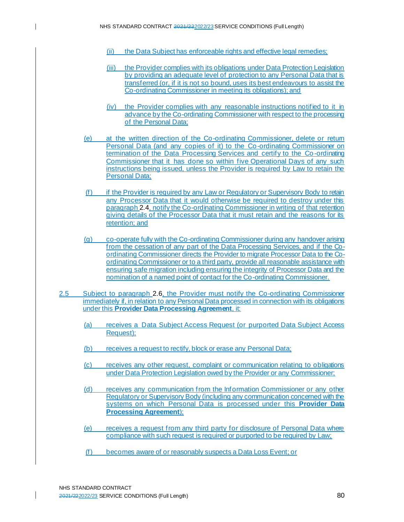$\mathsf{l}$ 

- (ii) the Data Subject has enforceable rights and effective legal remedies;
- (iii) the Provider complies with its obligations under Data Protection Legislation by providing an adequate level of protection to any Personal Data that is transferred (or, if it is not so bound, uses its best endeavours to assist the Co-ordinating Commissioner in meeting its obligations); and
- (iv) the Provider complies with any reasonable instructions notified to it in advance by the Co-ordinating Commissioner with respect to the processing of the Personal Data;
- (e) at the written direction of the Co-ordinating Commissioner, delete or return Personal Data (and any copies of it) to the Co-ordinating Commissioner on termination of the Data Processing Services and certify to the Co -ordinating Commissioner that it has done so within five Operational Days of any such instructions being issued, unless the Provider is required by Law to retain the Personal Data;
- (f) if the Provider is required by any Law or Regulatory or Supervisory Body to retain any Processor Data that it would otherwise be required to destroy under this paragrap[h 2.4,](#page-77-0) notify the Co-ordinating Commissioner in writing of that retention giving details of the Processor Data that it must retain and the reasons for its retention; and
- (g) co-operate fully with the Co-ordinating Commissioner during any handover arising from the cessation of any part of the Data Processing Services, and if the Coordinating Commissioner directs the Provider to migrate Processor Data to the Coordinating Commissioner or to a third party, provide all reasonable assistance with ensuring safe migration including ensuring the integrity of Processor Data and the nomination of a named point of contact for the Co-ordinating Commissioner.
- <span id="page-79-0"></span>2.5 Subject to paragraph [2.6,](#page-80-0) the Provider must notify the Co-ordinating Commissioner immediately if, in relation to any Personal Data processed in connection with its obligations under this **Provider Data Processing Agreement**, it:
	- (a) receives a Data Subject Access Request (or purported Data Subject Access Request);
	- (b) receives a request to rectify, block or erase any Personal Data;
	- (c) receives any other request, complaint or communication relating to obligations under Data Protection Legislation owed by the Provider or any Commissioner;
	- (d) receives any communication from the Information Commissioner or any other Regulatory or Supervisory Body (including any communication concerned with the systems on which Personal Data is processed under this **Provider Data Processing Agreement**);
	- (e) receives a request from any third party for disclosure of Personal Data where compliance with such request is required or purported to be required by Law;
	- (f) becomes aware of or reasonably suspects a Data Loss Event; or

NHS STANDARD CONTRACT 2021/222022/23 SERVICE CONDITIONS (Full Length) 80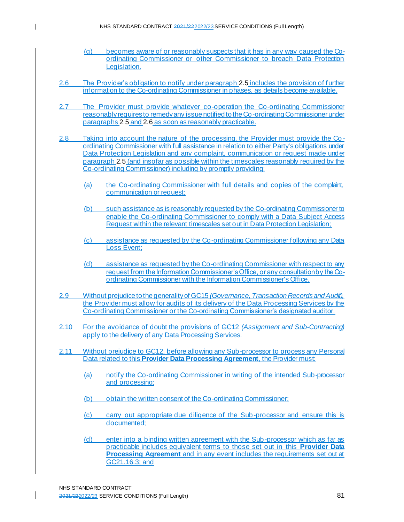- (g) becomes aware of or reasonably suspects that it has in any way caused the Coordinating Commissioner or other Commissioner to breach Data Protection Legislation.
- <span id="page-80-0"></span>2.6 The Provider's obligation to notify under paragrap[h 2.5](#page-79-0) includes the provision of further information to the Co-ordinating Commissioner in phases, as details become available.
- 2.7 The Provider must provide whatever co-operation the Co-ordinating Commissioner reasonably requires to remedy any issue notified to the Co-ordinating Commissioner under paragraph[s 2.5](#page-79-0) an[d 2.6](#page-80-0) as soon as reasonably practicable.
- 2.8 Taking into account the nature of the processing, the Provider must provide the Co ordinating Commissioner with full assistance in relation to either Party's obligations under Data Protection Legislation and any complaint, communication or request made under paragrap[h 2.5](#page-79-0) (and insofar as possible within the timescales reasonably required by the Co-ordinating Commissioner) including by promptly providing:
	- (a) the Co-ordinating Commissioner with full details and copies of the complaint, communication or request;
	- (b) such assistance as is reasonably requested by the Co-ordinating Commissioner to enable the Co-ordinating Commissioner to comply with a Data Subject Access Request within the relevant timescales set out in Data Protection Legislation;
	- (c) assistance as requested by the Co-ordinating Commissioner following any Data Loss Event;
	- (d) assistance as requested by the Co-ordinating Commissioner with respect to any request from the Information Commissioner's Office, or any consultation by the Coordinating Commissioner with the Information Commissioner's Office.
- 2.9 Without prejudice to the generality of GC15 *(Governance, Transaction Records and Audit),*  the Provider must allow for audits of its delivery of the Data Processing Services by the Co-ordinating Commissioner or the Co-ordinating Commissioner's designated auditor.
- 2.10 For the avoidance of doubt the provisions of GC12 *(Assignment and Sub-Contracting)* apply to the delivery of any Data Processing Services.
- 2.11 Without prejudice to GC12, before allowing any Sub-processor to process any Personal Data related to this **Provider Data Processing Agreement**, the Provider must:
	- (a) notify the Co-ordinating Commissioner in writing of the intended Sub-processor and processing;
	- (b) obtain the written consent of the Co-ordinating Commissioner;
	- (c) carry out appropriate due diligence of the Sub-processor and ensure this is documented;
	- (d) enter into a binding written agreement with the Sub-processor which as far as practicable includes equivalent terms to those set out in this **Provider Data Processing Agreement** and in any event includes the requirements set out at GC21.16.3; and